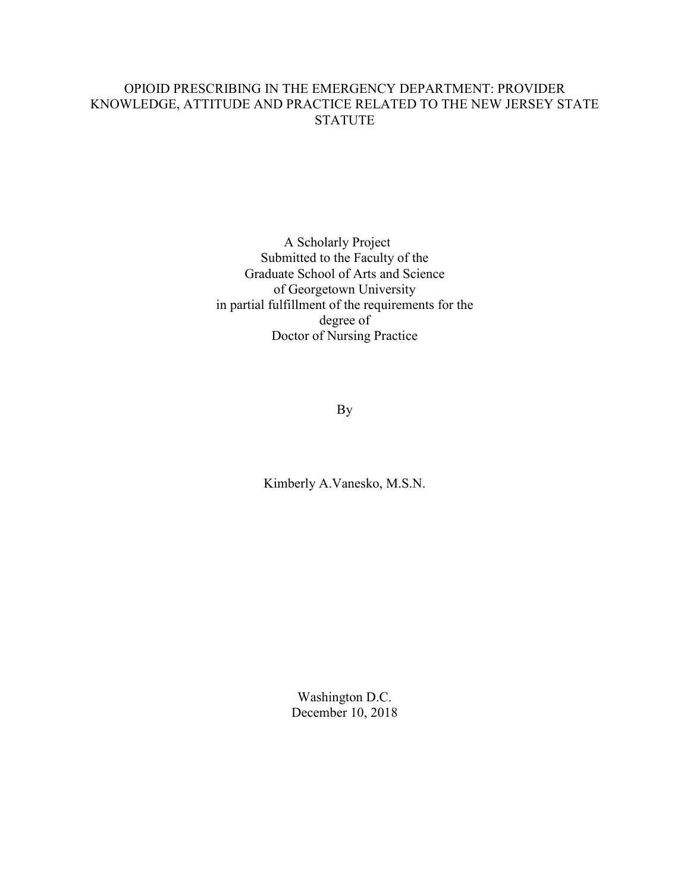## OPIOID PRESCRIBING IN THE EMERGENCY DEPARTMENT: PROVIDER KNOWLEDGE, ATTITUDE AND PRACTICE RELATED TO THE NEW JERSEY STATE STATUTE

A Scholarly Project Submitted to the Faculty of the Graduate School of Arts and Science of Georgetown University in partial fulfillment of the requirements for the degree of Doctor of Nursing Practice

By

Kimberly A.Vanesko, M.S.N.

Washington D.C. December 10, 2018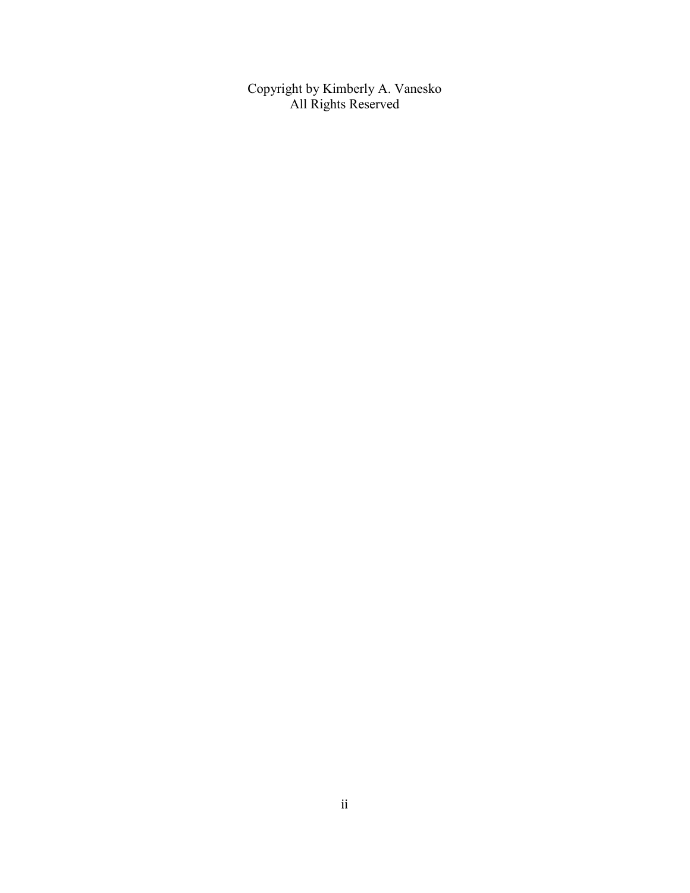Copyright by Kimberly A. Vanesko All Rights Reserved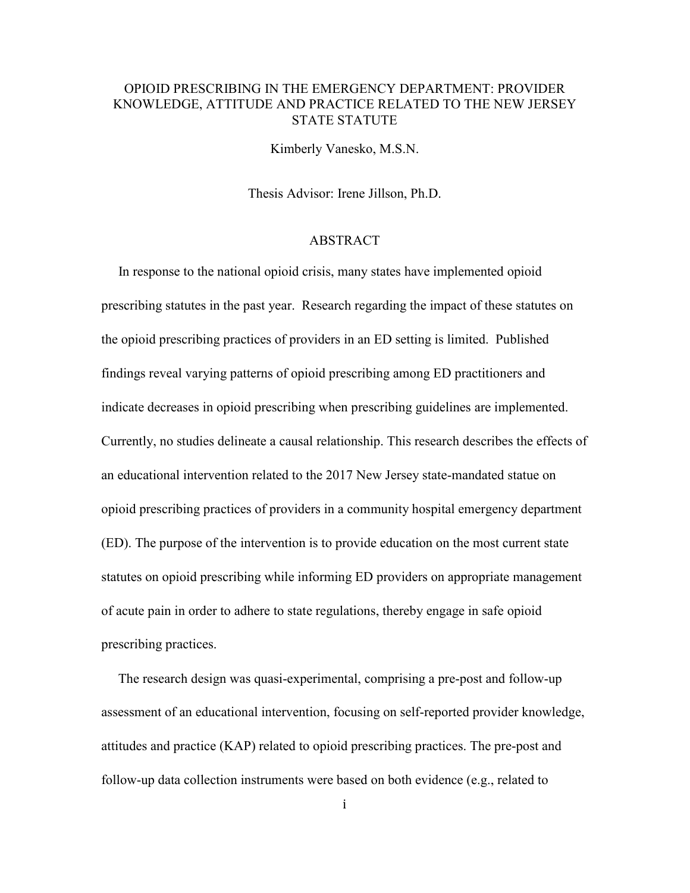## OPIOID PRESCRIBING IN THE EMERGENCY DEPARTMENT: PROVIDER KNOWLEDGE, ATTITUDE AND PRACTICE RELATED TO THE NEW JERSEY STATE STATUTE

Kimberly Vanesko, M.S.N.

Thesis Advisor: Irene Jillson, Ph.D.

#### ABSTRACT

 In response to the national opioid crisis, many states have implemented opioid prescribing statutes in the past year. Research regarding the impact of these statutes on the opioid prescribing practices of providers in an ED setting is limited. Published findings reveal varying patterns of opioid prescribing among ED practitioners and indicate decreases in opioid prescribing when prescribing guidelines are implemented. Currently, no studies delineate a causal relationship. This research describes the effects of an educational intervention related to the 2017 New Jersey state-mandated statue on opioid prescribing practices of providers in a community hospital emergency department (ED). The purpose of the intervention is to provide education on the most current state statutes on opioid prescribing while informing ED providers on appropriate management of acute pain in order to adhere to state regulations, thereby engage in safe opioid prescribing practices.

 The research design was quasi-experimental, comprising a pre-post and follow-up assessment of an educational intervention, focusing on self-reported provider knowledge, attitudes and practice (KAP) related to opioid prescribing practices. The pre-post and follow-up data collection instruments were based on both evidence (e.g., related to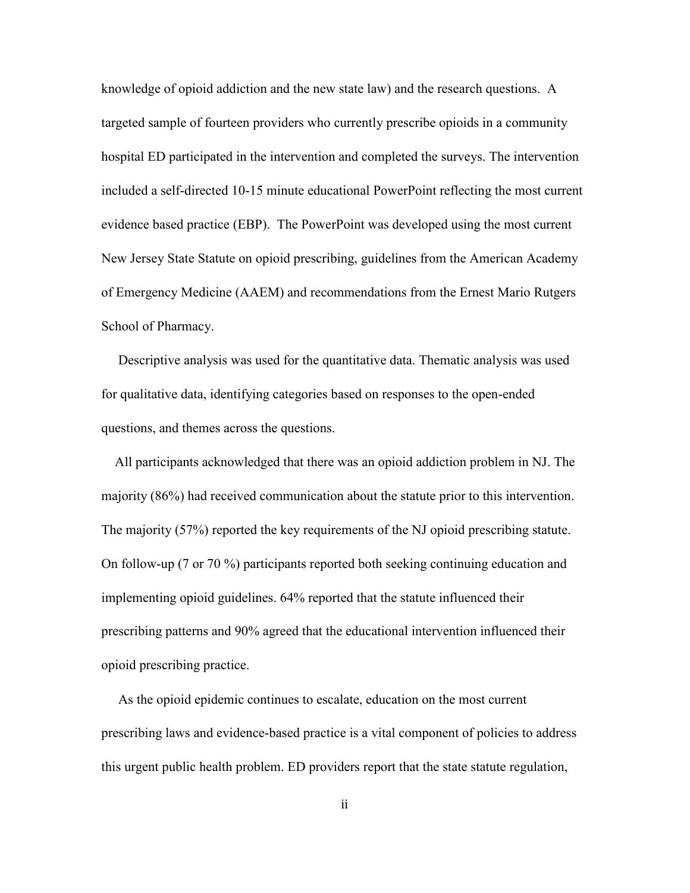knowledge of opioid addiction and the new state law) and the research questions. A targeted sample of fourteen providers who currently prescribe opioids in a community hospital ED participated in the intervention and completed the surveys. The intervention included a self-directed 10-15 minute educational PowerPoint reflecting the most current evidence based practice (EBP). The PowerPoint was developed using the most current New Jersey State Statute on opioid prescribing, guidelines from the American Academy of Emergency Medicine (AAEM) and recommendations from the Ernest Mario Rutgers School of Pharmacy.

 Descriptive analysis was used for the quantitative data. Thematic analysis was used for qualitative data, identifying categories based on responses to the open-ended questions, and themes across the questions.

 All participants acknowledged that there was an opioid addiction problem in NJ. The majority (86%) had received communication about the statute prior to this intervention. The majority (57%) reported the key requirements of the NJ opioid prescribing statute. On follow-up (7 or 70 %) participants reported both seeking continuing education and implementing opioid guidelines. 64% reported that the statute influenced their prescribing patterns and 90% agreed that the educational intervention influenced their opioid prescribing practice.

 As the opioid epidemic continues to escalate, education on the most current prescribing laws and evidence-based practice is a vital component of policies to address this urgent public health problem. ED providers report that the state statute regulation,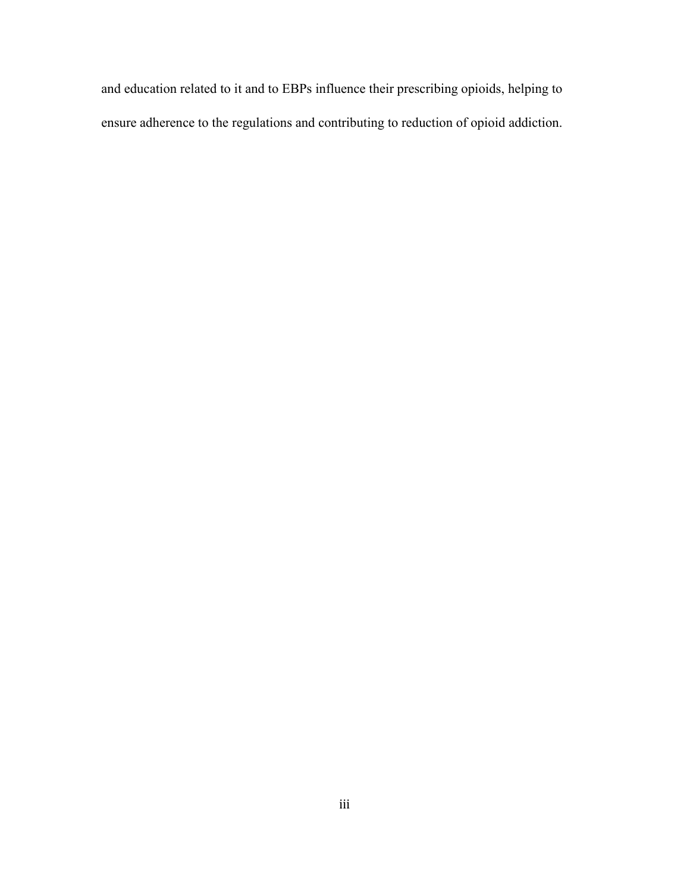and education related to it and to EBPs influence their prescribing opioids, helping to ensure adherence to the regulations and contributing to reduction of opioid addiction.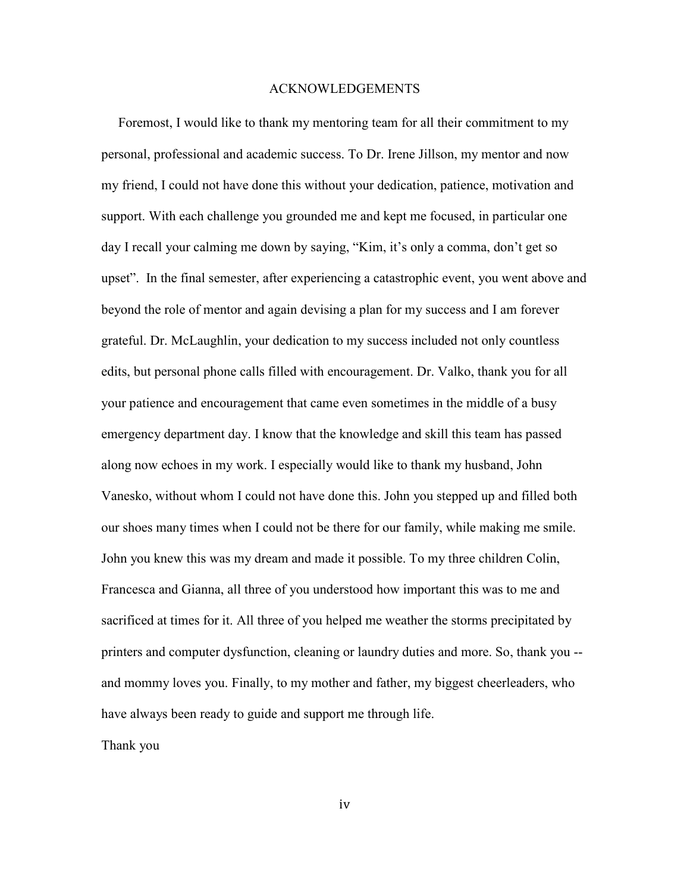#### ACKNOWLEDGEMENTS

 Foremost, I would like to thank my mentoring team for all their commitment to my personal, professional and academic success. To Dr. Irene Jillson, my mentor and now my friend, I could not have done this without your dedication, patience, motivation and support. With each challenge you grounded me and kept me focused, in particular one day I recall your calming me down by saying, "Kim, it's only a comma, don't get so upset". In the final semester, after experiencing a catastrophic event, you went above and beyond the role of mentor and again devising a plan for my success and I am forever grateful. Dr. McLaughlin, your dedication to my success included not only countless edits, but personal phone calls filled with encouragement. Dr. Valko, thank you for all your patience and encouragement that came even sometimes in the middle of a busy emergency department day. I know that the knowledge and skill this team has passed along now echoes in my work. I especially would like to thank my husband, John Vanesko, without whom I could not have done this. John you stepped up and filled both our shoes many times when I could not be there for our family, while making me smile. John you knew this was my dream and made it possible. To my three children Colin, Francesca and Gianna, all three of you understood how important this was to me and sacrificed at times for it. All three of you helped me weather the storms precipitated by printers and computer dysfunction, cleaning or laundry duties and more. So, thank you - and mommy loves you. Finally, to my mother and father, my biggest cheerleaders, who have always been ready to guide and support me through life.

Thank you

iv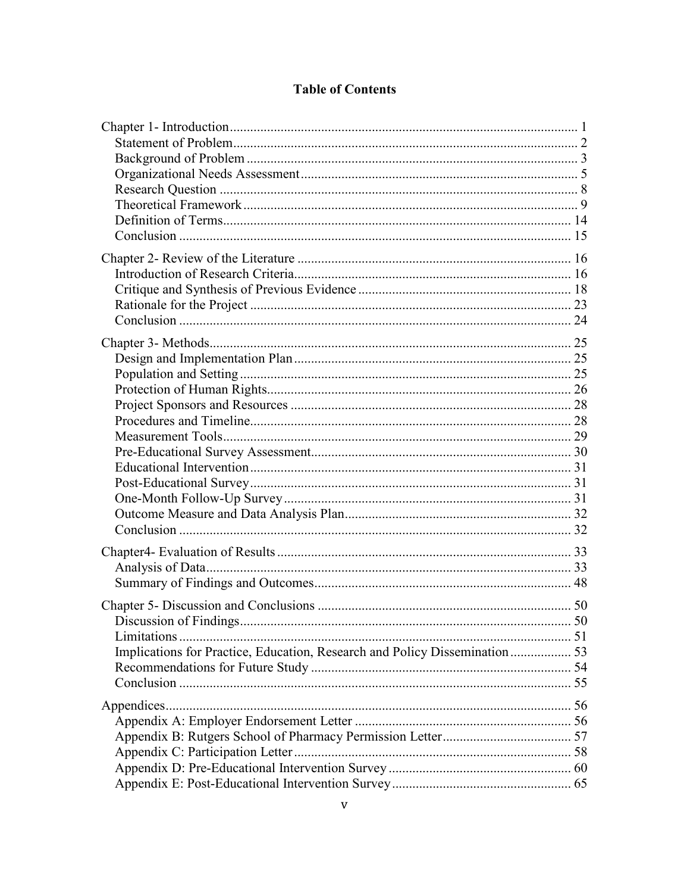## **Table of Contents**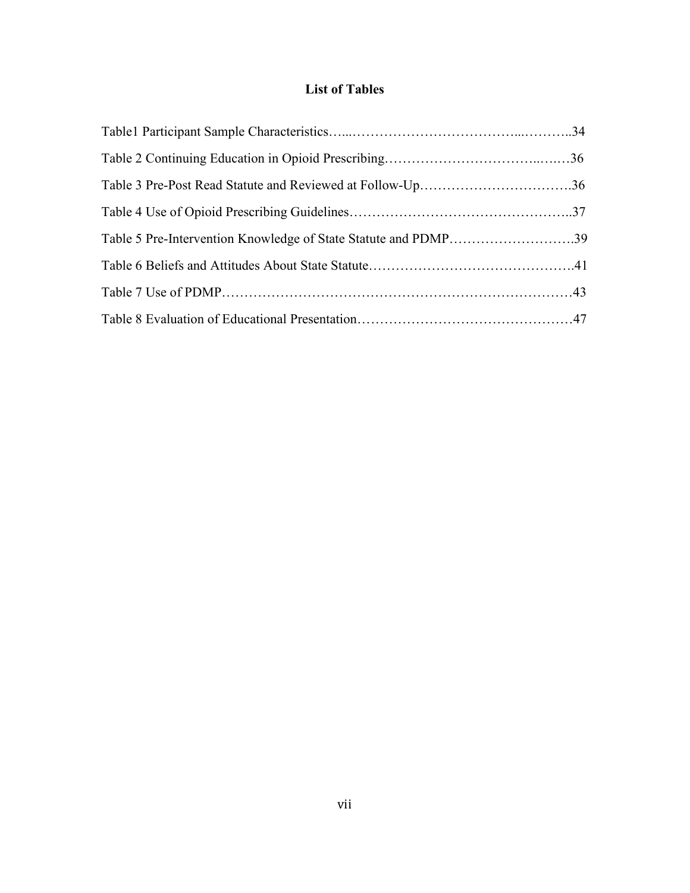# **List of Tables**

| Table 5 Pre-Intervention Knowledge of State Statute and PDMP39 |  |
|----------------------------------------------------------------|--|
|                                                                |  |
|                                                                |  |
|                                                                |  |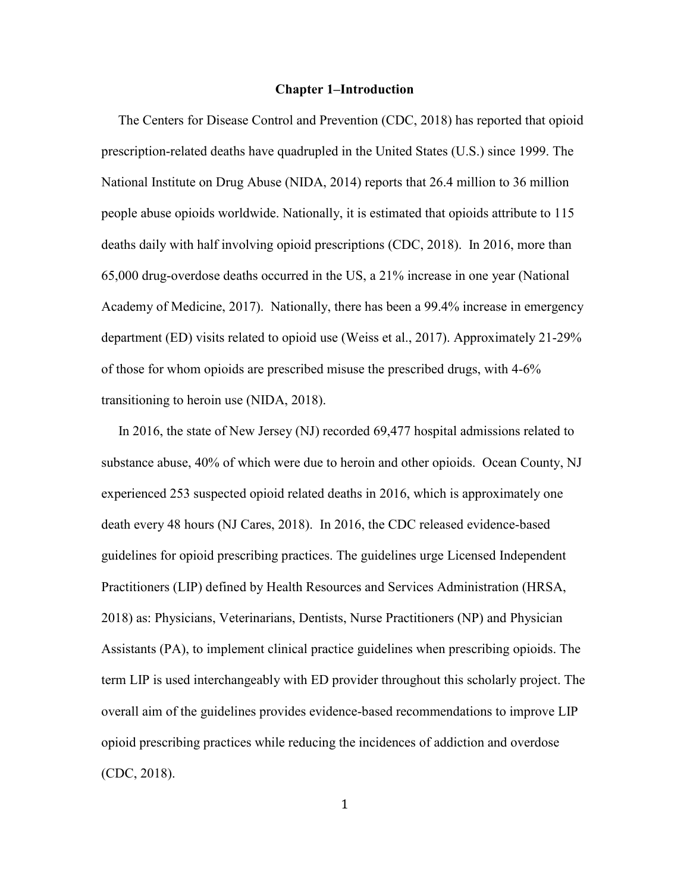#### **Chapter 1–Introduction**

 The Centers for Disease Control and Prevention (CDC, 2018) has reported that opioid prescription-related deaths have quadrupled in the United States (U.S.) since 1999. The National Institute on Drug Abuse (NIDA, 2014) reports that 26.4 million to 36 million people abuse opioids worldwide. Nationally, it is estimated that opioids attribute to 115 deaths daily with half involving opioid prescriptions (CDC, 2018). In 2016, more than 65,000 drug-overdose deaths occurred in the US, a 21% increase in one year (National Academy of Medicine, 2017). Nationally, there has been a 99.4% increase in emergency department (ED) visits related to opioid use (Weiss et al., 2017). Approximately 21-29% of those for whom opioids are prescribed misuse the prescribed drugs, with 4-6% transitioning to heroin use (NIDA, 2018).

 In 2016, the state of New Jersey (NJ) recorded 69,477 hospital admissions related to substance abuse, 40% of which were due to heroin and other opioids. Ocean County, NJ experienced 253 suspected opioid related deaths in 2016, which is approximately one death every 48 hours (NJ Cares, 2018). In 2016, the CDC released evidence-based guidelines for opioid prescribing practices. The guidelines urge Licensed Independent Practitioners (LIP) defined by Health Resources and Services Administration (HRSA, 2018) as: Physicians, Veterinarians, Dentists, Nurse Practitioners (NP) and Physician Assistants (PA), to implement clinical practice guidelines when prescribing opioids. The term LIP is used interchangeably with ED provider throughout this scholarly project. The overall aim of the guidelines provides evidence-based recommendations to improve LIP opioid prescribing practices while reducing the incidences of addiction and overdose (CDC, 2018).

1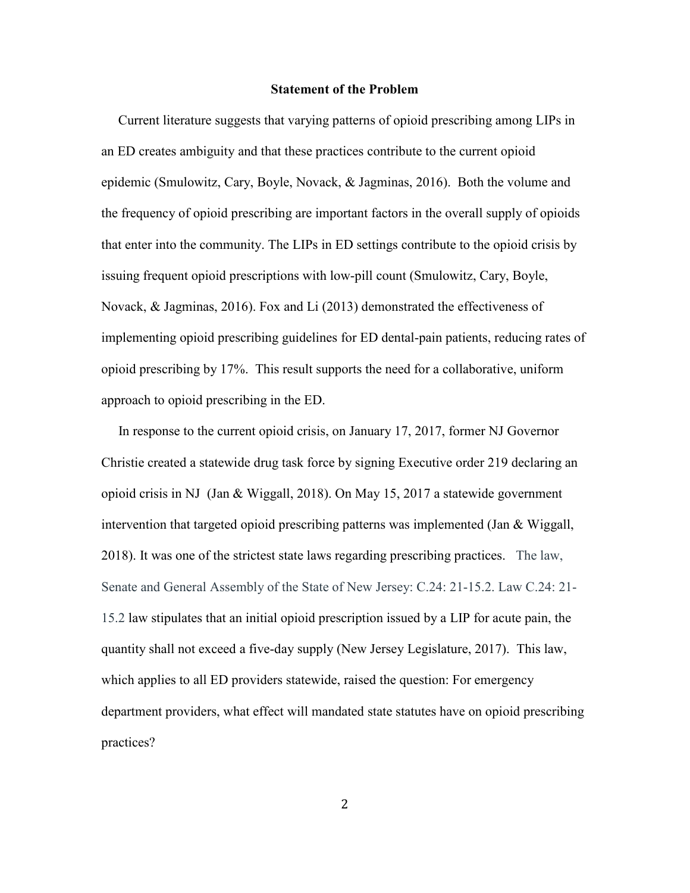#### **Statement of the Problem**

 Current literature suggests that varying patterns of opioid prescribing among LIPs in an ED creates ambiguity and that these practices contribute to the current opioid epidemic (Smulowitz, Cary, Boyle, Novack, & Jagminas, 2016). Both the volume and the frequency of opioid prescribing are important factors in the overall supply of opioids that enter into the community. The LIPs in ED settings contribute to the opioid crisis by issuing frequent opioid prescriptions with low-pill count (Smulowitz, Cary, Boyle, Novack, & Jagminas, 2016). Fox and Li (2013) demonstrated the effectiveness of implementing opioid prescribing guidelines for ED dental-pain patients, reducing rates of opioid prescribing by 17%. This result supports the need for a collaborative, uniform approach to opioid prescribing in the ED.

 In response to the current opioid crisis, on January 17, 2017, former NJ Governor Christie created a statewide drug task force by signing Executive order 219 declaring an opioid crisis in NJ (Jan & Wiggall, 2018). On May 15, 2017 a statewide government intervention that targeted opioid prescribing patterns was implemented (Jan  $\&$  Wiggall, 2018). It was one of the strictest state laws regarding prescribing practices. The law, Senate and General Assembly of the State of New Jersey: C.24: 21-15.2. Law C.24: 21- 15.2 law stipulates that an initial opioid prescription issued by a LIP for acute pain, the quantity shall not exceed a five-day supply (New Jersey Legislature, 2017). This law, which applies to all ED providers statewide, raised the question: For emergency department providers, what effect will mandated state statutes have on opioid prescribing practices?

2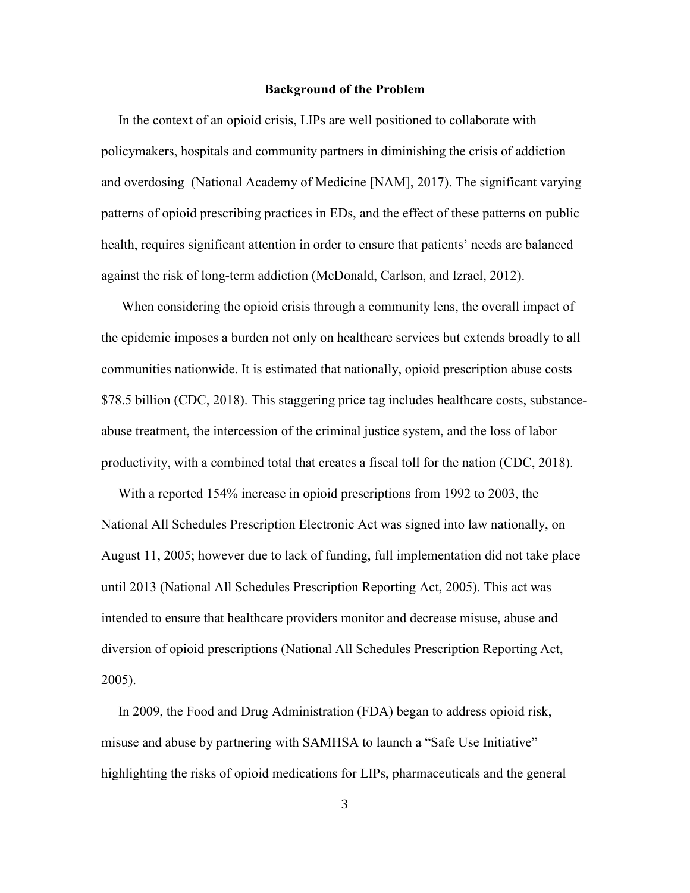#### **Background of the Problem**

 In the context of an opioid crisis, LIPs are well positioned to collaborate with policymakers, hospitals and community partners in diminishing the crisis of addiction and overdosing (National Academy of Medicine [NAM], 2017). The significant varying patterns of opioid prescribing practices in EDs, and the effect of these patterns on public health, requires significant attention in order to ensure that patients' needs are balanced against the risk of long-term addiction (McDonald, Carlson, and Izrael, 2012).

 When considering the opioid crisis through a community lens, the overall impact of the epidemic imposes a burden not only on healthcare services but extends broadly to all communities nationwide. It is estimated that nationally, opioid prescription abuse costs \$78.5 billion (CDC, 2018). This staggering price tag includes healthcare costs, substanceabuse treatment, the intercession of the criminal justice system, and the loss of labor productivity, with a combined total that creates a fiscal toll for the nation (CDC, 2018).

 With a reported 154% increase in opioid prescriptions from 1992 to 2003, the National All Schedules Prescription Electronic Act was signed into law nationally, on August 11, 2005; however due to lack of funding, full implementation did not take place until 2013 (National All Schedules Prescription Reporting Act, 2005). This act was intended to ensure that healthcare providers monitor and decrease misuse, abuse and diversion of opioid prescriptions (National All Schedules Prescription Reporting Act, 2005).

 In 2009, the Food and Drug Administration (FDA) began to address opioid risk, misuse and abuse by partnering with SAMHSA to launch a "Safe Use Initiative" highlighting the risks of opioid medications for LIPs, pharmaceuticals and the general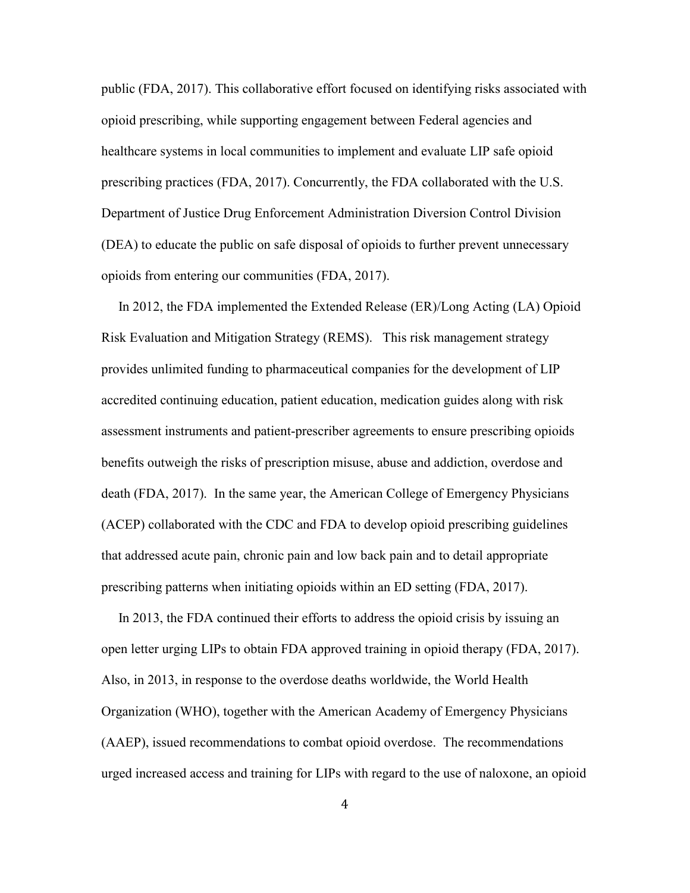public (FDA, 2017). This collaborative effort focused on identifying risks associated with opioid prescribing, while supporting engagement between Federal agencies and healthcare systems in local communities to implement and evaluate LIP safe opioid prescribing practices (FDA, 2017). Concurrently, the FDA collaborated with the U.S. Department of Justice Drug Enforcement Administration Diversion Control Division (DEA) to educate the public on safe disposal of opioids to further prevent unnecessary opioids from entering our communities (FDA, 2017).

 In 2012, the FDA implemented the Extended Release (ER)/Long Acting (LA) Opioid Risk Evaluation and Mitigation Strategy (REMS). This risk management strategy provides unlimited funding to pharmaceutical companies for the development of LIP accredited continuing education, patient education, medication guides along with risk assessment instruments and patient-prescriber agreements to ensure prescribing opioids benefits outweigh the risks of prescription misuse, abuse and addiction, overdose and death (FDA, 2017). In the same year, the American College of Emergency Physicians (ACEP) collaborated with the CDC and FDA to develop opioid prescribing guidelines that addressed acute pain, chronic pain and low back pain and to detail appropriate prescribing patterns when initiating opioids within an ED setting (FDA, 2017).

 In 2013, the FDA continued their efforts to address the opioid crisis by issuing an open letter urging LIPs to obtain FDA approved training in opioid therapy (FDA, 2017). Also, in 2013, in response to the overdose deaths worldwide, the World Health Organization (WHO), together with the American Academy of Emergency Physicians (AAEP), issued recommendations to combat opioid overdose. The recommendations urged increased access and training for LIPs with regard to the use of naloxone, an opioid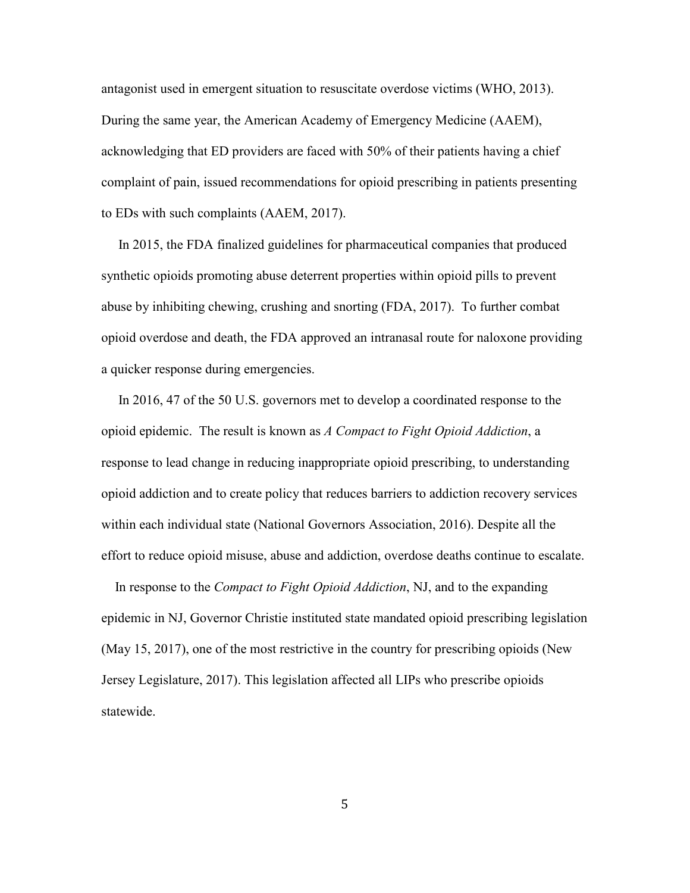antagonist used in emergent situation to resuscitate overdose victims (WHO, 2013). During the same year, the American Academy of Emergency Medicine (AAEM), acknowledging that ED providers are faced with 50% of their patients having a chief complaint of pain, issued recommendations for opioid prescribing in patients presenting to EDs with such complaints (AAEM, 2017).

 In 2015, the FDA finalized guidelines for pharmaceutical companies that produced synthetic opioids promoting abuse deterrent properties within opioid pills to prevent abuse by inhibiting chewing, crushing and snorting (FDA, 2017). To further combat opioid overdose and death, the FDA approved an intranasal route for naloxone providing a quicker response during emergencies.

 In 2016, 47 of the 50 U.S. governors met to develop a coordinated response to the opioid epidemic. The result is known as *A Compact to Fight Opioid Addiction*, a response to lead change in reducing inappropriate opioid prescribing, to understanding opioid addiction and to create policy that reduces barriers to addiction recovery services within each individual state (National Governors Association, 2016). Despite all the effort to reduce opioid misuse, abuse and addiction, overdose deaths continue to escalate.

 In response to the *Compact to Fight Opioid Addiction*, NJ, and to the expanding epidemic in NJ, Governor Christie instituted state mandated opioid prescribing legislation (May 15, 2017), one of the most restrictive in the country for prescribing opioids (New Jersey Legislature, 2017). This legislation affected all LIPs who prescribe opioids statewide.

5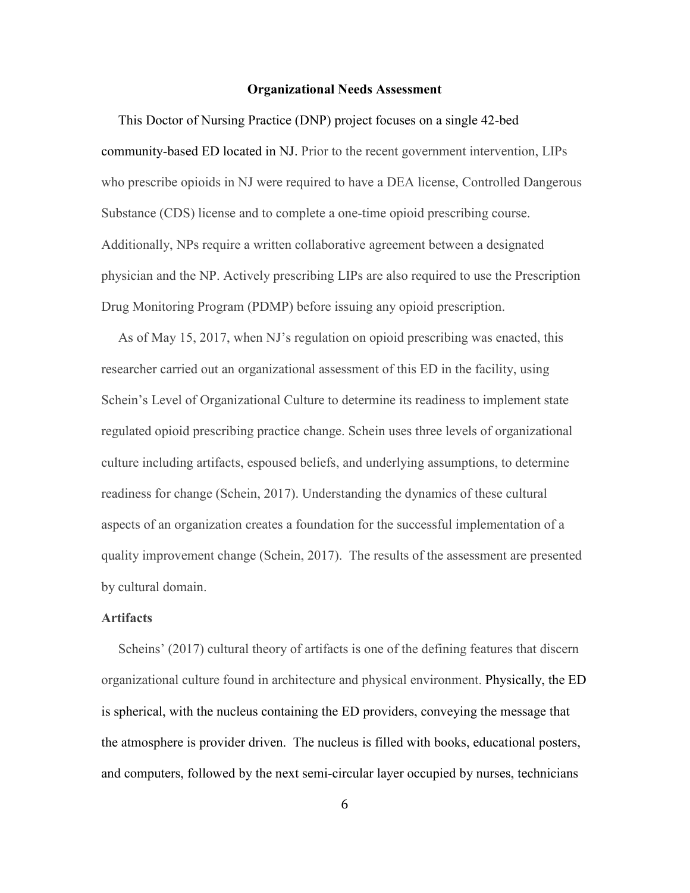#### **Organizational Needs Assessment**

 This Doctor of Nursing Practice (DNP) project focuses on a single 42-bed community-based ED located in NJ. Prior to the recent government intervention, LIPs who prescribe opioids in NJ were required to have a DEA license, Controlled Dangerous Substance (CDS) license and to complete a one-time opioid prescribing course. Additionally, NPs require a written collaborative agreement between a designated physician and the NP. Actively prescribing LIPs are also required to use the Prescription Drug Monitoring Program (PDMP) before issuing any opioid prescription.

 As of May 15, 2017, when NJ's regulation on opioid prescribing was enacted, this researcher carried out an organizational assessment of this ED in the facility, using Schein's Level of Organizational Culture to determine its readiness to implement state regulated opioid prescribing practice change. Schein uses three levels of organizational culture including artifacts, espoused beliefs, and underlying assumptions, to determine readiness for change (Schein, 2017). Understanding the dynamics of these cultural aspects of an organization creates a foundation for the successful implementation of a quality improvement change (Schein, 2017). The results of the assessment are presented by cultural domain.

#### **Artifacts**

 Scheins' (2017) cultural theory of artifacts is one of the defining features that discern organizational culture found in architecture and physical environment. Physically, the ED is spherical, with the nucleus containing the ED providers, conveying the message that the atmosphere is provider driven. The nucleus is filled with books, educational posters, and computers, followed by the next semi-circular layer occupied by nurses, technicians

6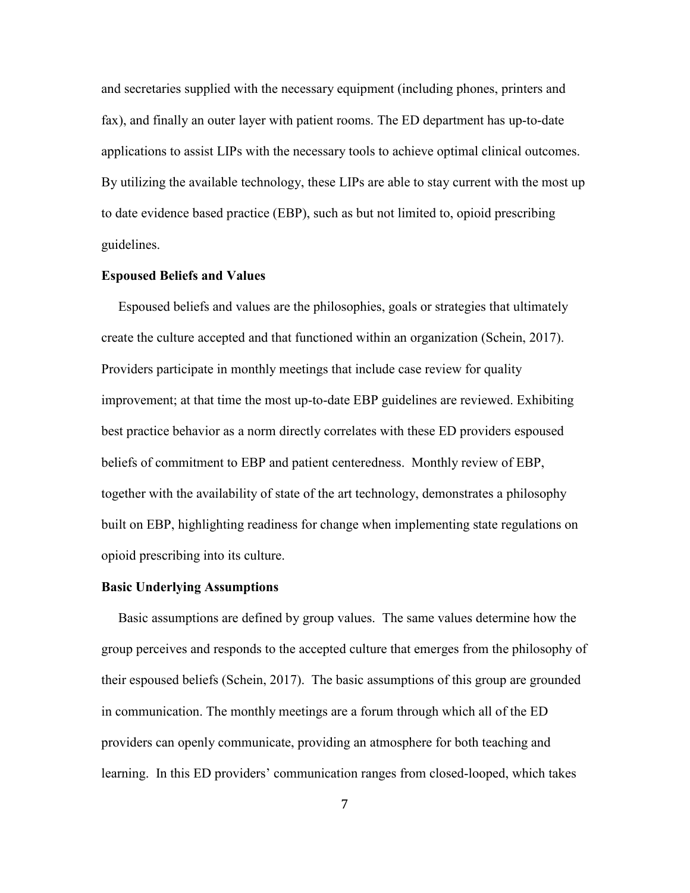and secretaries supplied with the necessary equipment (including phones, printers and fax), and finally an outer layer with patient rooms. The ED department has up-to-date applications to assist LIPs with the necessary tools to achieve optimal clinical outcomes. By utilizing the available technology, these LIPs are able to stay current with the most up to date evidence based practice (EBP), such as but not limited to, opioid prescribing guidelines.

#### **Espoused Beliefs and Values**

 Espoused beliefs and values are the philosophies, goals or strategies that ultimately create the culture accepted and that functioned within an organization (Schein, 2017). Providers participate in monthly meetings that include case review for quality improvement; at that time the most up-to-date EBP guidelines are reviewed. Exhibiting best practice behavior as a norm directly correlates with these ED providers espoused beliefs of commitment to EBP and patient centeredness. Monthly review of EBP, together with the availability of state of the art technology, demonstrates a philosophy built on EBP, highlighting readiness for change when implementing state regulations on opioid prescribing into its culture.

#### **Basic Underlying Assumptions**

 Basic assumptions are defined by group values. The same values determine how the group perceives and responds to the accepted culture that emerges from the philosophy of their espoused beliefs (Schein, 2017). The basic assumptions of this group are grounded in communication. The monthly meetings are a forum through which all of the ED providers can openly communicate, providing an atmosphere for both teaching and learning. In this ED providers' communication ranges from closed-looped, which takes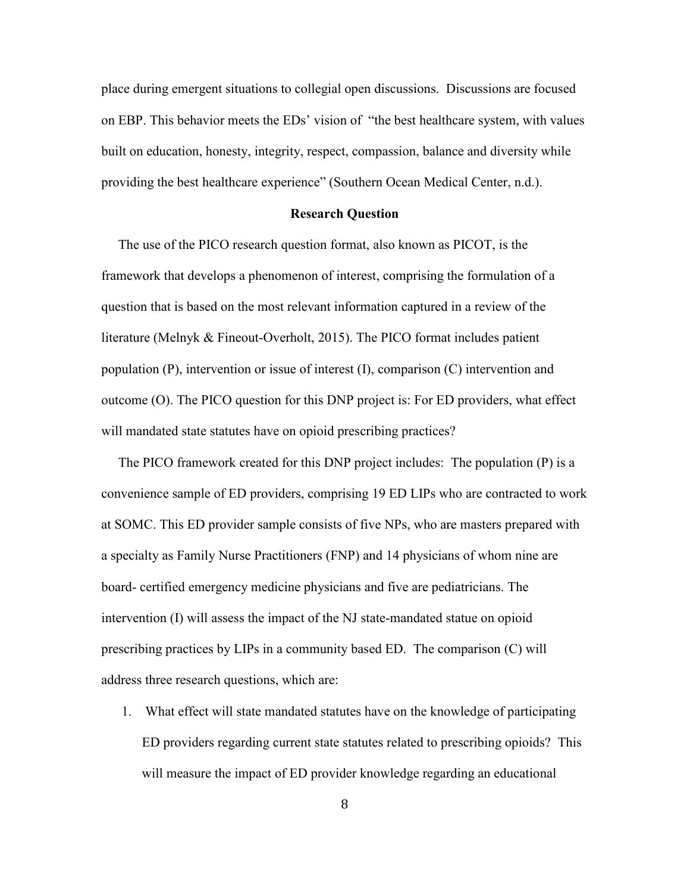place during emergent situations to collegial open discussions. Discussions are focused on EBP. This behavior meets the EDs' vision of "the best healthcare system, with values built on education, honesty, integrity, respect, compassion, balance and diversity while providing the best healthcare experience" (Southern Ocean Medical Center, n.d.).

#### **Research Question**

 The use of the PICO research question format, also known as PICOT, is the framework that develops a phenomenon of interest, comprising the formulation of a question that is based on the most relevant information captured in a review of the literature (Melnyk & Fineout-Overholt, 2015). The PICO format includes patient population (P), intervention or issue of interest (I), comparison (C) intervention and outcome (O). The PICO question for this DNP project is: For ED providers, what effect will mandated state statutes have on opioid prescribing practices?

 The PICO framework created for this DNP project includes: The population (P) is a convenience sample of ED providers, comprising 19 ED LIPs who are contracted to work at SOMC. This ED provider sample consists of five NPs, who are masters prepared with a specialty as Family Nurse Practitioners (FNP) and 14 physicians of whom nine are board- certified emergency medicine physicians and five are pediatricians. The intervention (I) will assess the impact of the NJ state-mandated statue on opioid prescribing practices by LIPs in a community based ED. The comparison (C) will address three research questions, which are:

1. What effect will state mandated statutes have on the knowledge of participating ED providers regarding current state statutes related to prescribing opioids? This will measure the impact of ED provider knowledge regarding an educational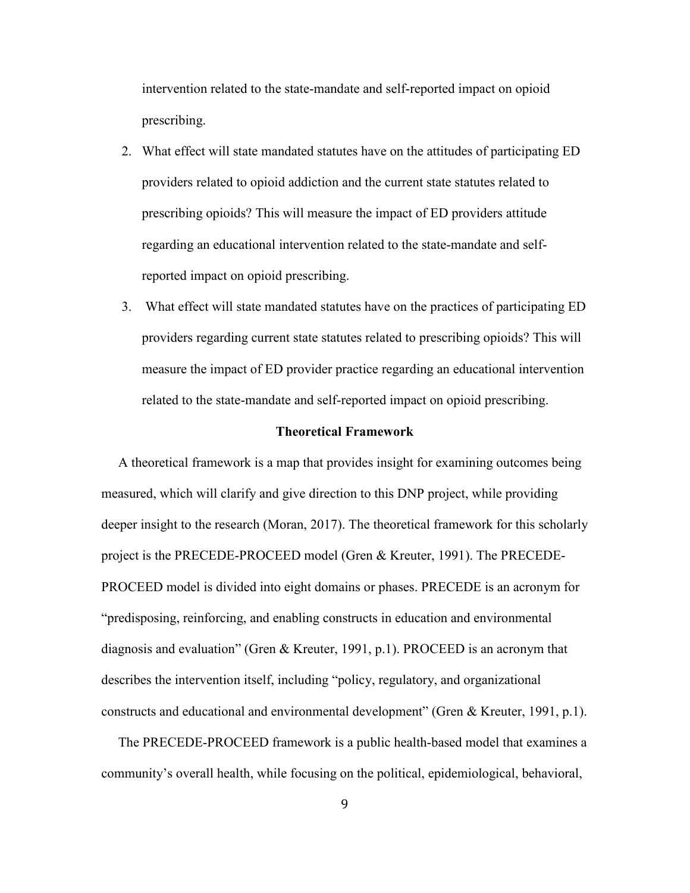intervention related to the state-mandate and self-reported impact on opioid prescribing.

- 2. What effect will state mandated statutes have on the attitudes of participating ED providers related to opioid addiction and the current state statutes related to prescribing opioids? This will measure the impact of ED providers attitude regarding an educational intervention related to the state-mandate and selfreported impact on opioid prescribing.
- 3. What effect will state mandated statutes have on the practices of participating ED providers regarding current state statutes related to prescribing opioids? This will measure the impact of ED provider practice regarding an educational intervention related to the state-mandate and self-reported impact on opioid prescribing.

#### **Theoretical Framework**

 A theoretical framework is a map that provides insight for examining outcomes being measured, which will clarify and give direction to this DNP project, while providing deeper insight to the research (Moran, 2017). The theoretical framework for this scholarly project is the PRECEDE-PROCEED model (Gren & Kreuter, 1991). The PRECEDE-PROCEED model is divided into eight domains or phases. PRECEDE is an acronym for "predisposing, reinforcing, and enabling constructs in education and environmental diagnosis and evaluation" (Gren & Kreuter, 1991, p.1). PROCEED is an acronym that describes the intervention itself, including "policy, regulatory, and organizational constructs and educational and environmental development" (Gren & Kreuter, 1991, p.1).

 The PRECEDE-PROCEED framework is a public health-based model that examines a community's overall health, while focusing on the political, epidemiological, behavioral,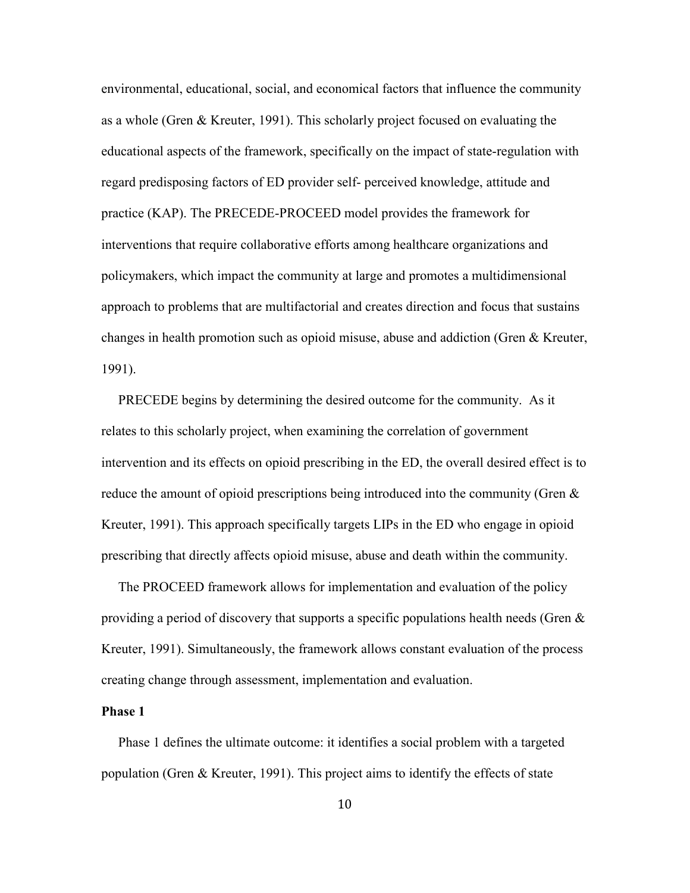environmental, educational, social, and economical factors that influence the community as a whole (Gren & Kreuter, 1991). This scholarly project focused on evaluating the educational aspects of the framework, specifically on the impact of state-regulation with regard predisposing factors of ED provider self- perceived knowledge, attitude and practice (KAP). The PRECEDE-PROCEED model provides the framework for interventions that require collaborative efforts among healthcare organizations and policymakers, which impact the community at large and promotes a multidimensional approach to problems that are multifactorial and creates direction and focus that sustains changes in health promotion such as opioid misuse, abuse and addiction (Gren & Kreuter, 1991).

 PRECEDE begins by determining the desired outcome for the community. As it relates to this scholarly project, when examining the correlation of government intervention and its effects on opioid prescribing in the ED, the overall desired effect is to reduce the amount of opioid prescriptions being introduced into the community (Gren  $\&$ Kreuter, 1991). This approach specifically targets LIPs in the ED who engage in opioid prescribing that directly affects opioid misuse, abuse and death within the community.

 The PROCEED framework allows for implementation and evaluation of the policy providing a period of discovery that supports a specific populations health needs (Gren  $\&$ Kreuter, 1991). Simultaneously, the framework allows constant evaluation of the process creating change through assessment, implementation and evaluation.

#### **Phase 1**

Phase 1 defines the ultimate outcome: it identifies a social problem with a targeted population (Gren & Kreuter, 1991). This project aims to identify the effects of state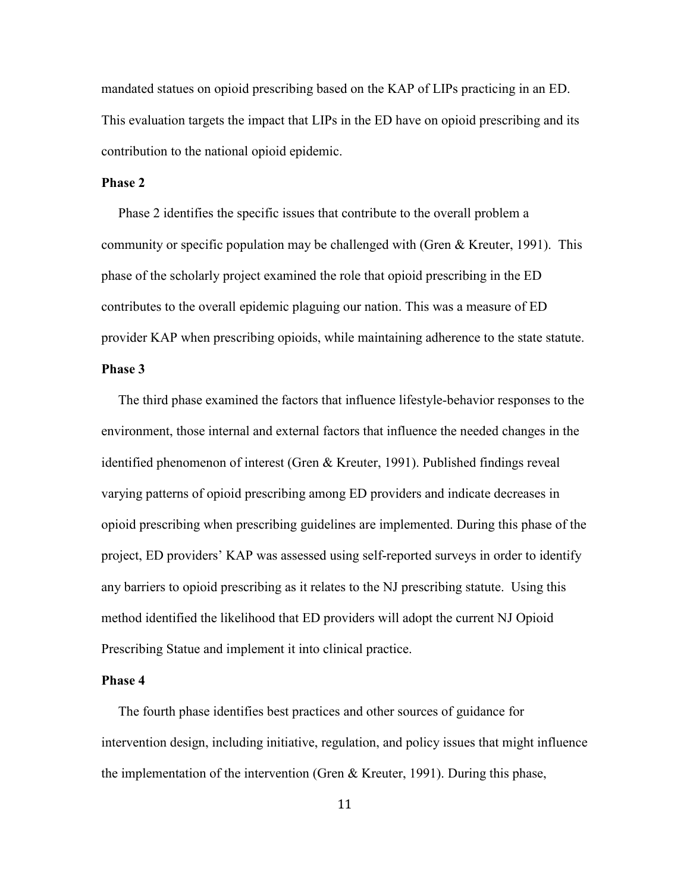mandated statues on opioid prescribing based on the KAP of LIPs practicing in an ED. This evaluation targets the impact that LIPs in the ED have on opioid prescribing and its contribution to the national opioid epidemic.

## **Phase 2**

 Phase 2 identifies the specific issues that contribute to the overall problem a community or specific population may be challenged with (Gren & Kreuter, 1991). This phase of the scholarly project examined the role that opioid prescribing in the ED contributes to the overall epidemic plaguing our nation. This was a measure of ED provider KAP when prescribing opioids, while maintaining adherence to the state statute.

## **Phase 3**

 The third phase examined the factors that influence lifestyle-behavior responses to the environment, those internal and external factors that influence the needed changes in the identified phenomenon of interest (Gren & Kreuter, 1991). Published findings reveal varying patterns of opioid prescribing among ED providers and indicate decreases in opioid prescribing when prescribing guidelines are implemented. During this phase of the project, ED providers' KAP was assessed using self-reported surveys in order to identify any barriers to opioid prescribing as it relates to the NJ prescribing statute. Using this method identified the likelihood that ED providers will adopt the current NJ Opioid Prescribing Statue and implement it into clinical practice.

#### **Phase 4**

 The fourth phase identifies best practices and other sources of guidance for intervention design, including initiative, regulation, and policy issues that might influence the implementation of the intervention (Gren & Kreuter, 1991). During this phase,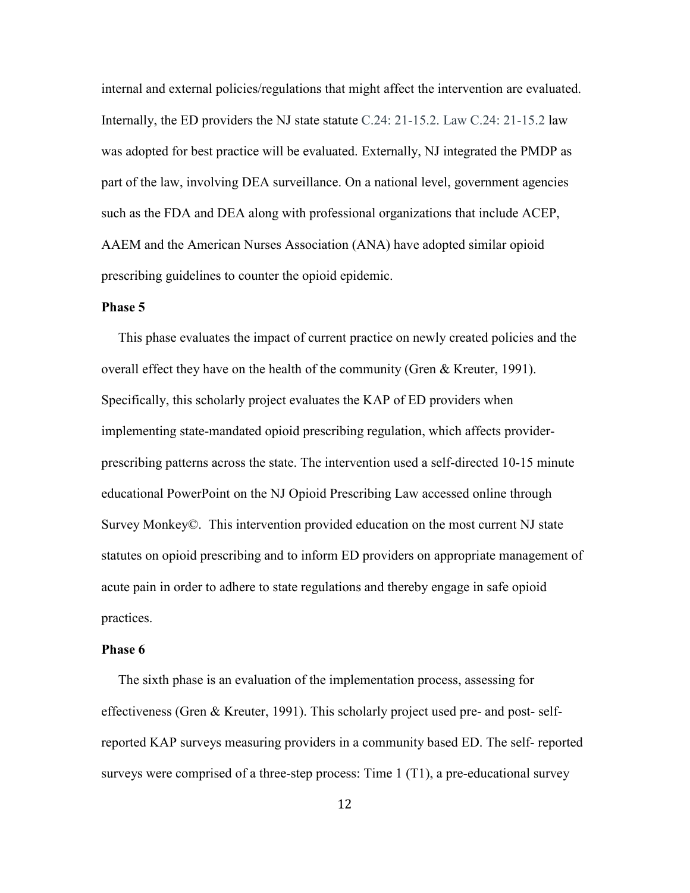internal and external policies/regulations that might affect the intervention are evaluated. Internally, the ED providers the NJ state statute C.24: 21-15.2. Law C.24: 21-15.2 law was adopted for best practice will be evaluated. Externally, NJ integrated the PMDP as part of the law, involving DEA surveillance. On a national level, government agencies such as the FDA and DEA along with professional organizations that include ACEP, AAEM and the American Nurses Association (ANA) have adopted similar opioid prescribing guidelines to counter the opioid epidemic.

#### **Phase 5**

 This phase evaluates the impact of current practice on newly created policies and the overall effect they have on the health of the community (Gren  $\&$  Kreuter, 1991). Specifically, this scholarly project evaluates the KAP of ED providers when implementing state-mandated opioid prescribing regulation, which affects providerprescribing patterns across the state. The intervention used a self-directed 10-15 minute educational PowerPoint on the NJ Opioid Prescribing Law accessed online through Survey Monkey©. This intervention provided education on the most current NJ state statutes on opioid prescribing and to inform ED providers on appropriate management of acute pain in order to adhere to state regulations and thereby engage in safe opioid practices.

#### **Phase 6**

 The sixth phase is an evaluation of the implementation process, assessing for effectiveness (Gren & Kreuter, 1991). This scholarly project used pre- and post- selfreported KAP surveys measuring providers in a community based ED. The self- reported surveys were comprised of a three-step process: Time 1 (T1), a pre-educational survey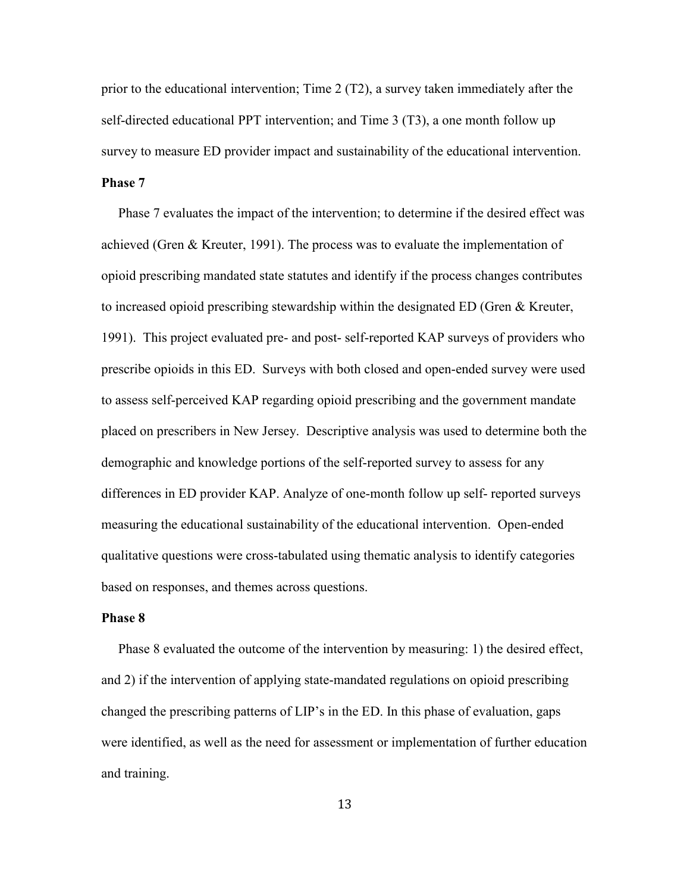prior to the educational intervention; Time 2 (T2), a survey taken immediately after the self-directed educational PPT intervention; and Time 3 (T3), a one month follow up survey to measure ED provider impact and sustainability of the educational intervention. **Phase 7** 

 Phase 7 evaluates the impact of the intervention; to determine if the desired effect was achieved (Gren & Kreuter, 1991). The process was to evaluate the implementation of opioid prescribing mandated state statutes and identify if the process changes contributes to increased opioid prescribing stewardship within the designated ED (Gren & Kreuter, 1991). This project evaluated pre- and post- self-reported KAP surveys of providers who prescribe opioids in this ED. Surveys with both closed and open-ended survey were used to assess self-perceived KAP regarding opioid prescribing and the government mandate placed on prescribers in New Jersey. Descriptive analysis was used to determine both the demographic and knowledge portions of the self-reported survey to assess for any differences in ED provider KAP. Analyze of one-month follow up self- reported surveys measuring the educational sustainability of the educational intervention. Open-ended qualitative questions were cross-tabulated using thematic analysis to identify categories based on responses, and themes across questions.

#### **Phase 8**

Phase 8 evaluated the outcome of the intervention by measuring: 1) the desired effect, and 2) if the intervention of applying state-mandated regulations on opioid prescribing changed the prescribing patterns of LIP's in the ED. In this phase of evaluation, gaps were identified, as well as the need for assessment or implementation of further education and training.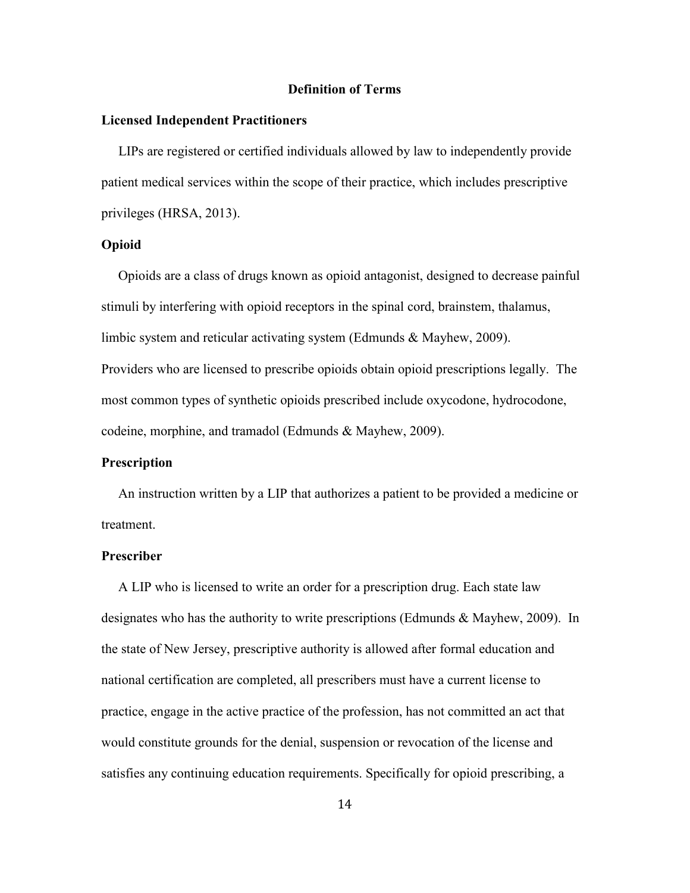#### **Definition of Terms**

#### **Licensed Independent Practitioners**

 LIPs are registered or certified individuals allowed by law to independently provide patient medical services within the scope of their practice, which includes prescriptive privileges (HRSA, 2013).

#### **Opioid**

 Opioids are a class of drugs known as opioid antagonist, designed to decrease painful stimuli by interfering with opioid receptors in the spinal cord, brainstem, thalamus, limbic system and reticular activating system (Edmunds & Mayhew, 2009). Providers who are licensed to prescribe opioids obtain opioid prescriptions legally. The most common types of synthetic opioids prescribed include oxycodone, hydrocodone, codeine, morphine, and tramadol (Edmunds & Mayhew, 2009).

#### **Prescription**

 An instruction written by a LIP that authorizes a patient to be provided a medicine or treatment.

#### **Prescriber**

 A LIP who is licensed to write an order for a prescription drug. Each state law designates who has the authority to write prescriptions (Edmunds & Mayhew, 2009). In the state of New Jersey, prescriptive authority is allowed after formal education and national certification are completed, all prescribers must have a current license to practice, engage in the active practice of the profession, has not committed an act that would constitute grounds for the denial, suspension or revocation of the license and satisfies any continuing education requirements. Specifically for opioid prescribing, a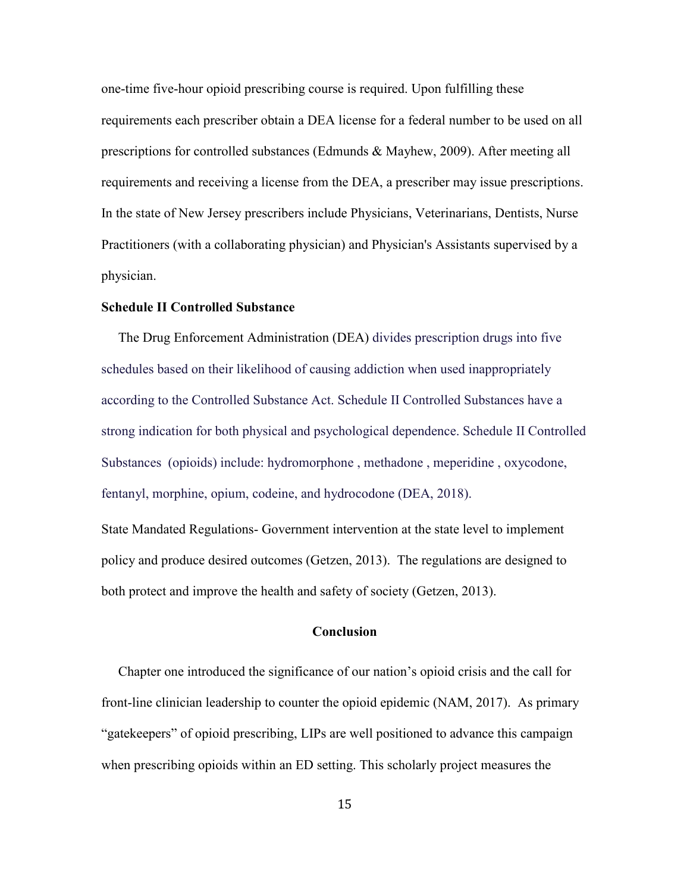one-time five-hour opioid prescribing course is required. Upon fulfilling these requirements each prescriber obtain a DEA license for a federal number to be used on all prescriptions for controlled substances (Edmunds & Mayhew, 2009). After meeting all requirements and receiving a license from the DEA, a prescriber may issue prescriptions. In the state of New Jersey prescribers include Physicians, Veterinarians, Dentists, Nurse Practitioners (with a collaborating physician) and Physician's Assistants supervised by a physician.

#### **Schedule II Controlled Substance**

 The Drug Enforcement Administration (DEA) divides prescription drugs into five schedules based on their likelihood of causing addiction when used inappropriately according to the Controlled Substance Act. Schedule II Controlled Substances have a strong indication for both physical and psychological dependence. Schedule II Controlled Substances (opioids) include: hydromorphone , methadone , meperidine , oxycodone, fentanyl, morphine, opium, codeine, and hydrocodone (DEA, 2018).

State Mandated Regulations- Government intervention at the state level to implement policy and produce desired outcomes (Getzen, 2013). The regulations are designed to both protect and improve the health and safety of society (Getzen, 2013).

#### **Conclusion**

 Chapter one introduced the significance of our nation's opioid crisis and the call for front-line clinician leadership to counter the opioid epidemic (NAM, 2017). As primary "gatekeepers" of opioid prescribing, LIPs are well positioned to advance this campaign when prescribing opioids within an ED setting. This scholarly project measures the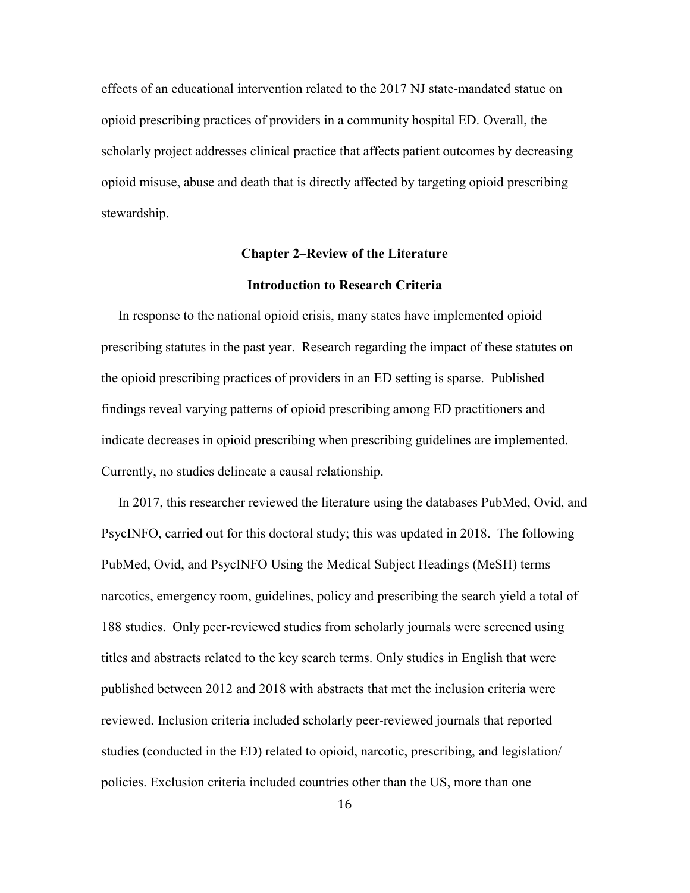effects of an educational intervention related to the 2017 NJ state-mandated statue on opioid prescribing practices of providers in a community hospital ED. Overall, the scholarly project addresses clinical practice that affects patient outcomes by decreasing opioid misuse, abuse and death that is directly affected by targeting opioid prescribing stewardship.

# **Chapter 2–Review of the Literature**

## **Introduction to Research Criteria**

 In response to the national opioid crisis, many states have implemented opioid prescribing statutes in the past year. Research regarding the impact of these statutes on the opioid prescribing practices of providers in an ED setting is sparse. Published findings reveal varying patterns of opioid prescribing among ED practitioners and indicate decreases in opioid prescribing when prescribing guidelines are implemented. Currently, no studies delineate a causal relationship.

 In 2017, this researcher reviewed the literature using the databases PubMed, Ovid, and PsycINFO, carried out for this doctoral study; this was updated in 2018. The following PubMed, Ovid, and PsycINFO Using the Medical Subject Headings (MeSH) terms narcotics, emergency room, guidelines, policy and prescribing the search yield a total of 188 studies. Only peer-reviewed studies from scholarly journals were screened using titles and abstracts related to the key search terms. Only studies in English that were published between 2012 and 2018 with abstracts that met the inclusion criteria were reviewed. Inclusion criteria included scholarly peer-reviewed journals that reported studies (conducted in the ED) related to opioid, narcotic, prescribing, and legislation/ policies. Exclusion criteria included countries other than the US, more than one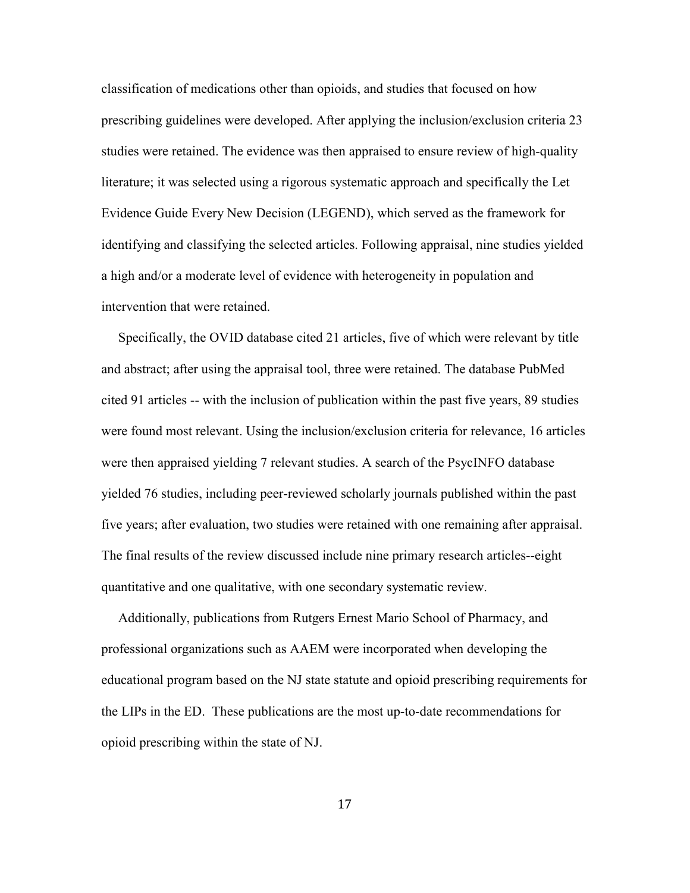classification of medications other than opioids, and studies that focused on how prescribing guidelines were developed. After applying the inclusion/exclusion criteria 23 studies were retained. The evidence was then appraised to ensure review of high-quality literature; it was selected using a rigorous systematic approach and specifically the Let Evidence Guide Every New Decision (LEGEND), which served as the framework for identifying and classifying the selected articles. Following appraisal, nine studies yielded a high and/or a moderate level of evidence with heterogeneity in population and intervention that were retained.

 Specifically, the OVID database cited 21 articles, five of which were relevant by title and abstract; after using the appraisal tool, three were retained. The database PubMed cited 91 articles -- with the inclusion of publication within the past five years, 89 studies were found most relevant. Using the inclusion/exclusion criteria for relevance, 16 articles were then appraised yielding 7 relevant studies. A search of the PsycINFO database yielded 76 studies, including peer-reviewed scholarly journals published within the past five years; after evaluation, two studies were retained with one remaining after appraisal. The final results of the review discussed include nine primary research articles--eight quantitative and one qualitative, with one secondary systematic review.

 Additionally, publications from Rutgers Ernest Mario School of Pharmacy, and professional organizations such as AAEM were incorporated when developing the educational program based on the NJ state statute and opioid prescribing requirements for the LIPs in the ED. These publications are the most up-to-date recommendations for opioid prescribing within the state of NJ.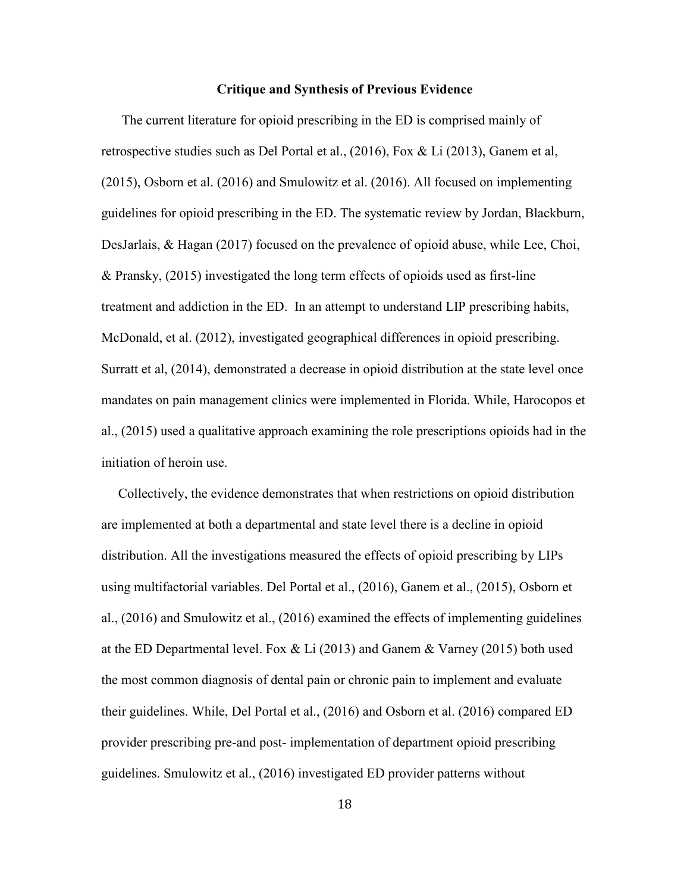#### **Critique and Synthesis of Previous Evidence**

 The current literature for opioid prescribing in the ED is comprised mainly of retrospective studies such as Del Portal et al., (2016), Fox & Li (2013), Ganem et al, (2015), Osborn et al. (2016) and Smulowitz et al. (2016). All focused on implementing guidelines for opioid prescribing in the ED. The systematic review by Jordan, Blackburn, DesJarlais, & Hagan (2017) focused on the prevalence of opioid abuse, while Lee, Choi, & Pransky, (2015) investigated the long term effects of opioids used as first-line treatment and addiction in the ED. In an attempt to understand LIP prescribing habits, McDonald, et al. (2012), investigated geographical differences in opioid prescribing. Surratt et al, (2014), demonstrated a decrease in opioid distribution at the state level once mandates on pain management clinics were implemented in Florida. While, Harocopos et al., (2015) used a qualitative approach examining the role prescriptions opioids had in the initiation of heroin use.

 Collectively, the evidence demonstrates that when restrictions on opioid distribution are implemented at both a departmental and state level there is a decline in opioid distribution. All the investigations measured the effects of opioid prescribing by LIPs using multifactorial variables. Del Portal et al., (2016), Ganem et al., (2015), Osborn et al., (2016) and Smulowitz et al., (2016) examined the effects of implementing guidelines at the ED Departmental level. Fox  $& Li(2013)$  and Ganem  $& Varney(2015)$  both used the most common diagnosis of dental pain or chronic pain to implement and evaluate their guidelines. While, Del Portal et al., (2016) and Osborn et al. (2016) compared ED provider prescribing pre-and post- implementation of department opioid prescribing guidelines. Smulowitz et al., (2016) investigated ED provider patterns without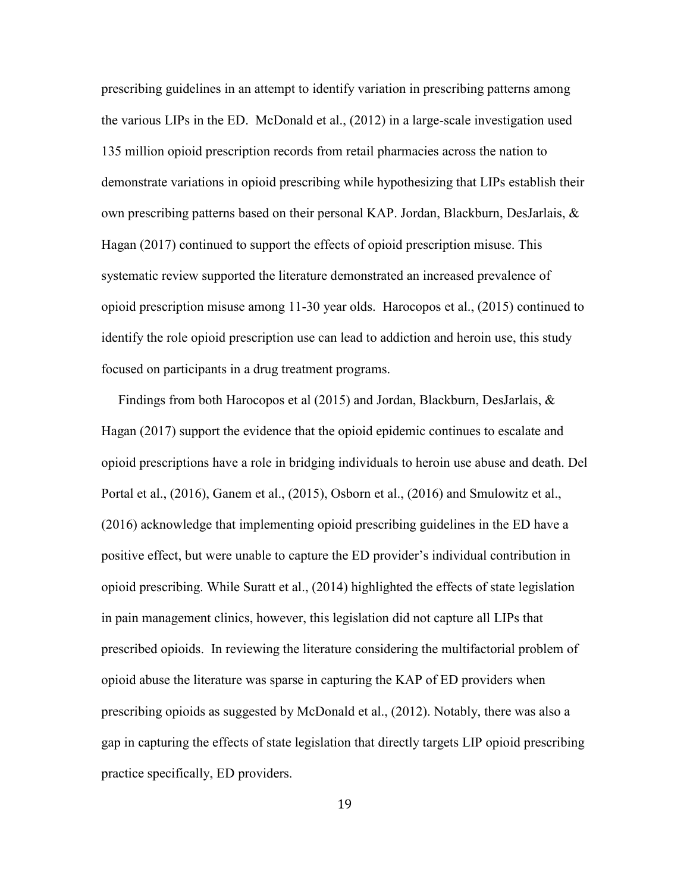prescribing guidelines in an attempt to identify variation in prescribing patterns among the various LIPs in the ED. McDonald et al., (2012) in a large-scale investigation used 135 million opioid prescription records from retail pharmacies across the nation to demonstrate variations in opioid prescribing while hypothesizing that LIPs establish their own prescribing patterns based on their personal KAP. Jordan, Blackburn, DesJarlais, & Hagan (2017) continued to support the effects of opioid prescription misuse. This systematic review supported the literature demonstrated an increased prevalence of opioid prescription misuse among 11-30 year olds. Harocopos et al., (2015) continued to identify the role opioid prescription use can lead to addiction and heroin use, this study focused on participants in a drug treatment programs.

 Findings from both Harocopos et al (2015) and Jordan, Blackburn, DesJarlais, & Hagan (2017) support the evidence that the opioid epidemic continues to escalate and opioid prescriptions have a role in bridging individuals to heroin use abuse and death. Del Portal et al., (2016), Ganem et al., (2015), Osborn et al., (2016) and Smulowitz et al., (2016) acknowledge that implementing opioid prescribing guidelines in the ED have a positive effect, but were unable to capture the ED provider's individual contribution in opioid prescribing. While Suratt et al., (2014) highlighted the effects of state legislation in pain management clinics, however, this legislation did not capture all LIPs that prescribed opioids. In reviewing the literature considering the multifactorial problem of opioid abuse the literature was sparse in capturing the KAP of ED providers when prescribing opioids as suggested by McDonald et al., (2012). Notably, there was also a gap in capturing the effects of state legislation that directly targets LIP opioid prescribing practice specifically, ED providers.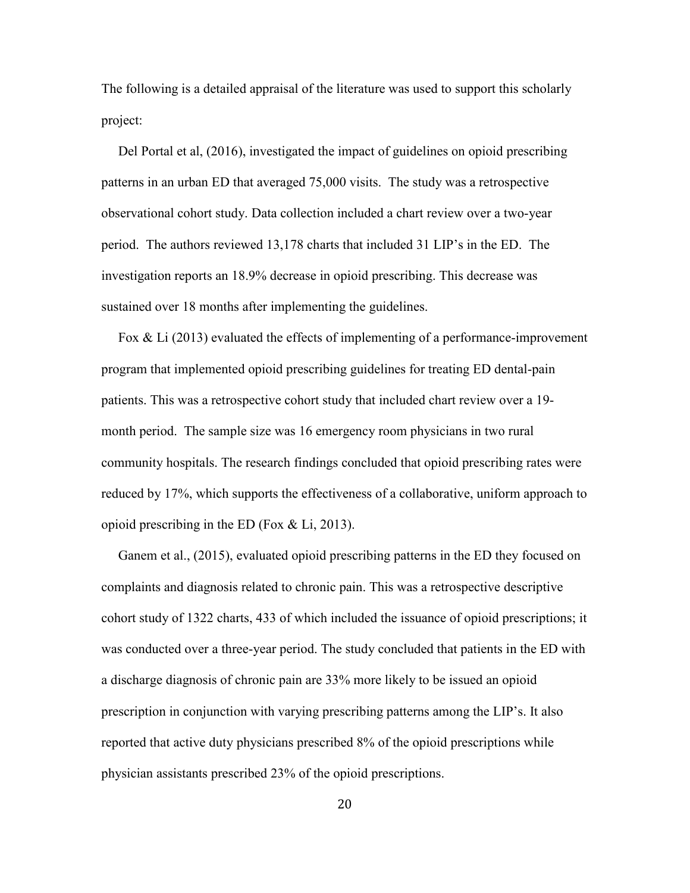The following is a detailed appraisal of the literature was used to support this scholarly project:

 Del Portal et al, (2016), investigated the impact of guidelines on opioid prescribing patterns in an urban ED that averaged 75,000 visits. The study was a retrospective observational cohort study. Data collection included a chart review over a two-year period. The authors reviewed 13,178 charts that included 31 LIP's in the ED. The investigation reports an 18.9% decrease in opioid prescribing. This decrease was sustained over 18 months after implementing the guidelines.

 Fox & Li (2013) evaluated the effects of implementing of a performance-improvement program that implemented opioid prescribing guidelines for treating ED dental-pain patients. This was a retrospective cohort study that included chart review over a 19 month period. The sample size was 16 emergency room physicians in two rural community hospitals. The research findings concluded that opioid prescribing rates were reduced by 17%, which supports the effectiveness of a collaborative, uniform approach to opioid prescribing in the ED (Fox & Li, 2013).

 Ganem et al., (2015), evaluated opioid prescribing patterns in the ED they focused on complaints and diagnosis related to chronic pain. This was a retrospective descriptive cohort study of 1322 charts, 433 of which included the issuance of opioid prescriptions; it was conducted over a three-year period. The study concluded that patients in the ED with a discharge diagnosis of chronic pain are 33% more likely to be issued an opioid prescription in conjunction with varying prescribing patterns among the LIP's. It also reported that active duty physicians prescribed 8% of the opioid prescriptions while physician assistants prescribed 23% of the opioid prescriptions.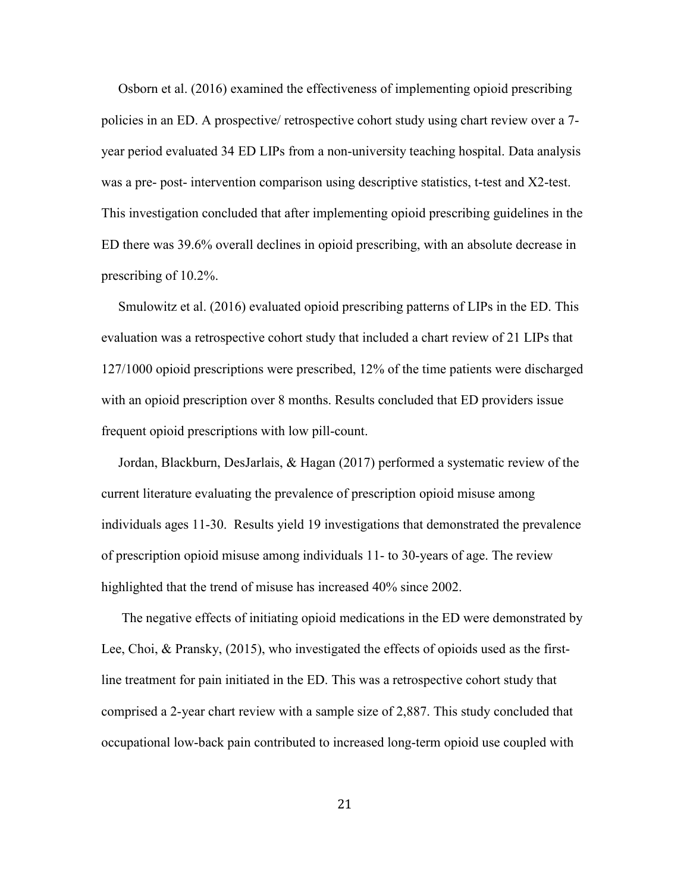Osborn et al. (2016) examined the effectiveness of implementing opioid prescribing policies in an ED. A prospective/ retrospective cohort study using chart review over a 7 year period evaluated 34 ED LIPs from a non-university teaching hospital. Data analysis was a pre- post- intervention comparison using descriptive statistics, t-test and X2-test. This investigation concluded that after implementing opioid prescribing guidelines in the ED there was 39.6% overall declines in opioid prescribing, with an absolute decrease in prescribing of 10.2%.

 Smulowitz et al. (2016) evaluated opioid prescribing patterns of LIPs in the ED. This evaluation was a retrospective cohort study that included a chart review of 21 LIPs that 127/1000 opioid prescriptions were prescribed, 12% of the time patients were discharged with an opioid prescription over 8 months. Results concluded that ED providers issue frequent opioid prescriptions with low pill-count.

 Jordan, Blackburn, DesJarlais, & Hagan (2017) performed a systematic review of the current literature evaluating the prevalence of prescription opioid misuse among individuals ages 11-30. Results yield 19 investigations that demonstrated the prevalence of prescription opioid misuse among individuals 11- to 30-years of age. The review highlighted that the trend of misuse has increased 40% since 2002.

 The negative effects of initiating opioid medications in the ED were demonstrated by Lee, Choi, & Pransky, (2015), who investigated the effects of opioids used as the firstline treatment for pain initiated in the ED. This was a retrospective cohort study that comprised a 2-year chart review with a sample size of 2,887. This study concluded that occupational low-back pain contributed to increased long-term opioid use coupled with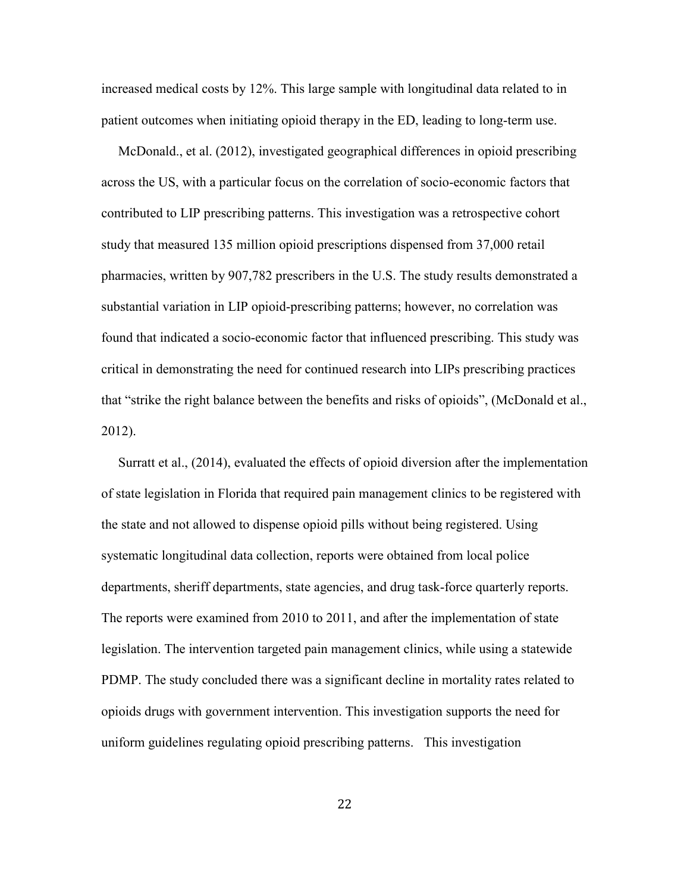increased medical costs by 12%. This large sample with longitudinal data related to in patient outcomes when initiating opioid therapy in the ED, leading to long-term use.

 McDonald., et al. (2012), investigated geographical differences in opioid prescribing across the US, with a particular focus on the correlation of socio-economic factors that contributed to LIP prescribing patterns. This investigation was a retrospective cohort study that measured 135 million opioid prescriptions dispensed from 37,000 retail pharmacies, written by 907,782 prescribers in the U.S. The study results demonstrated a substantial variation in LIP opioid-prescribing patterns; however, no correlation was found that indicated a socio-economic factor that influenced prescribing. This study was critical in demonstrating the need for continued research into LIPs prescribing practices that "strike the right balance between the benefits and risks of opioids", (McDonald et al., 2012).

 Surratt et al., (2014), evaluated the effects of opioid diversion after the implementation of state legislation in Florida that required pain management clinics to be registered with the state and not allowed to dispense opioid pills without being registered. Using systematic longitudinal data collection, reports were obtained from local police departments, sheriff departments, state agencies, and drug task-force quarterly reports. The reports were examined from 2010 to 2011, and after the implementation of state legislation. The intervention targeted pain management clinics, while using a statewide PDMP. The study concluded there was a significant decline in mortality rates related to opioids drugs with government intervention. This investigation supports the need for uniform guidelines regulating opioid prescribing patterns. This investigation

22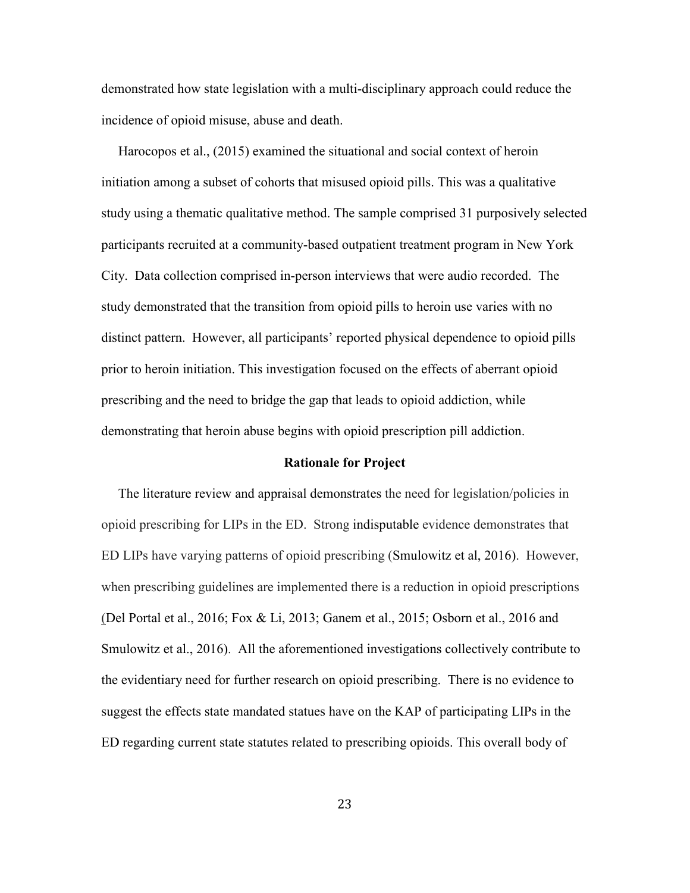demonstrated how state legislation with a multi-disciplinary approach could reduce the incidence of opioid misuse, abuse and death.

 Harocopos et al., (2015) examined the situational and social context of heroin initiation among a subset of cohorts that misused opioid pills. This was a qualitative study using a thematic qualitative method. The sample comprised 31 purposively selected participants recruited at a community-based outpatient treatment program in New York City. Data collection comprised in-person interviews that were audio recorded. The study demonstrated that the transition from opioid pills to heroin use varies with no distinct pattern. However, all participants' reported physical dependence to opioid pills prior to heroin initiation. This investigation focused on the effects of aberrant opioid prescribing and the need to bridge the gap that leads to opioid addiction, while demonstrating that heroin abuse begins with opioid prescription pill addiction.

#### **Rationale for Project**

 The literature review and appraisal demonstrates the need for legislation/policies in opioid prescribing for LIPs in the ED. Strong indisputable evidence demonstrates that ED LIPs have varying patterns of opioid prescribing (Smulowitz et al, 2016). However, when prescribing guidelines are implemented there is a reduction in opioid prescriptions (Del Portal et al., 2016; Fox & Li, 2013; Ganem et al., 2015; Osborn et al., 2016 and Smulowitz et al., 2016). All the aforementioned investigations collectively contribute to the evidentiary need for further research on opioid prescribing. There is no evidence to suggest the effects state mandated statues have on the KAP of participating LIPs in the ED regarding current state statutes related to prescribing opioids. This overall body of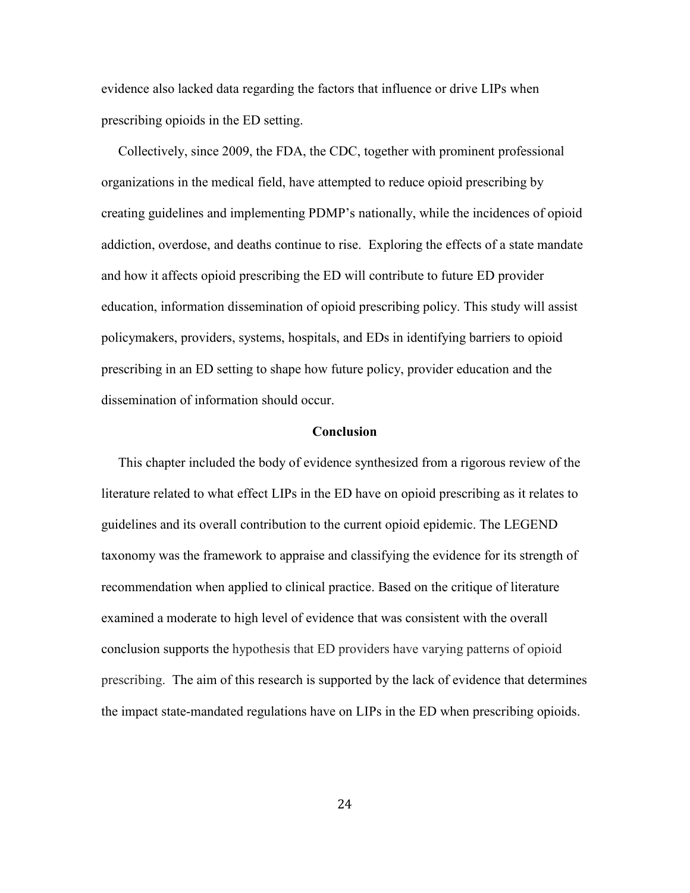evidence also lacked data regarding the factors that influence or drive LIPs when prescribing opioids in the ED setting.

 Collectively, since 2009, the FDA, the CDC, together with prominent professional organizations in the medical field, have attempted to reduce opioid prescribing by creating guidelines and implementing PDMP's nationally, while the incidences of opioid addiction, overdose, and deaths continue to rise. Exploring the effects of a state mandate and how it affects opioid prescribing the ED will contribute to future ED provider education, information dissemination of opioid prescribing policy. This study will assist policymakers, providers, systems, hospitals, and EDs in identifying barriers to opioid prescribing in an ED setting to shape how future policy, provider education and the dissemination of information should occur.

#### **Conclusion**

This chapter included the body of evidence synthesized from a rigorous review of the literature related to what effect LIPs in the ED have on opioid prescribing as it relates to guidelines and its overall contribution to the current opioid epidemic. The LEGEND taxonomy was the framework to appraise and classifying the evidence for its strength of recommendation when applied to clinical practice. Based on the critique of literature examined a moderate to high level of evidence that was consistent with the overall conclusion supports the hypothesis that ED providers have varying patterns of opioid prescribing. The aim of this research is supported by the lack of evidence that determines the impact state-mandated regulations have on LIPs in the ED when prescribing opioids.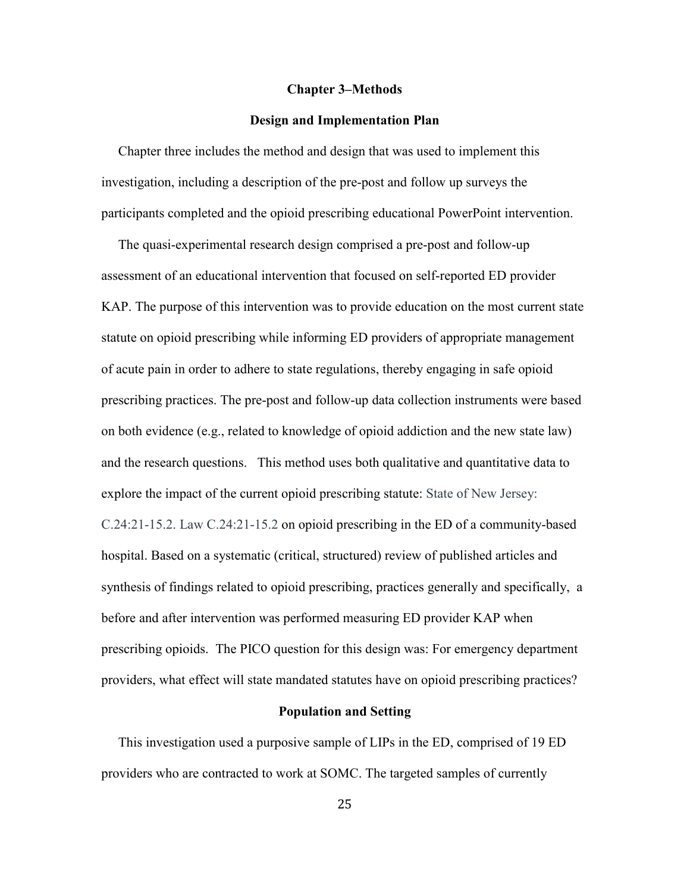#### **Chapter 3–Methods**

#### **Design and Implementation Plan**

 Chapter three includes the method and design that was used to implement this investigation, including a description of the pre-post and follow up surveys the participants completed and the opioid prescribing educational PowerPoint intervention.

 The quasi-experimental research design comprised a pre-post and follow-up assessment of an educational intervention that focused on self-reported ED provider KAP. The purpose of this intervention was to provide education on the most current state statute on opioid prescribing while informing ED providers of appropriate management of acute pain in order to adhere to state regulations, thereby engaging in safe opioid prescribing practices. The pre-post and follow-up data collection instruments were based on both evidence (e.g., related to knowledge of opioid addiction and the new state law) and the research questions. This method uses both qualitative and quantitative data to explore the impact of the current opioid prescribing statute: State of New Jersey: C.24:21-15.2. Law C.24:21-15.2 on opioid prescribing in the ED of a community-based hospital. Based on a systematic (critical, structured) review of published articles and synthesis of findings related to opioid prescribing, practices generally and specifically, a before and after intervention was performed measuring ED provider KAP when prescribing opioids. The PICO question for this design was: For emergency department providers, what effect will state mandated statutes have on opioid prescribing practices?

#### **Population and Setting**

 This investigation used a purposive sample of LIPs in the ED, comprised of 19 ED providers who are contracted to work at SOMC. The targeted samples of currently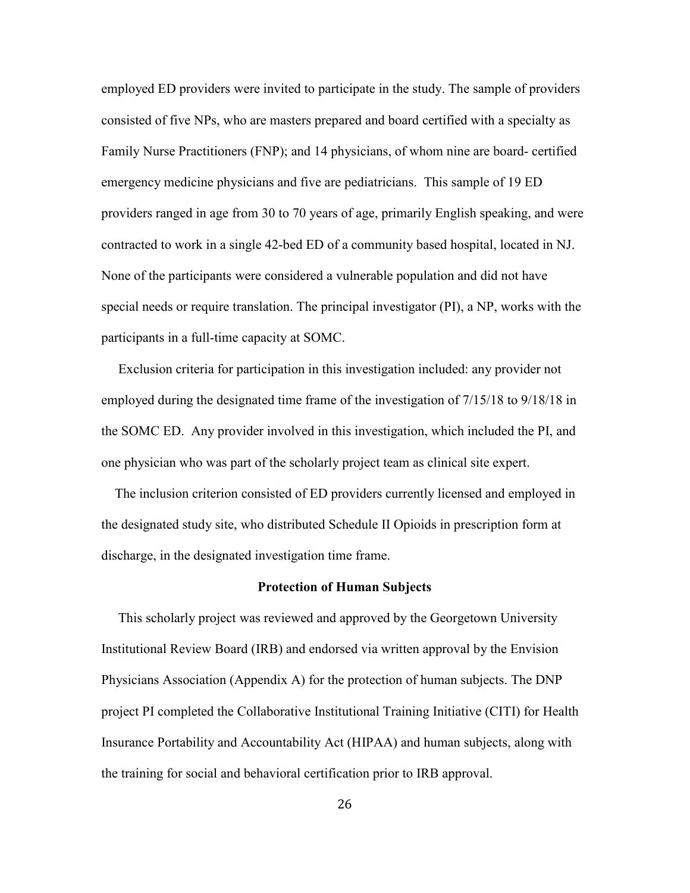employed ED providers were invited to participate in the study. The sample of providers consisted of five NPs, who are masters prepared and board certified with a specialty as Family Nurse Practitioners (FNP); and 14 physicians, of whom nine are board- certified emergency medicine physicians and five are pediatricians. This sample of 19 ED providers ranged in age from 30 to 70 years of age, primarily English speaking, and were contracted to work in a single 42-bed ED of a community based hospital, located in NJ. None of the participants were considered a vulnerable population and did not have special needs or require translation. The principal investigator (PI), a NP, works with the participants in a full-time capacity at SOMC.

 Exclusion criteria for participation in this investigation included: any provider not employed during the designated time frame of the investigation of 7/15/18 to 9/18/18 in the SOMC ED. Any provider involved in this investigation, which included the PI, and one physician who was part of the scholarly project team as clinical site expert.

 The inclusion criterion consisted of ED providers currently licensed and employed in the designated study site, who distributed Schedule II Opioids in prescription form at discharge, in the designated investigation time frame.

#### **Protection of Human Subjects**

 This scholarly project was reviewed and approved by the Georgetown University Institutional Review Board (IRB) and endorsed via written approval by the Envision Physicians Association (Appendix A) for the protection of human subjects. The DNP project PI completed the Collaborative Institutional Training Initiative (CITI) for Health Insurance Portability and Accountability Act (HIPAA) and human subjects, along with the training for social and behavioral certification prior to IRB approval.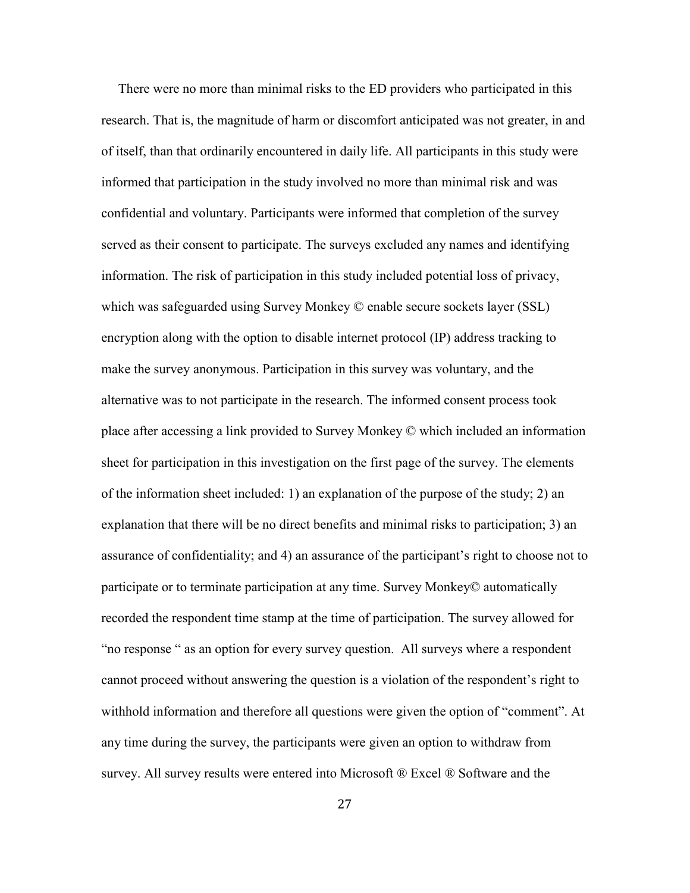There were no more than minimal risks to the ED providers who participated in this research. That is, the magnitude of harm or discomfort anticipated was not greater, in and of itself, than that ordinarily encountered in daily life. All participants in this study were informed that participation in the study involved no more than minimal risk and was confidential and voluntary. Participants were informed that completion of the survey served as their consent to participate. The surveys excluded any names and identifying information. The risk of participation in this study included potential loss of privacy, which was safeguarded using Survey Monkey © enable secure sockets layer (SSL) encryption along with the option to disable internet protocol (IP) address tracking to make the survey anonymous. Participation in this survey was voluntary, and the alternative was to not participate in the research. The informed consent process took place after accessing a link provided to Survey Monkey © which included an information sheet for participation in this investigation on the first page of the survey. The elements of the information sheet included: 1) an explanation of the purpose of the study; 2) an explanation that there will be no direct benefits and minimal risks to participation; 3) an assurance of confidentiality; and 4) an assurance of the participant's right to choose not to participate or to terminate participation at any time. Survey Monkey© automatically recorded the respondent time stamp at the time of participation. The survey allowed for "no response " as an option for every survey question. All surveys where a respondent cannot proceed without answering the question is a violation of the respondent's right to withhold information and therefore all questions were given the option of "comment". At any time during the survey, the participants were given an option to withdraw from survey. All survey results were entered into Microsoft ® Excel ® Software and the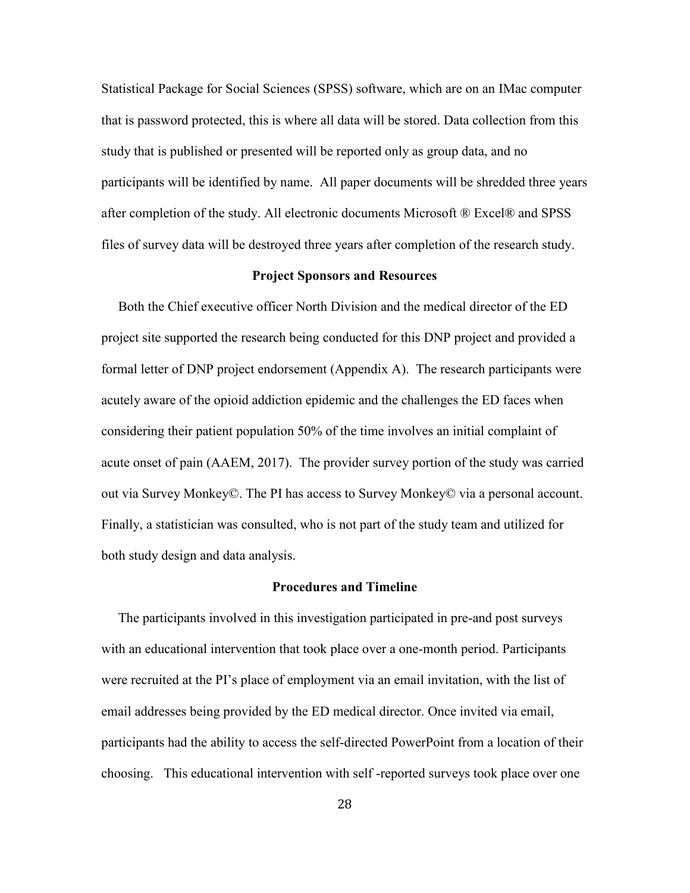Statistical Package for Social Sciences (SPSS) software, which are on an IMac computer that is password protected, this is where all data will be stored. Data collection from this study that is published or presented will be reported only as group data, and no participants will be identified by name. All paper documents will be shredded three years after completion of the study. All electronic documents Microsoft ® Excel® and SPSS files of survey data will be destroyed three years after completion of the research study.

### **Project Sponsors and Resources**

 Both the Chief executive officer North Division and the medical director of the ED project site supported the research being conducted for this DNP project and provided a formal letter of DNP project endorsement (Appendix A). The research participants were acutely aware of the opioid addiction epidemic and the challenges the ED faces when considering their patient population 50% of the time involves an initial complaint of acute onset of pain (AAEM, 2017). The provider survey portion of the study was carried out via Survey Monkey©. The PI has access to Survey Monkey© via a personal account. Finally, a statistician was consulted, who is not part of the study team and utilized for both study design and data analysis.

#### **Procedures and Timeline**

 The participants involved in this investigation participated in pre-and post surveys with an educational intervention that took place over a one-month period. Participants were recruited at the PI's place of employment via an email invitation, with the list of email addresses being provided by the ED medical director. Once invited via email, participants had the ability to access the self-directed PowerPoint from a location of their choosing. This educational intervention with self -reported surveys took place over one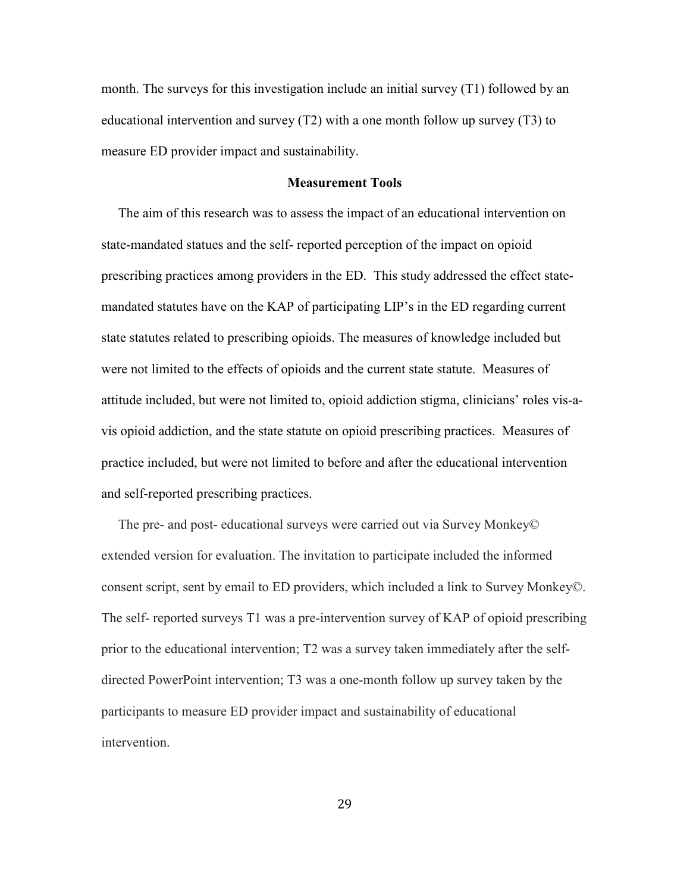month. The surveys for this investigation include an initial survey (T1) followed by an educational intervention and survey (T2) with a one month follow up survey (T3) to measure ED provider impact and sustainability.

### **Measurement Tools**

 The aim of this research was to assess the impact of an educational intervention on state-mandated statues and the self- reported perception of the impact on opioid prescribing practices among providers in the ED. This study addressed the effect statemandated statutes have on the KAP of participating LIP's in the ED regarding current state statutes related to prescribing opioids. The measures of knowledge included but were not limited to the effects of opioids and the current state statute. Measures of attitude included, but were not limited to, opioid addiction stigma, clinicians' roles vis-avis opioid addiction, and the state statute on opioid prescribing practices. Measures of practice included, but were not limited to before and after the educational intervention and self-reported prescribing practices.

 The pre- and post- educational surveys were carried out via Survey Monkey© extended version for evaluation. The invitation to participate included the informed consent script, sent by email to ED providers, which included a link to Survey Monkey©. The self- reported surveys T1 was a pre-intervention survey of KAP of opioid prescribing prior to the educational intervention; T2 was a survey taken immediately after the selfdirected PowerPoint intervention; T3 was a one-month follow up survey taken by the participants to measure ED provider impact and sustainability of educational intervention.

29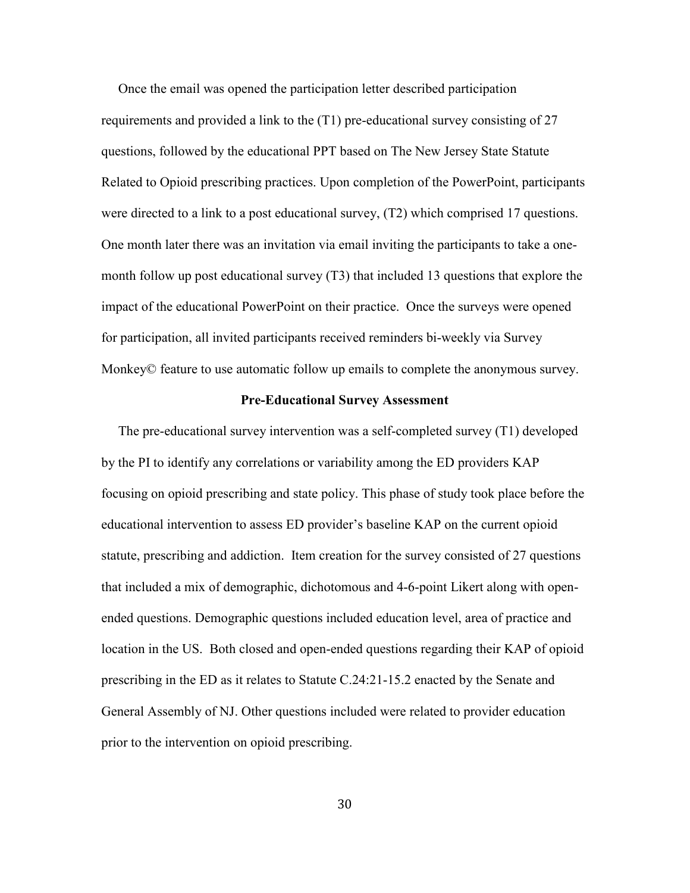Once the email was opened the participation letter described participation requirements and provided a link to the (T1) pre-educational survey consisting of 27 questions, followed by the educational PPT based on The New Jersey State Statute Related to Opioid prescribing practices. Upon completion of the PowerPoint, participants were directed to a link to a post educational survey, (T2) which comprised 17 questions. One month later there was an invitation via email inviting the participants to take a onemonth follow up post educational survey (T3) that included 13 questions that explore the impact of the educational PowerPoint on their practice. Once the surveys were opened for participation, all invited participants received reminders bi-weekly via Survey Monkey© feature to use automatic follow up emails to complete the anonymous survey.

#### **Pre-Educational Survey Assessment**

 The pre-educational survey intervention was a self-completed survey (T1) developed by the PI to identify any correlations or variability among the ED providers KAP focusing on opioid prescribing and state policy. This phase of study took place before the educational intervention to assess ED provider's baseline KAP on the current opioid statute, prescribing and addiction. Item creation for the survey consisted of 27 questions that included a mix of demographic, dichotomous and 4-6-point Likert along with openended questions. Demographic questions included education level, area of practice and location in the US. Both closed and open-ended questions regarding their KAP of opioid prescribing in the ED as it relates to Statute C.24:21-15.2 enacted by the Senate and General Assembly of NJ. Other questions included were related to provider education prior to the intervention on opioid prescribing.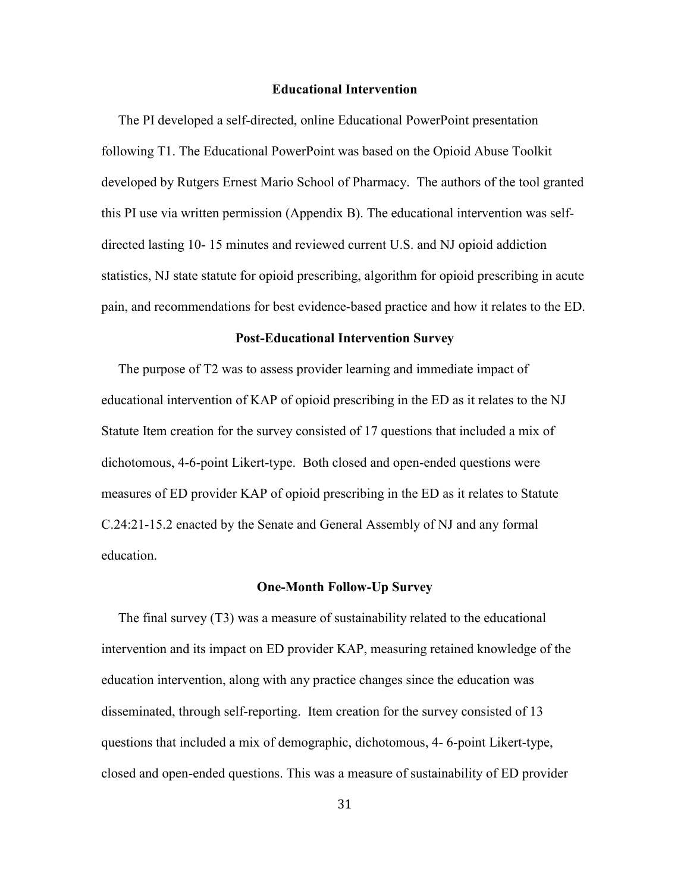#### **Educational Intervention**

 The PI developed a self-directed, online Educational PowerPoint presentation following T1. The Educational PowerPoint was based on the Opioid Abuse Toolkit developed by Rutgers Ernest Mario School of Pharmacy. The authors of the tool granted this PI use via written permission (Appendix B). The educational intervention was selfdirected lasting 10- 15 minutes and reviewed current U.S. and NJ opioid addiction statistics, NJ state statute for opioid prescribing, algorithm for opioid prescribing in acute pain, and recommendations for best evidence-based practice and how it relates to the ED.

#### **Post-Educational Intervention Survey**

 The purpose of T2 was to assess provider learning and immediate impact of educational intervention of KAP of opioid prescribing in the ED as it relates to the NJ Statute Item creation for the survey consisted of 17 questions that included a mix of dichotomous, 4-6-point Likert-type. Both closed and open-ended questions were measures of ED provider KAP of opioid prescribing in the ED as it relates to Statute C.24:21-15.2 enacted by the Senate and General Assembly of NJ and any formal education.

#### **One-Month Follow-Up Survey**

 The final survey (T3) was a measure of sustainability related to the educational intervention and its impact on ED provider KAP, measuring retained knowledge of the education intervention, along with any practice changes since the education was disseminated, through self-reporting. Item creation for the survey consisted of 13 questions that included a mix of demographic, dichotomous, 4- 6-point Likert-type, closed and open-ended questions. This was a measure of sustainability of ED provider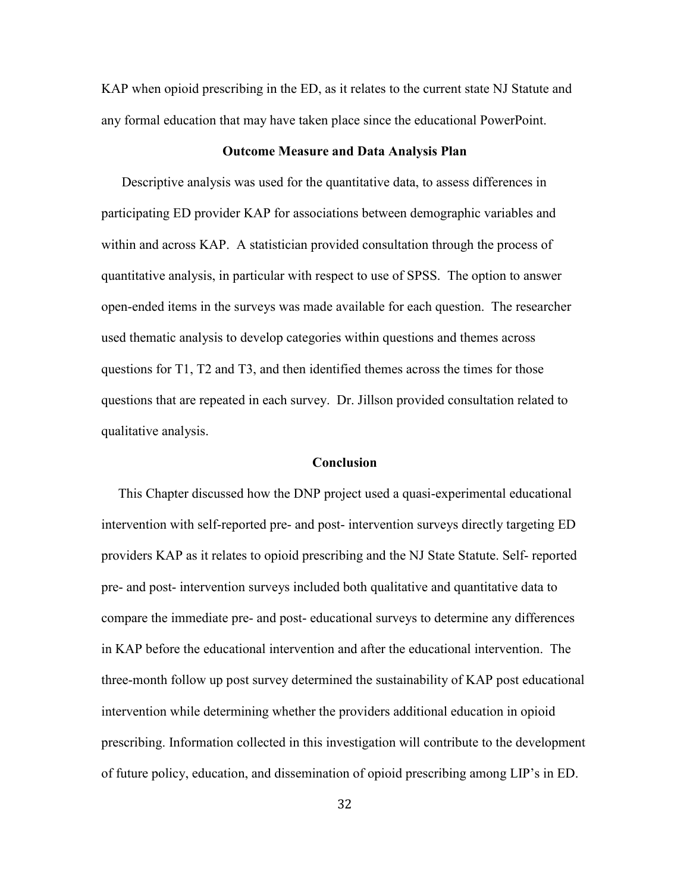KAP when opioid prescribing in the ED, as it relates to the current state NJ Statute and any formal education that may have taken place since the educational PowerPoint.

### **Outcome Measure and Data Analysis Plan**

 Descriptive analysis was used for the quantitative data, to assess differences in participating ED provider KAP for associations between demographic variables and within and across KAP. A statistician provided consultation through the process of quantitative analysis, in particular with respect to use of SPSS. The option to answer open-ended items in the surveys was made available for each question. The researcher used thematic analysis to develop categories within questions and themes across questions for T1, T2 and T3, and then identified themes across the times for those questions that are repeated in each survey. Dr. Jillson provided consultation related to qualitative analysis.

#### **Conclusion**

 This Chapter discussed how the DNP project used a quasi-experimental educational intervention with self-reported pre- and post- intervention surveys directly targeting ED providers KAP as it relates to opioid prescribing and the NJ State Statute. Self- reported pre- and post- intervention surveys included both qualitative and quantitative data to compare the immediate pre- and post- educational surveys to determine any differences in KAP before the educational intervention and after the educational intervention. The three-month follow up post survey determined the sustainability of KAP post educational intervention while determining whether the providers additional education in opioid prescribing. Information collected in this investigation will contribute to the development of future policy, education, and dissemination of opioid prescribing among LIP's in ED.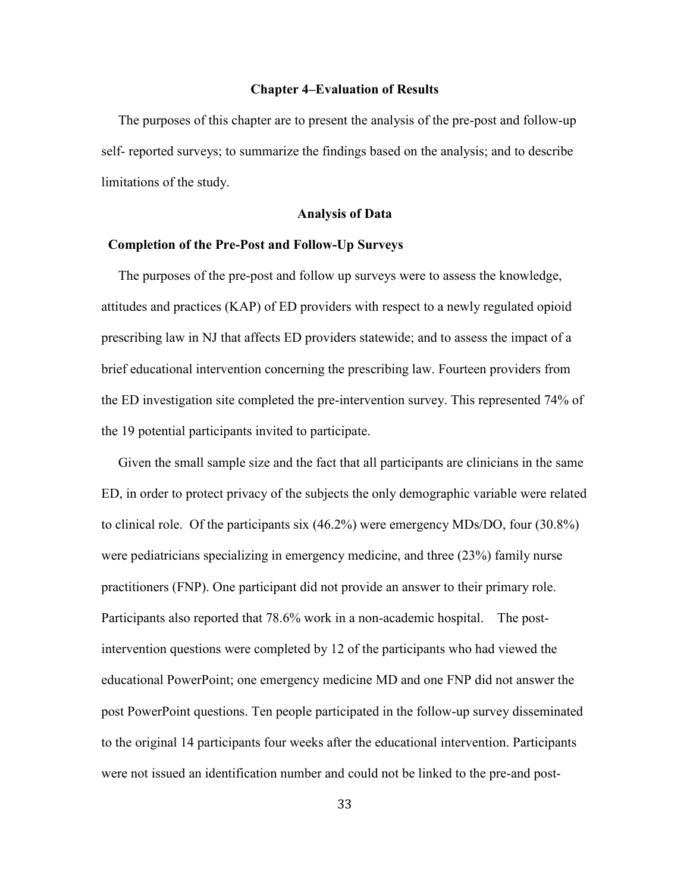#### **Chapter 4–Evaluation of Results**

The purposes of this chapter are to present the analysis of the pre-post and follow-up self- reported surveys; to summarize the findings based on the analysis; and to describe limitations of the study.

#### **Analysis of Data**

## **Completion of the Pre-Post and Follow-Up Surveys**

 The purposes of the pre-post and follow up surveys were to assess the knowledge, attitudes and practices (KAP) of ED providers with respect to a newly regulated opioid prescribing law in NJ that affects ED providers statewide; and to assess the impact of a brief educational intervention concerning the prescribing law. Fourteen providers from the ED investigation site completed the pre-intervention survey. This represented 74% of the 19 potential participants invited to participate.

 Given the small sample size and the fact that all participants are clinicians in the same ED, in order to protect privacy of the subjects the only demographic variable were related to clinical role. Of the participants six (46.2%) were emergency MDs/DO, four (30.8%) were pediatricians specializing in emergency medicine, and three (23%) family nurse practitioners (FNP). One participant did not provide an answer to their primary role. Participants also reported that 78.6% work in a non-academic hospital. The postintervention questions were completed by 12 of the participants who had viewed the educational PowerPoint; one emergency medicine MD and one FNP did not answer the post PowerPoint questions. Ten people participated in the follow-up survey disseminated to the original 14 participants four weeks after the educational intervention. Participants were not issued an identification number and could not be linked to the pre-and post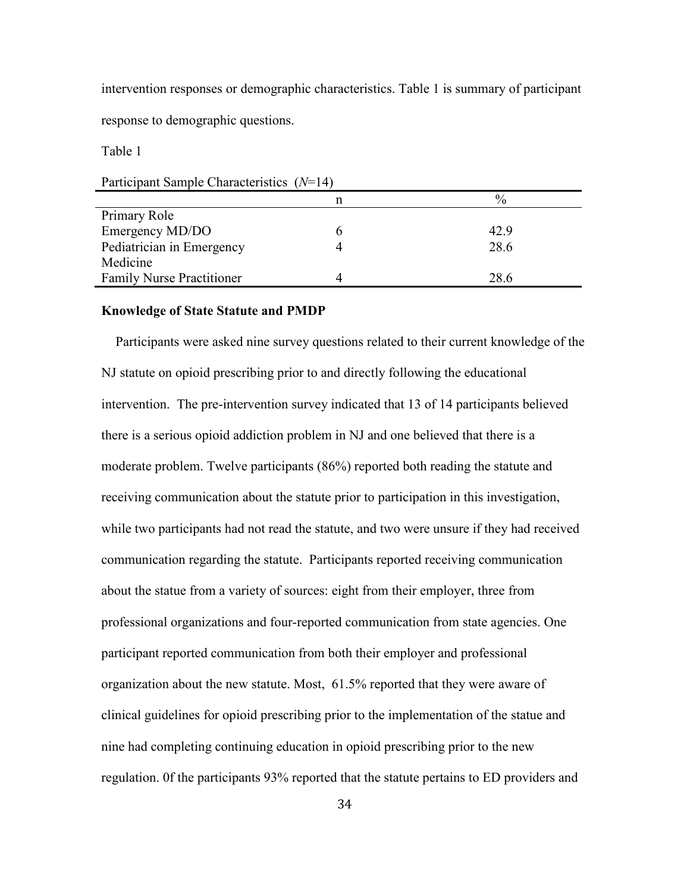intervention responses or demographic characteristics. Table 1 is summary of participant response to demographic questions.

Table 1

Participant Sample Characteristics (*N*=14)

|                                  | n | $\%$ |
|----------------------------------|---|------|
| Primary Role                     |   |      |
| Emergency MD/DO                  |   | 42.9 |
| Pediatrician in Emergency        |   | 28.6 |
| Medicine                         |   |      |
| <b>Family Nurse Practitioner</b> |   | 28.6 |

# **Knowledge of State Statute and PMDP**

 Participants were asked nine survey questions related to their current knowledge of the NJ statute on opioid prescribing prior to and directly following the educational intervention. The pre-intervention survey indicated that 13 of 14 participants believed there is a serious opioid addiction problem in NJ and one believed that there is a moderate problem. Twelve participants (86%) reported both reading the statute and receiving communication about the statute prior to participation in this investigation, while two participants had not read the statute, and two were unsure if they had received communication regarding the statute. Participants reported receiving communication about the statue from a variety of sources: eight from their employer, three from professional organizations and four-reported communication from state agencies. One participant reported communication from both their employer and professional organization about the new statute. Most, 61.5% reported that they were aware of clinical guidelines for opioid prescribing prior to the implementation of the statue and nine had completing continuing education in opioid prescribing prior to the new regulation. 0f the participants 93% reported that the statute pertains to ED providers and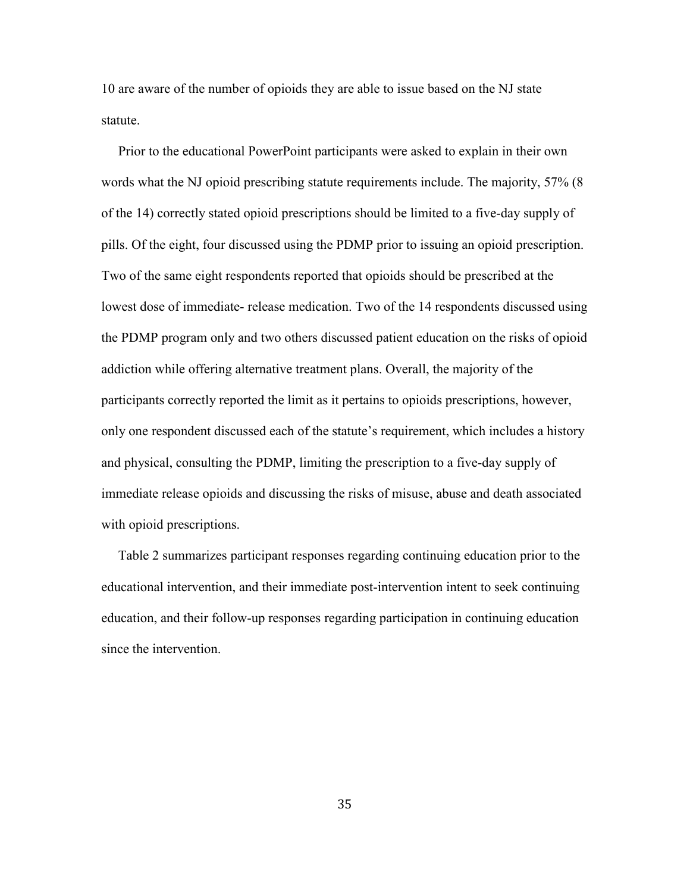10 are aware of the number of opioids they are able to issue based on the NJ state statute.

 Prior to the educational PowerPoint participants were asked to explain in their own words what the NJ opioid prescribing statute requirements include. The majority, 57% (8 of the 14) correctly stated opioid prescriptions should be limited to a five-day supply of pills. Of the eight, four discussed using the PDMP prior to issuing an opioid prescription. Two of the same eight respondents reported that opioids should be prescribed at the lowest dose of immediate- release medication. Two of the 14 respondents discussed using the PDMP program only and two others discussed patient education on the risks of opioid addiction while offering alternative treatment plans. Overall, the majority of the participants correctly reported the limit as it pertains to opioids prescriptions, however, only one respondent discussed each of the statute's requirement, which includes a history and physical, consulting the PDMP, limiting the prescription to a five-day supply of immediate release opioids and discussing the risks of misuse, abuse and death associated with opioid prescriptions.

 Table 2 summarizes participant responses regarding continuing education prior to the educational intervention, and their immediate post-intervention intent to seek continuing education, and their follow-up responses regarding participation in continuing education since the intervention.

35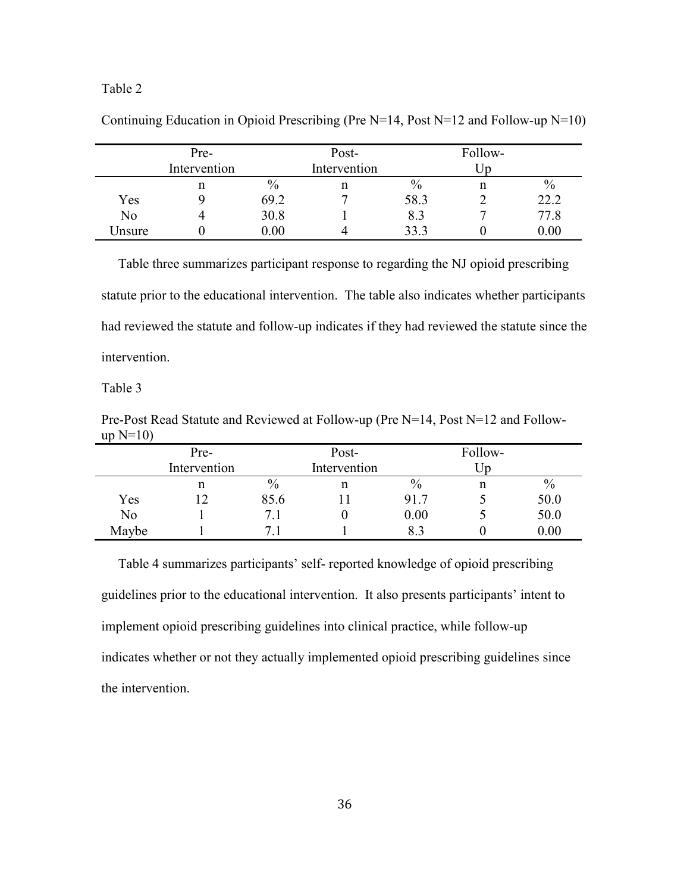# Table 2

|        | Pre-         |              | Post- |      | Follow- |          |
|--------|--------------|--------------|-------|------|---------|----------|
|        | Intervention | Intervention |       |      | Jn      |          |
|        | n            | $\%$         | n     | $\%$ | n       | $\%$     |
| Yes    |              | 69.2         | −     | 58.3 |         | 22.2     |
| No     | 4            | 30.8         |       | 8.3  |         | 77.8     |
| Jnsure |              | $0.00\,$     | 4     | 33.3 |         | $0.00\,$ |

Continuing Education in Opioid Prescribing (Pre  $N=14$ , Post  $N=12$  and Follow-up  $N=10$ )

 Table three summarizes participant response to regarding the NJ opioid prescribing statute prior to the educational intervention. The table also indicates whether participants had reviewed the statute and follow-up indicates if they had reviewed the statute since the intervention.

Table 3

Pre-Post Read Statute and Reviewed at Follow-up (Pre N=14, Post N=12 and Followup  $N=10$ )

|       | Pre-         |      | Post-        |               | Follow- |               |
|-------|--------------|------|--------------|---------------|---------|---------------|
|       | Intervention |      | Intervention |               | Jp      |               |
|       | n            | $\%$ | n            | $\frac{0}{0}$ |         | $\frac{0}{0}$ |
| Yes   | 12           | 85.6 |              | 91.7          |         | 50.0          |
| No    |              |      |              | 0.00          |         | 50.0          |
| Maybe |              |      |              |               |         | 0.00          |

 Table 4 summarizes participants' self- reported knowledge of opioid prescribing guidelines prior to the educational intervention. It also presents participants' intent to implement opioid prescribing guidelines into clinical practice, while follow-up indicates whether or not they actually implemented opioid prescribing guidelines since the intervention.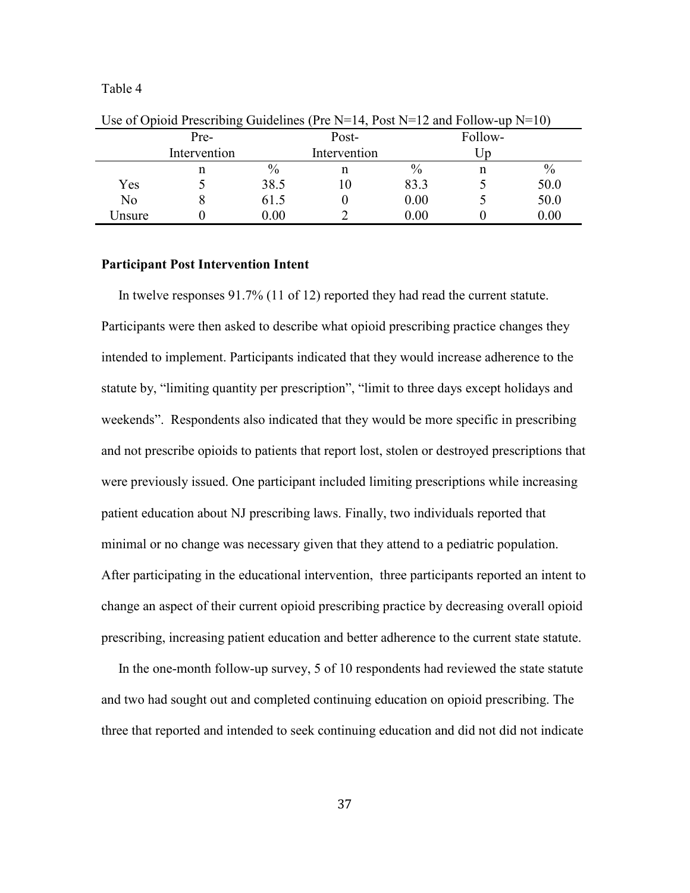Table 4

|        | Pre-         |      | Post-        |      | Follow- |      |
|--------|--------------|------|--------------|------|---------|------|
|        | Intervention |      | Intervention |      | In      |      |
|        | n            | $\%$ | n            | $\%$ | n       | $\%$ |
| Yes    |              | 38.5 | ΙU           | 83.3 |         | 50.0 |
| No     | Õ            | 61.5 |              | 0.00 |         | 50.0 |
| Jnsure |              | 0.00 |              | 0.00 |         | 0.00 |

Use of Opioid Prescribing Guidelines (Pre  $N=14$ , Post  $N=12$  and Follow-up  $N=10$ )

#### **Participant Post Intervention Intent**

In twelve responses 91.7% (11 of 12) reported they had read the current statute. Participants were then asked to describe what opioid prescribing practice changes they intended to implement. Participants indicated that they would increase adherence to the statute by, "limiting quantity per prescription", "limit to three days except holidays and weekends". Respondents also indicated that they would be more specific in prescribing and not prescribe opioids to patients that report lost, stolen or destroyed prescriptions that were previously issued. One participant included limiting prescriptions while increasing patient education about NJ prescribing laws. Finally, two individuals reported that minimal or no change was necessary given that they attend to a pediatric population. After participating in the educational intervention, three participants reported an intent to change an aspect of their current opioid prescribing practice by decreasing overall opioid prescribing, increasing patient education and better adherence to the current state statute.

 In the one-month follow-up survey, 5 of 10 respondents had reviewed the state statute and two had sought out and completed continuing education on opioid prescribing. The three that reported and intended to seek continuing education and did not did not indicate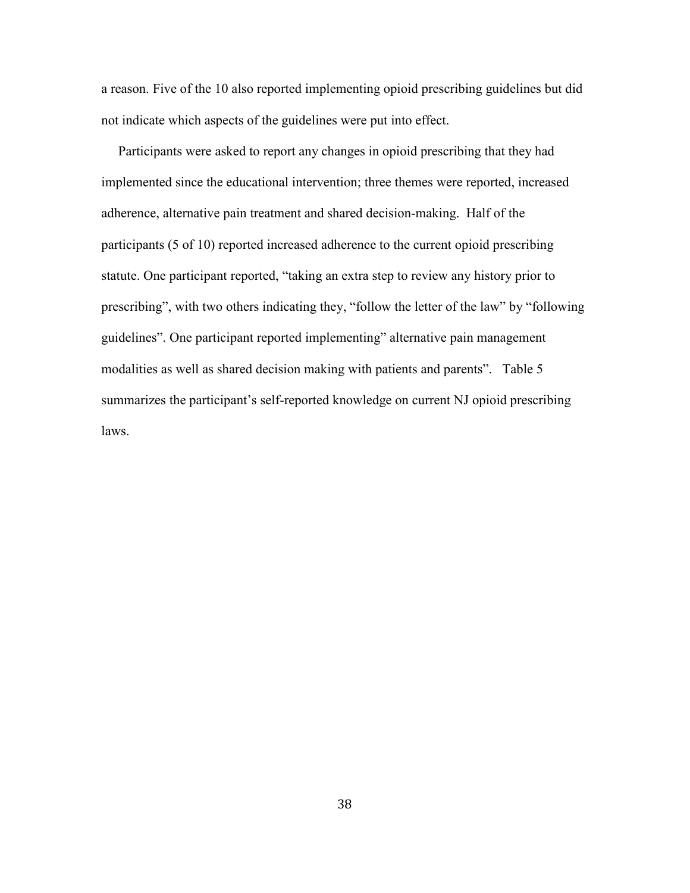a reason. Five of the 10 also reported implementing opioid prescribing guidelines but did not indicate which aspects of the guidelines were put into effect.

 Participants were asked to report any changes in opioid prescribing that they had implemented since the educational intervention; three themes were reported, increased adherence, alternative pain treatment and shared decision-making. Half of the participants (5 of 10) reported increased adherence to the current opioid prescribing statute. One participant reported, "taking an extra step to review any history prior to prescribing", with two others indicating they, "follow the letter of the law" by "following guidelines". One participant reported implementing" alternative pain management modalities as well as shared decision making with patients and parents". Table 5 summarizes the participant's self-reported knowledge on current NJ opioid prescribing laws.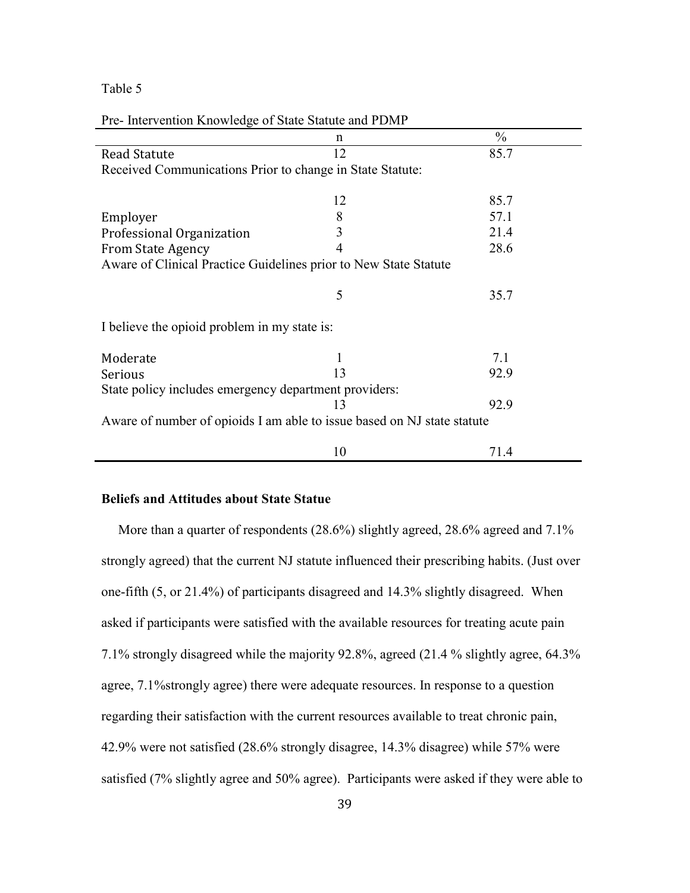# Table 5

| The Thier vehicle Knowledge of blane blance and I Divit                 |    |               |
|-------------------------------------------------------------------------|----|---------------|
|                                                                         | n  | $\frac{0}{0}$ |
| <b>Read Statute</b>                                                     | 12 | 85.7          |
| Received Communications Prior to change in State Statute:               |    |               |
|                                                                         | 12 | 85.7          |
| Employer                                                                | 8  | 57.1          |
| Professional Organization                                               | 3  | 21.4          |
| <b>From State Agency</b>                                                | 4  | 28.6          |
| Aware of Clinical Practice Guidelines prior to New State Statute        |    |               |
|                                                                         | 5  | 35.7          |
| I believe the opioid problem in my state is:                            |    |               |
| Moderate                                                                | 1  | 7.1           |
| Serious                                                                 | 13 | 92.9          |
| State policy includes emergency department providers:                   |    |               |
|                                                                         | 13 | 92.9          |
| Aware of number of opioids I am able to issue based on NJ state statute |    |               |
|                                                                         | 10 | 71.4          |

#### Pre- Intervention Knowledge of State Statute and PDMP

# **Beliefs and Attitudes about State Statue**

More than a quarter of respondents (28.6%) slightly agreed, 28.6% agreed and 7.1% strongly agreed) that the current NJ statute influenced their prescribing habits. (Just over one-fifth (5, or 21.4%) of participants disagreed and 14.3% slightly disagreed. When asked if participants were satisfied with the available resources for treating acute pain 7.1% strongly disagreed while the majority 92.8%, agreed (21.4 % slightly agree, 64.3% agree, 7.1%strongly agree) there were adequate resources. In response to a question regarding their satisfaction with the current resources available to treat chronic pain, 42.9% were not satisfied (28.6% strongly disagree, 14.3% disagree) while 57% were satisfied (7% slightly agree and 50% agree). Participants were asked if they were able to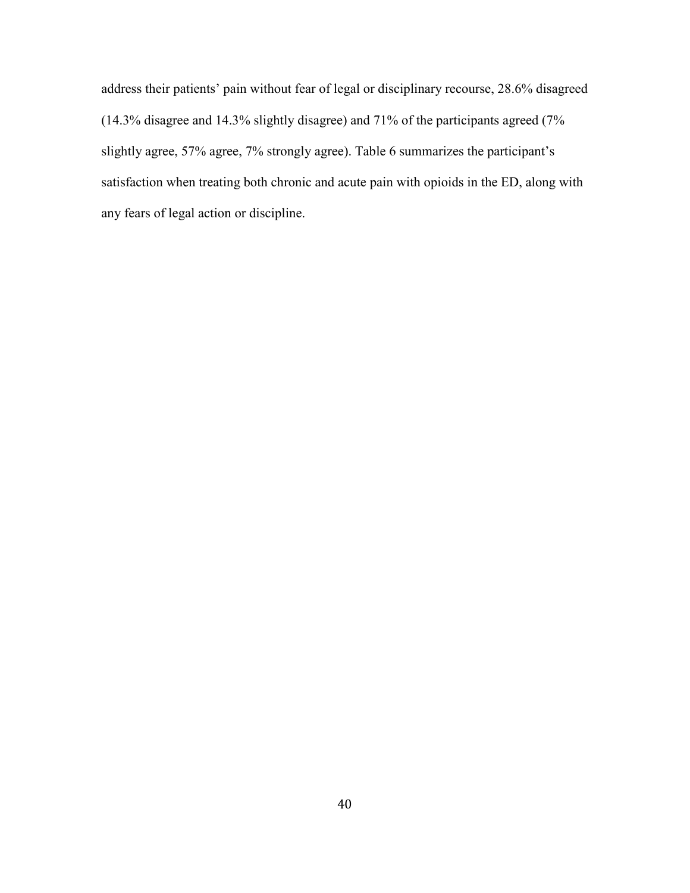address their patients' pain without fear of legal or disciplinary recourse, 28.6% disagreed (14.3% disagree and 14.3% slightly disagree) and 71% of the participants agreed (7% slightly agree, 57% agree, 7% strongly agree). Table 6 summarizes the participant's satisfaction when treating both chronic and acute pain with opioids in the ED, along with any fears of legal action or discipline.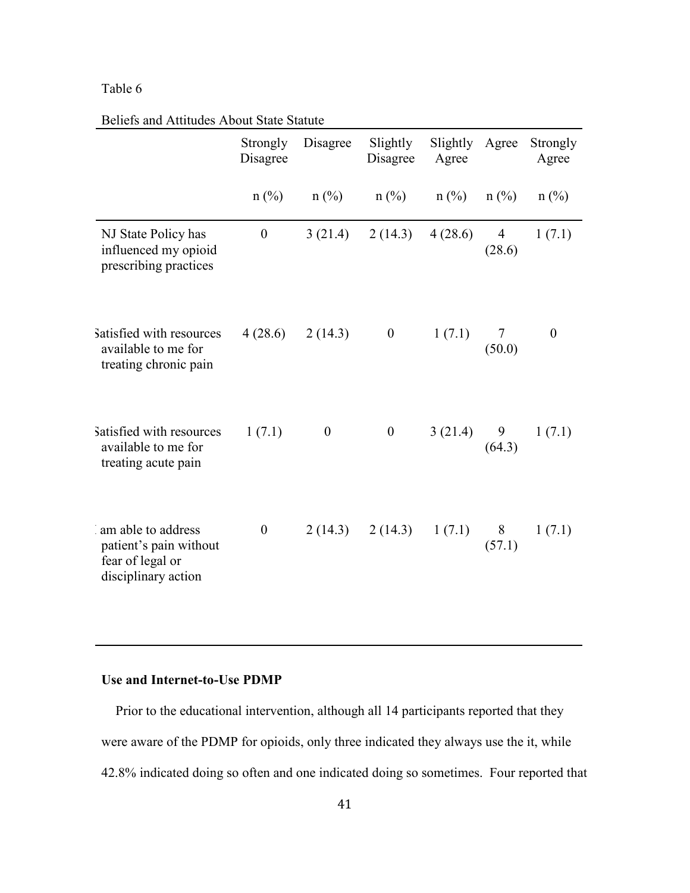# Table 6

|                                                                                         | Beflets and Attitudes About State Statute |                  |                      |                   |                          |                   |  |  |
|-----------------------------------------------------------------------------------------|-------------------------------------------|------------------|----------------------|-------------------|--------------------------|-------------------|--|--|
|                                                                                         | Strongly<br>Disagree                      | Disagree         | Slightly<br>Disagree | Slightly<br>Agree | Agree                    | Strongly<br>Agree |  |  |
|                                                                                         | $n$ (%)                                   | $n$ (%)          | $n$ (%)              | $n$ (%)           | $n$ (%)                  | $n$ (%)           |  |  |
| NJ State Policy has<br>influenced my opioid<br>prescribing practices                    | $\boldsymbol{0}$                          | 3(21.4)          | 2(14.3)              | 4(28.6)           | $\overline{4}$<br>(28.6) | 1(7.1)            |  |  |
| Satisfied with resources<br>available to me for<br>treating chronic pain                | 4(28.6)                                   | 2(14.3)          | $\boldsymbol{0}$     | 1(7.1)            | $\tau$<br>(50.0)         | $\boldsymbol{0}$  |  |  |
| Satisfied with resources<br>available to me for<br>treating acute pain                  | 1(7.1)                                    | $\boldsymbol{0}$ | $\boldsymbol{0}$     | 3(21.4)           | 9<br>(64.3)              | 1(7.1)            |  |  |
| am able to address<br>patient's pain without<br>fear of legal or<br>disciplinary action | $\boldsymbol{0}$                          | 2(14.3)          | 2(14.3)              | 1(7.1)            | 8<br>(57.1)              | 1(7.1)            |  |  |

Beliefs and Attitudes About State Statute

# **Use and Internet-to-Use PDMP**

 Prior to the educational intervention, although all 14 participants reported that they were aware of the PDMP for opioids, only three indicated they always use the it, while 42.8% indicated doing so often and one indicated doing so sometimes. Four reported that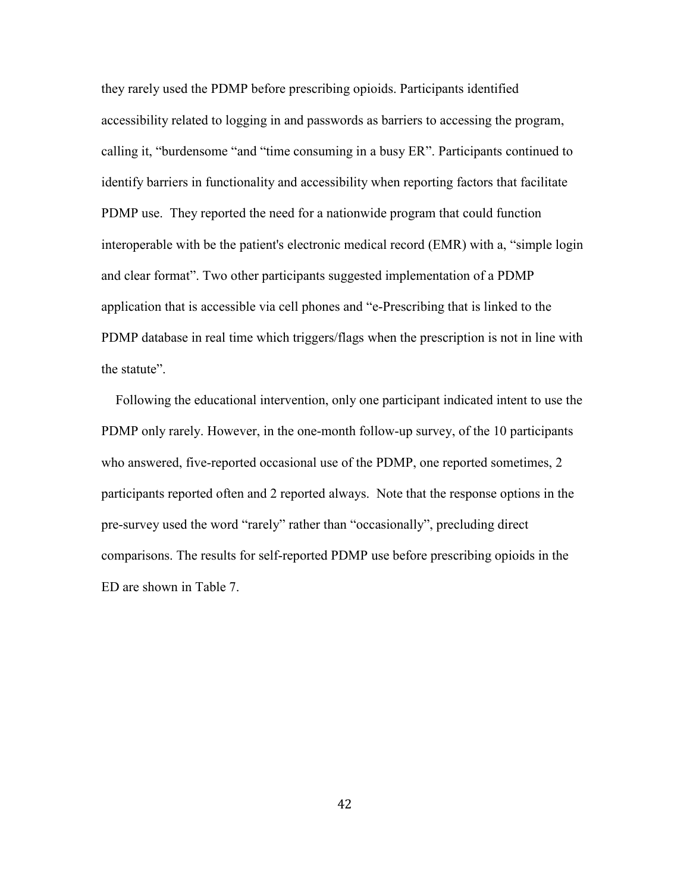they rarely used the PDMP before prescribing opioids. Participants identified accessibility related to logging in and passwords as barriers to accessing the program, calling it, "burdensome "and "time consuming in a busy ER". Participants continued to identify barriers in functionality and accessibility when reporting factors that facilitate PDMP use. They reported the need for a nationwide program that could function interoperable with be the patient's electronic medical record (EMR) with a, "simple login and clear format". Two other participants suggested implementation of a PDMP application that is accessible via cell phones and "e-Prescribing that is linked to the PDMP database in real time which triggers/flags when the prescription is not in line with the statute".

 Following the educational intervention, only one participant indicated intent to use the PDMP only rarely. However, in the one-month follow-up survey, of the 10 participants who answered, five-reported occasional use of the PDMP, one reported sometimes, 2 participants reported often and 2 reported always. Note that the response options in the pre-survey used the word "rarely" rather than "occasionally", precluding direct comparisons. The results for self-reported PDMP use before prescribing opioids in the ED are shown in Table 7.

42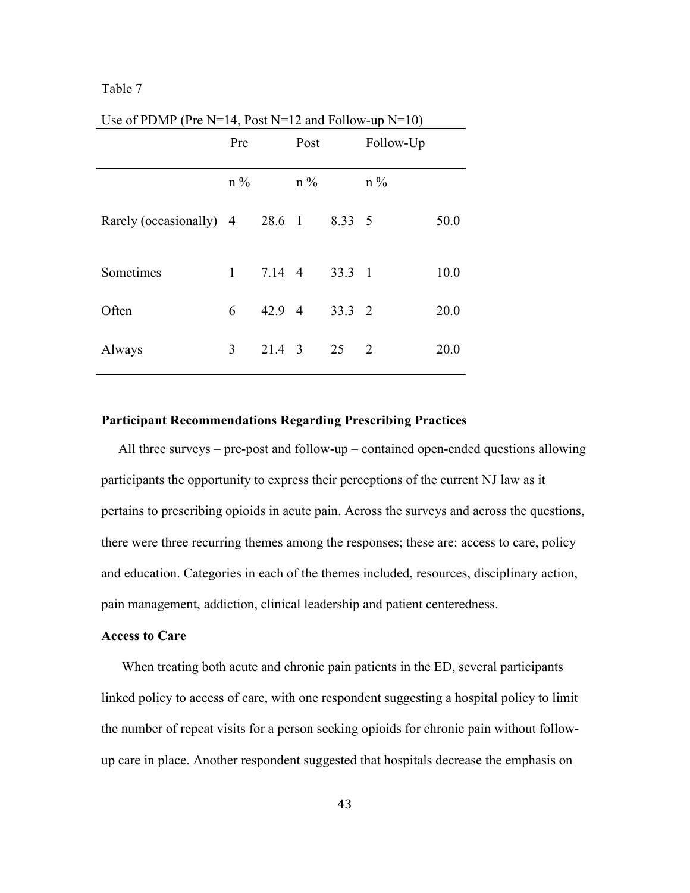# Table 7

|                                | Pre          |        | Post  |        | Follow-Up |      |
|--------------------------------|--------------|--------|-------|--------|-----------|------|
|                                | $n\%$        |        | $n\%$ |        | $n\%$     |      |
| Rarely (occasionally) 4 28.6 1 |              |        |       | 8.33 5 |           | 50.0 |
| Sometimes                      | $\mathbf{1}$ | 7.14 4 |       | 33.3 1 |           | 10.0 |
| Often                          | 6            | 42.9 4 |       | 33.3 2 |           | 20.0 |
| Always                         | 3            | 21.4 3 |       | 25     | 2         | 20.0 |

Use of PDMP (Pre  $N=14$ , Post  $N=12$  and Follow-up  $N=10$ )

#### **Participant Recommendations Regarding Prescribing Practices**

 All three surveys – pre-post and follow-up – contained open-ended questions allowing participants the opportunity to express their perceptions of the current NJ law as it pertains to prescribing opioids in acute pain. Across the surveys and across the questions, there were three recurring themes among the responses; these are: access to care, policy and education. Categories in each of the themes included, resources, disciplinary action, pain management, addiction, clinical leadership and patient centeredness.

# **Access to Care**

 When treating both acute and chronic pain patients in the ED, several participants linked policy to access of care, with one respondent suggesting a hospital policy to limit the number of repeat visits for a person seeking opioids for chronic pain without followup care in place. Another respondent suggested that hospitals decrease the emphasis on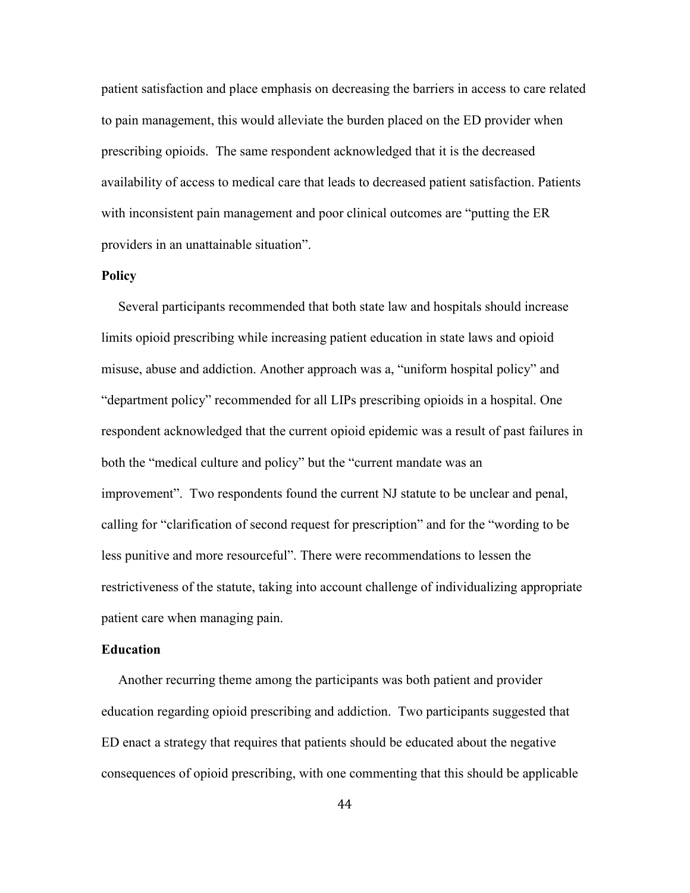patient satisfaction and place emphasis on decreasing the barriers in access to care related to pain management, this would alleviate the burden placed on the ED provider when prescribing opioids. The same respondent acknowledged that it is the decreased availability of access to medical care that leads to decreased patient satisfaction. Patients with inconsistent pain management and poor clinical outcomes are "putting the ER providers in an unattainable situation".

### **Policy**

Several participants recommended that both state law and hospitals should increase limits opioid prescribing while increasing patient education in state laws and opioid misuse, abuse and addiction. Another approach was a, "uniform hospital policy" and "department policy" recommended for all LIPs prescribing opioids in a hospital. One respondent acknowledged that the current opioid epidemic was a result of past failures in both the "medical culture and policy" but the "current mandate was an improvement". Two respondents found the current NJ statute to be unclear and penal, calling for "clarification of second request for prescription" and for the "wording to be less punitive and more resourceful". There were recommendations to lessen the restrictiveness of the statute, taking into account challenge of individualizing appropriate patient care when managing pain.

#### **Education**

 Another recurring theme among the participants was both patient and provider education regarding opioid prescribing and addiction. Two participants suggested that ED enact a strategy that requires that patients should be educated about the negative consequences of opioid prescribing, with one commenting that this should be applicable

44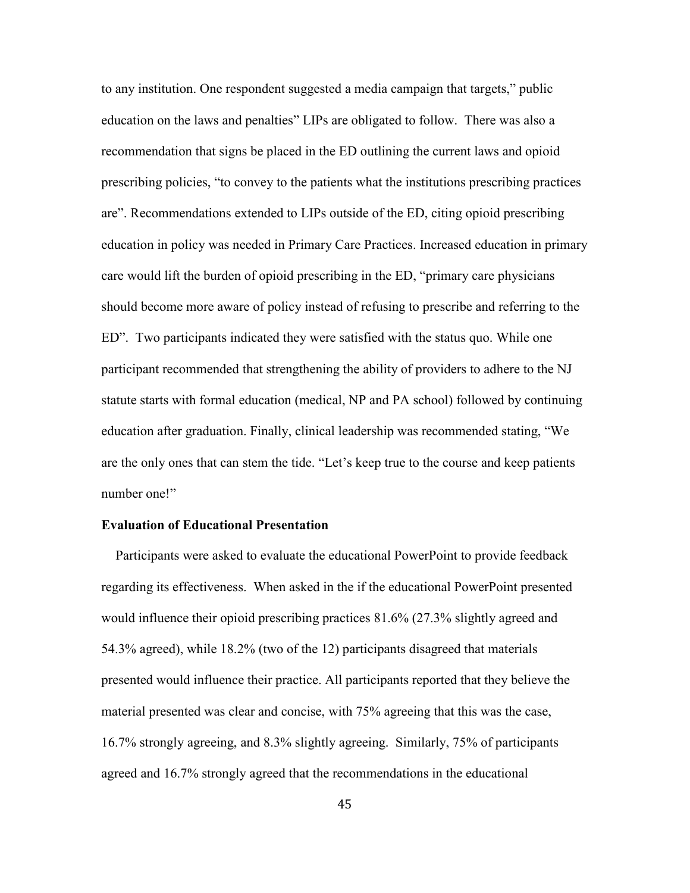to any institution. One respondent suggested a media campaign that targets," public education on the laws and penalties" LIPs are obligated to follow. There was also a recommendation that signs be placed in the ED outlining the current laws and opioid prescribing policies, "to convey to the patients what the institutions prescribing practices are". Recommendations extended to LIPs outside of the ED, citing opioid prescribing education in policy was needed in Primary Care Practices. Increased education in primary care would lift the burden of opioid prescribing in the ED, "primary care physicians should become more aware of policy instead of refusing to prescribe and referring to the ED". Two participants indicated they were satisfied with the status quo. While one participant recommended that strengthening the ability of providers to adhere to the NJ statute starts with formal education (medical, NP and PA school) followed by continuing education after graduation. Finally, clinical leadership was recommended stating, "We are the only ones that can stem the tide. "Let's keep true to the course and keep patients number one!"

## **Evaluation of Educational Presentation**

Participants were asked to evaluate the educational PowerPoint to provide feedback regarding its effectiveness. When asked in the if the educational PowerPoint presented would influence their opioid prescribing practices 81.6% (27.3% slightly agreed and 54.3% agreed), while 18.2% (two of the 12) participants disagreed that materials presented would influence their practice. All participants reported that they believe the material presented was clear and concise, with 75% agreeing that this was the case, 16.7% strongly agreeing, and 8.3% slightly agreeing. Similarly, 75% of participants agreed and 16.7% strongly agreed that the recommendations in the educational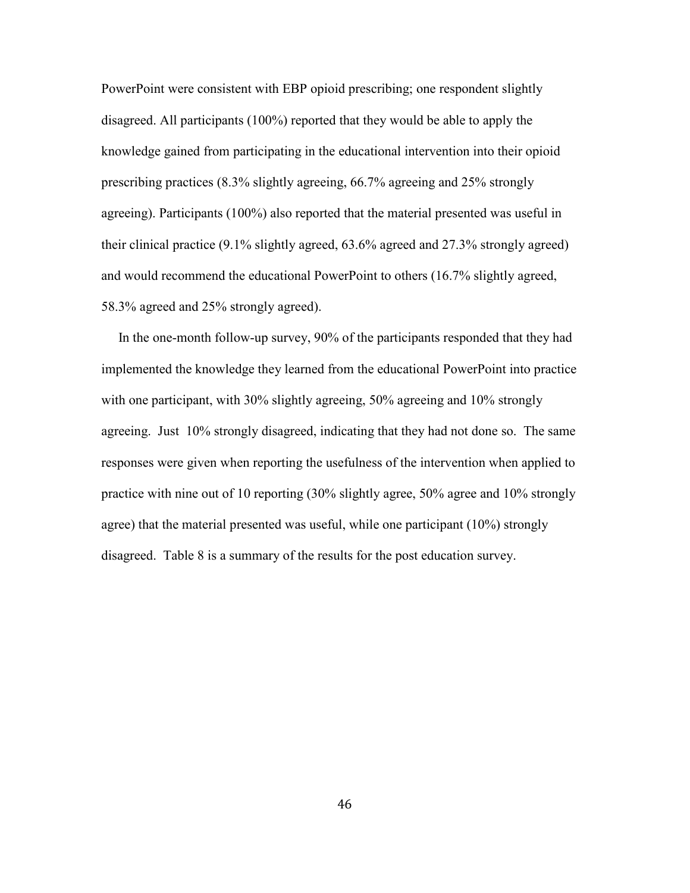PowerPoint were consistent with EBP opioid prescribing; one respondent slightly disagreed. All participants (100%) reported that they would be able to apply the knowledge gained from participating in the educational intervention into their opioid prescribing practices (8.3% slightly agreeing, 66.7% agreeing and 25% strongly agreeing). Participants (100%) also reported that the material presented was useful in their clinical practice (9.1% slightly agreed, 63.6% agreed and 27.3% strongly agreed) and would recommend the educational PowerPoint to others (16.7% slightly agreed, 58.3% agreed and 25% strongly agreed).

 In the one-month follow-up survey, 90% of the participants responded that they had implemented the knowledge they learned from the educational PowerPoint into practice with one participant, with 30% slightly agreeing, 50% agreeing and 10% strongly agreeing. Just 10% strongly disagreed, indicating that they had not done so. The same responses were given when reporting the usefulness of the intervention when applied to practice with nine out of 10 reporting (30% slightly agree, 50% agree and 10% strongly agree) that the material presented was useful, while one participant (10%) strongly disagreed. Table 8 is a summary of the results for the post education survey.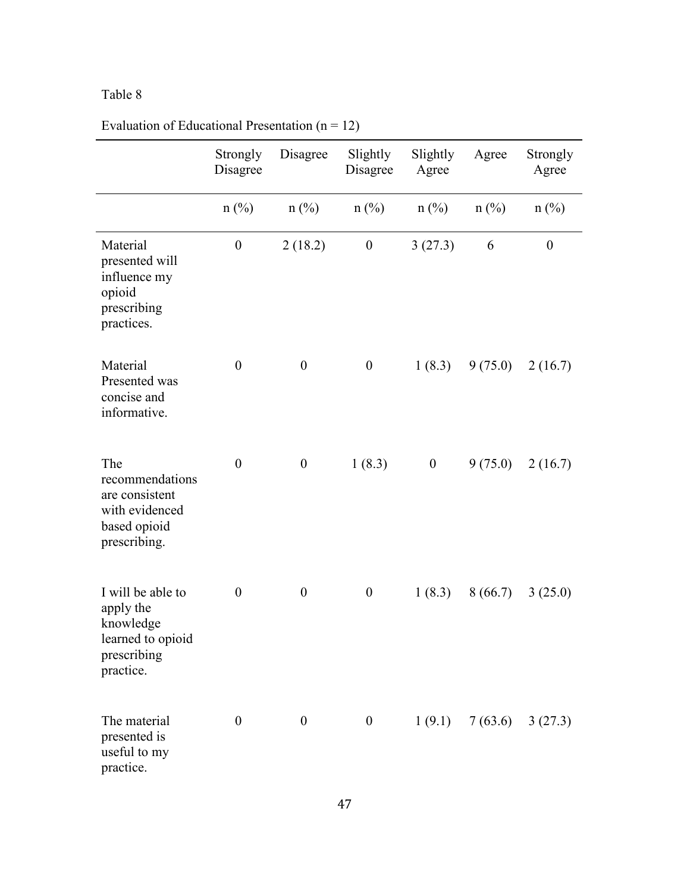# Table 8

|                                                                                              | Strongly<br>Disagree | Disagree         | Slightly<br>Disagree | Slightly<br>Agree | Agree   | Strongly<br>Agree |
|----------------------------------------------------------------------------------------------|----------------------|------------------|----------------------|-------------------|---------|-------------------|
|                                                                                              | $n$ (%)              | $n$ (%)          | $n$ (%)              | $n$ (%)           | $n$ (%) | $n$ (%)           |
| Material<br>presented will<br>influence my<br>opioid<br>prescribing<br>practices.            | $\boldsymbol{0}$     | 2(18.2)          | $\boldsymbol{0}$     | 3(27.3)           | 6       | $\boldsymbol{0}$  |
| Material<br>Presented was<br>concise and<br>informative.                                     | $\boldsymbol{0}$     | $\boldsymbol{0}$ | $\boldsymbol{0}$     | 1(8.3)            | 9(75.0) | 2(16.7)           |
| The<br>recommendations<br>are consistent<br>with evidenced<br>based opioid<br>prescribing.   | $\boldsymbol{0}$     | $\boldsymbol{0}$ | 1(8.3)               | $\boldsymbol{0}$  | 9(75.0) | 2(16.7)           |
| I will be able to<br>apply the<br>knowledge<br>learned to opioid<br>prescribing<br>practice. | $\boldsymbol{0}$     | $\boldsymbol{0}$ | $\boldsymbol{0}$     | 1(8.3)            | 8(66.7) | 3(25.0)           |
| The material<br>presented is<br>useful to my<br>practice.                                    | $\boldsymbol{0}$     | $\boldsymbol{0}$ | $\boldsymbol{0}$     | 1(9.1)            |         | 7(63.6) 3(27.3)   |

Evaluation of Educational Presentation  $(n = 12)$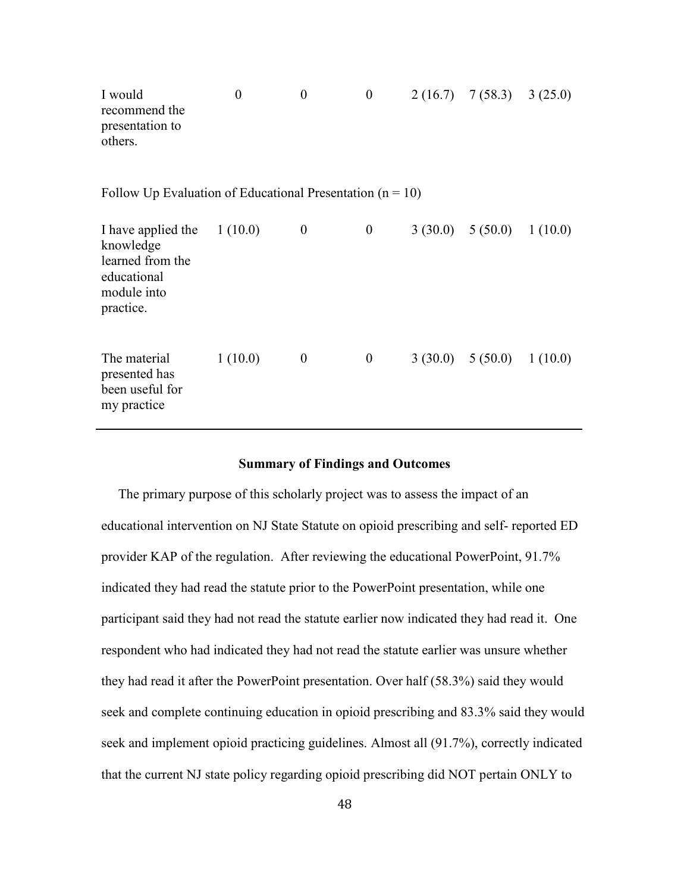| I would<br>recommend the<br>presentation to<br>others.                                                   | $\boldsymbol{0}$ | $\boldsymbol{0}$ | $\boldsymbol{0}$ | $2(16.7)$ 7(58.3) 3(25.0)     |  |
|----------------------------------------------------------------------------------------------------------|------------------|------------------|------------------|-------------------------------|--|
| Follow Up Evaluation of Educational Presentation ( $n = 10$ )                                            |                  |                  |                  |                               |  |
| I have applied the $1(10.0)$<br>knowledge<br>learned from the<br>educational<br>module into<br>practice. |                  | $\boldsymbol{0}$ | $\boldsymbol{0}$ | $3(30.0)$ $5(50.0)$ $1(10.0)$ |  |
| The material<br>presented has<br>been useful for<br>my practice                                          | 1(10.0)          | $\theta$         | $\boldsymbol{0}$ | $3(30.0)$ $5(50.0)$ $1(10.0)$ |  |

#### **Summary of Findings and Outcomes**

 The primary purpose of this scholarly project was to assess the impact of an educational intervention on NJ State Statute on opioid prescribing and self- reported ED provider KAP of the regulation. After reviewing the educational PowerPoint, 91.7% indicated they had read the statute prior to the PowerPoint presentation, while one participant said they had not read the statute earlier now indicated they had read it. One respondent who had indicated they had not read the statute earlier was unsure whether they had read it after the PowerPoint presentation. Over half (58.3%) said they would seek and complete continuing education in opioid prescribing and 83.3% said they would seek and implement opioid practicing guidelines. Almost all (91.7%), correctly indicated that the current NJ state policy regarding opioid prescribing did NOT pertain ONLY to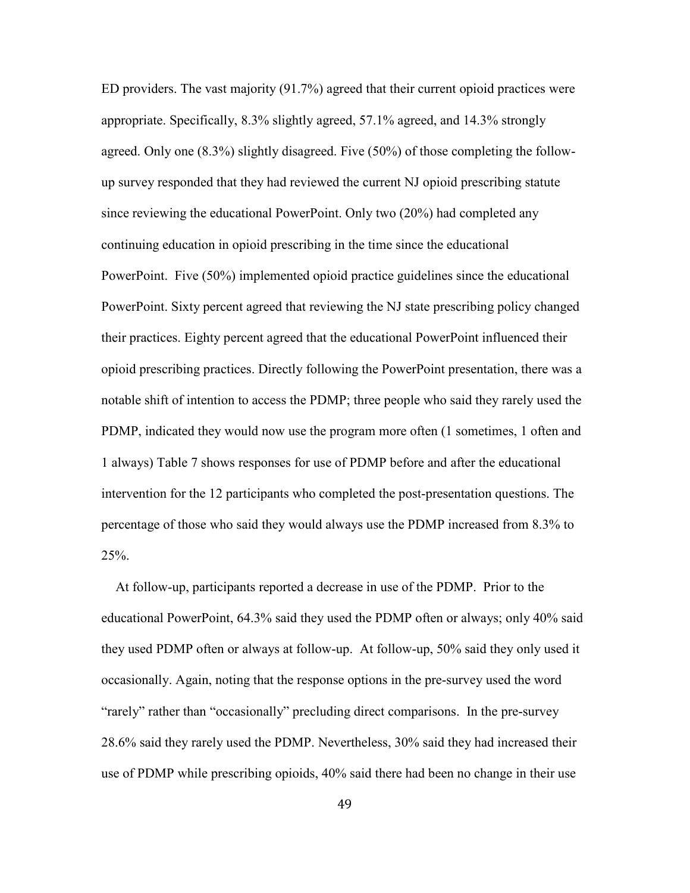ED providers. The vast majority (91.7%) agreed that their current opioid practices were appropriate. Specifically, 8.3% slightly agreed, 57.1% agreed, and 14.3% strongly agreed. Only one (8.3%) slightly disagreed. Five (50%) of those completing the followup survey responded that they had reviewed the current NJ opioid prescribing statute since reviewing the educational PowerPoint. Only two (20%) had completed any continuing education in opioid prescribing in the time since the educational PowerPoint. Five (50%) implemented opioid practice guidelines since the educational PowerPoint. Sixty percent agreed that reviewing the NJ state prescribing policy changed their practices. Eighty percent agreed that the educational PowerPoint influenced their opioid prescribing practices. Directly following the PowerPoint presentation, there was a notable shift of intention to access the PDMP; three people who said they rarely used the PDMP, indicated they would now use the program more often (1 sometimes, 1 often and 1 always) Table 7 shows responses for use of PDMP before and after the educational intervention for the 12 participants who completed the post-presentation questions. The percentage of those who said they would always use the PDMP increased from 8.3% to 25%.

 At follow-up, participants reported a decrease in use of the PDMP. Prior to the educational PowerPoint, 64.3% said they used the PDMP often or always; only 40% said they used PDMP often or always at follow-up. At follow-up, 50% said they only used it occasionally. Again, noting that the response options in the pre-survey used the word "rarely" rather than "occasionally" precluding direct comparisons. In the pre-survey 28.6% said they rarely used the PDMP. Nevertheless, 30% said they had increased their use of PDMP while prescribing opioids, 40% said there had been no change in their use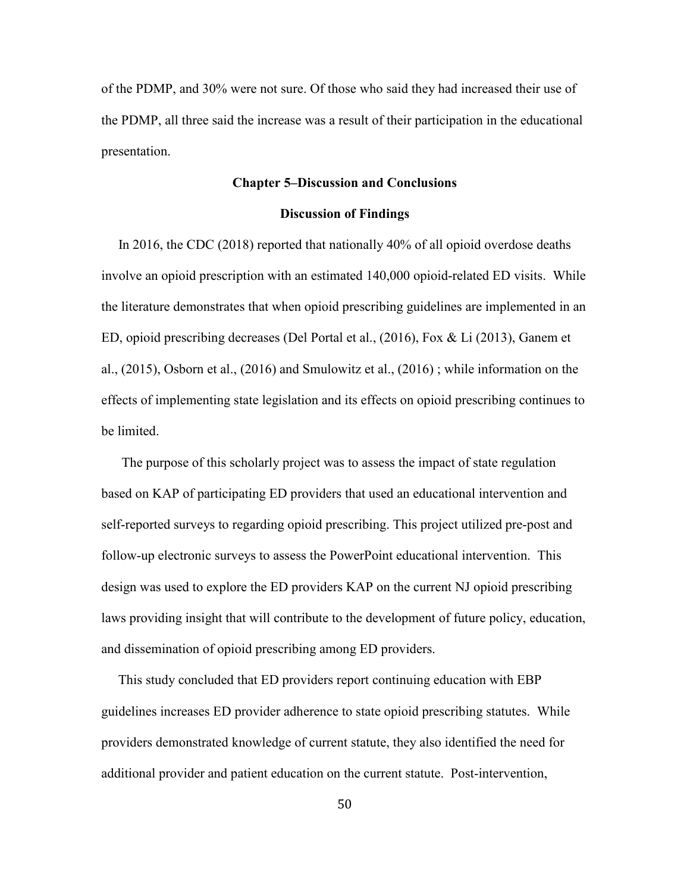of the PDMP, and 30% were not sure. Of those who said they had increased their use of the PDMP, all three said the increase was a result of their participation in the educational presentation.

#### **Chapter 5–Discussion and Conclusions**

#### **Discussion of Findings**

 In 2016, the CDC (2018) reported that nationally 40% of all opioid overdose deaths involve an opioid prescription with an estimated 140,000 opioid-related ED visits. While the literature demonstrates that when opioid prescribing guidelines are implemented in an ED, opioid prescribing decreases (Del Portal et al., (2016), Fox & Li (2013), Ganem et al., (2015), Osborn et al., (2016) and Smulowitz et al., (2016) ; while information on the effects of implementing state legislation and its effects on opioid prescribing continues to be limited.

 The purpose of this scholarly project was to assess the impact of state regulation based on KAP of participating ED providers that used an educational intervention and self-reported surveys to regarding opioid prescribing. This project utilized pre-post and follow-up electronic surveys to assess the PowerPoint educational intervention. This design was used to explore the ED providers KAP on the current NJ opioid prescribing laws providing insight that will contribute to the development of future policy, education, and dissemination of opioid prescribing among ED providers.

 This study concluded that ED providers report continuing education with EBP guidelines increases ED provider adherence to state opioid prescribing statutes. While providers demonstrated knowledge of current statute, they also identified the need for additional provider and patient education on the current statute. Post-intervention,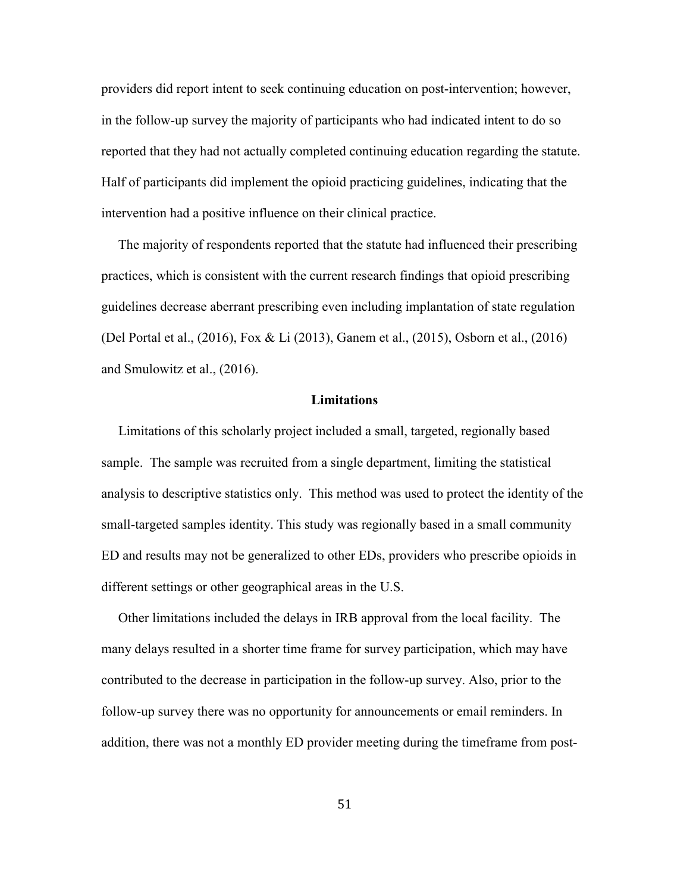providers did report intent to seek continuing education on post-intervention; however, in the follow-up survey the majority of participants who had indicated intent to do so reported that they had not actually completed continuing education regarding the statute. Half of participants did implement the opioid practicing guidelines, indicating that the intervention had a positive influence on their clinical practice.

 The majority of respondents reported that the statute had influenced their prescribing practices, which is consistent with the current research findings that opioid prescribing guidelines decrease aberrant prescribing even including implantation of state regulation (Del Portal et al., (2016), Fox & Li (2013), Ganem et al., (2015), Osborn et al., (2016) and Smulowitz et al., (2016).

#### **Limitations**

Limitations of this scholarly project included a small, targeted, regionally based sample. The sample was recruited from a single department, limiting the statistical analysis to descriptive statistics only. This method was used to protect the identity of the small-targeted samples identity. This study was regionally based in a small community ED and results may not be generalized to other EDs, providers who prescribe opioids in different settings or other geographical areas in the U.S.

 Other limitations included the delays in IRB approval from the local facility. The many delays resulted in a shorter time frame for survey participation, which may have contributed to the decrease in participation in the follow-up survey. Also, prior to the follow-up survey there was no opportunity for announcements or email reminders. In addition, there was not a monthly ED provider meeting during the timeframe from post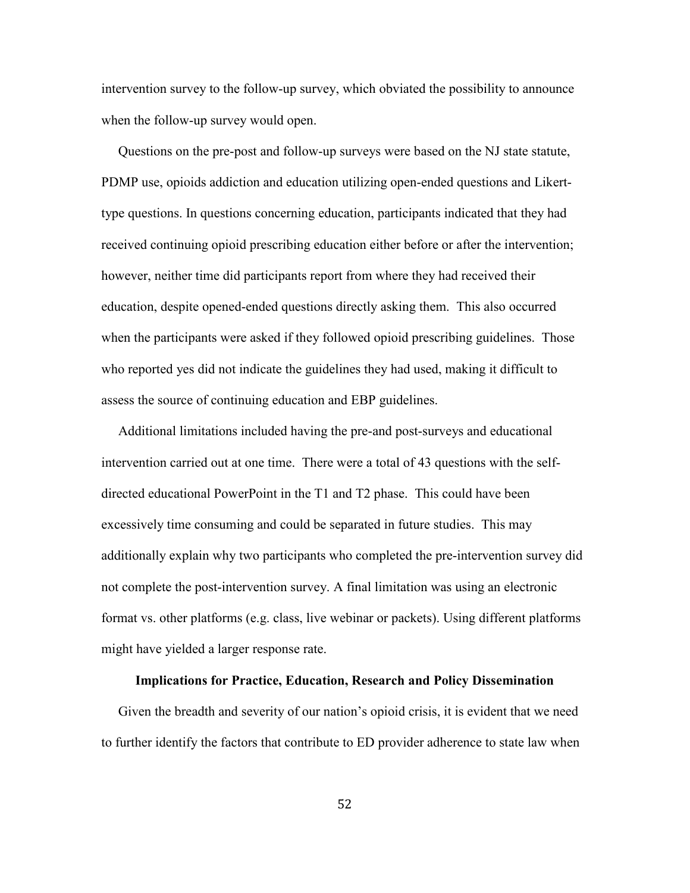intervention survey to the follow-up survey, which obviated the possibility to announce when the follow-up survey would open.

 Questions on the pre-post and follow-up surveys were based on the NJ state statute, PDMP use, opioids addiction and education utilizing open-ended questions and Likerttype questions. In questions concerning education, participants indicated that they had received continuing opioid prescribing education either before or after the intervention; however, neither time did participants report from where they had received their education, despite opened-ended questions directly asking them. This also occurred when the participants were asked if they followed opioid prescribing guidelines. Those who reported yes did not indicate the guidelines they had used, making it difficult to assess the source of continuing education and EBP guidelines.

 Additional limitations included having the pre-and post-surveys and educational intervention carried out at one time. There were a total of 43 questions with the selfdirected educational PowerPoint in the T1 and T2 phase. This could have been excessively time consuming and could be separated in future studies. This may additionally explain why two participants who completed the pre-intervention survey did not complete the post-intervention survey. A final limitation was using an electronic format vs. other platforms (e.g. class, live webinar or packets). Using different platforms might have yielded a larger response rate.

# **Implications for Practice, Education, Research and Policy Dissemination**

Given the breadth and severity of our nation's opioid crisis, it is evident that we need to further identify the factors that contribute to ED provider adherence to state law when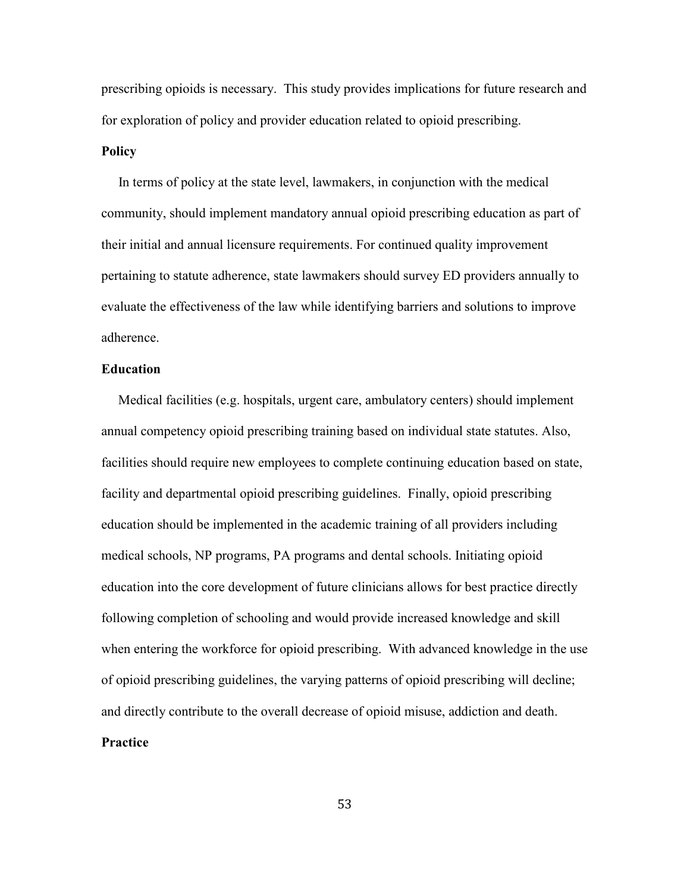prescribing opioids is necessary. This study provides implications for future research and for exploration of policy and provider education related to opioid prescribing.

### **Policy**

 In terms of policy at the state level, lawmakers, in conjunction with the medical community, should implement mandatory annual opioid prescribing education as part of their initial and annual licensure requirements. For continued quality improvement pertaining to statute adherence, state lawmakers should survey ED providers annually to evaluate the effectiveness of the law while identifying barriers and solutions to improve adherence.

# **Education**

 Medical facilities (e.g. hospitals, urgent care, ambulatory centers) should implement annual competency opioid prescribing training based on individual state statutes. Also, facilities should require new employees to complete continuing education based on state, facility and departmental opioid prescribing guidelines. Finally, opioid prescribing education should be implemented in the academic training of all providers including medical schools, NP programs, PA programs and dental schools. Initiating opioid education into the core development of future clinicians allows for best practice directly following completion of schooling and would provide increased knowledge and skill when entering the workforce for opioid prescribing. With advanced knowledge in the use of opioid prescribing guidelines, the varying patterns of opioid prescribing will decline; and directly contribute to the overall decrease of opioid misuse, addiction and death. **Practice**

#### 53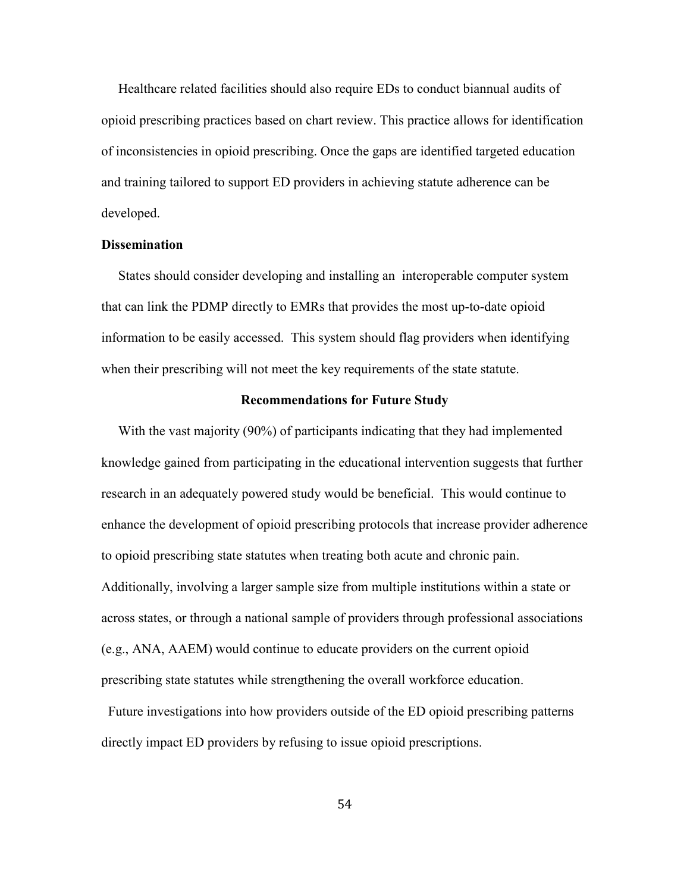Healthcare related facilities should also require EDs to conduct biannual audits of opioid prescribing practices based on chart review. This practice allows for identification of inconsistencies in opioid prescribing. Once the gaps are identified targeted education and training tailored to support ED providers in achieving statute adherence can be developed.

### **Dissemination**

 States should consider developing and installing an interoperable computer system that can link the PDMP directly to EMRs that provides the most up-to-date opioid information to be easily accessed. This system should flag providers when identifying when their prescribing will not meet the key requirements of the state statute.

#### **Recommendations for Future Study**

With the vast majority (90%) of participants indicating that they had implemented knowledge gained from participating in the educational intervention suggests that further research in an adequately powered study would be beneficial. This would continue to enhance the development of opioid prescribing protocols that increase provider adherence to opioid prescribing state statutes when treating both acute and chronic pain. Additionally, involving a larger sample size from multiple institutions within a state or across states, or through a national sample of providers through professional associations (e.g., ANA, AAEM) would continue to educate providers on the current opioid prescribing state statutes while strengthening the overall workforce education.

 Future investigations into how providers outside of the ED opioid prescribing patterns directly impact ED providers by refusing to issue opioid prescriptions.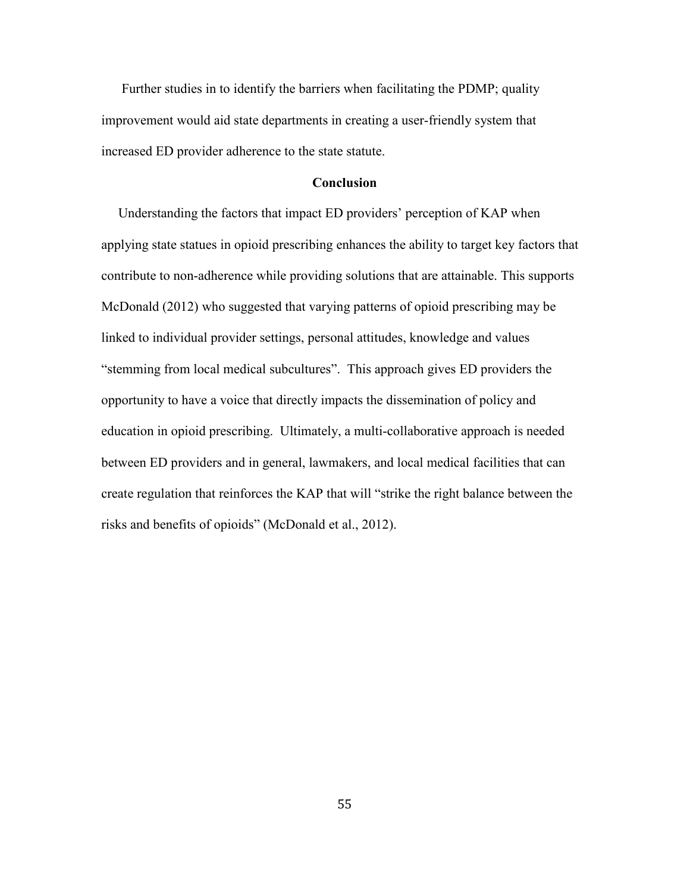Further studies in to identify the barriers when facilitating the PDMP; quality improvement would aid state departments in creating a user-friendly system that increased ED provider adherence to the state statute.

# **Conclusion**

 Understanding the factors that impact ED providers' perception of KAP when applying state statues in opioid prescribing enhances the ability to target key factors that contribute to non-adherence while providing solutions that are attainable. This supports McDonald (2012) who suggested that varying patterns of opioid prescribing may be linked to individual provider settings, personal attitudes, knowledge and values "stemming from local medical subcultures". This approach gives ED providers the opportunity to have a voice that directly impacts the dissemination of policy and education in opioid prescribing. Ultimately, a multi-collaborative approach is needed between ED providers and in general, lawmakers, and local medical facilities that can create regulation that reinforces the KAP that will "strike the right balance between the risks and benefits of opioids" (McDonald et al., 2012).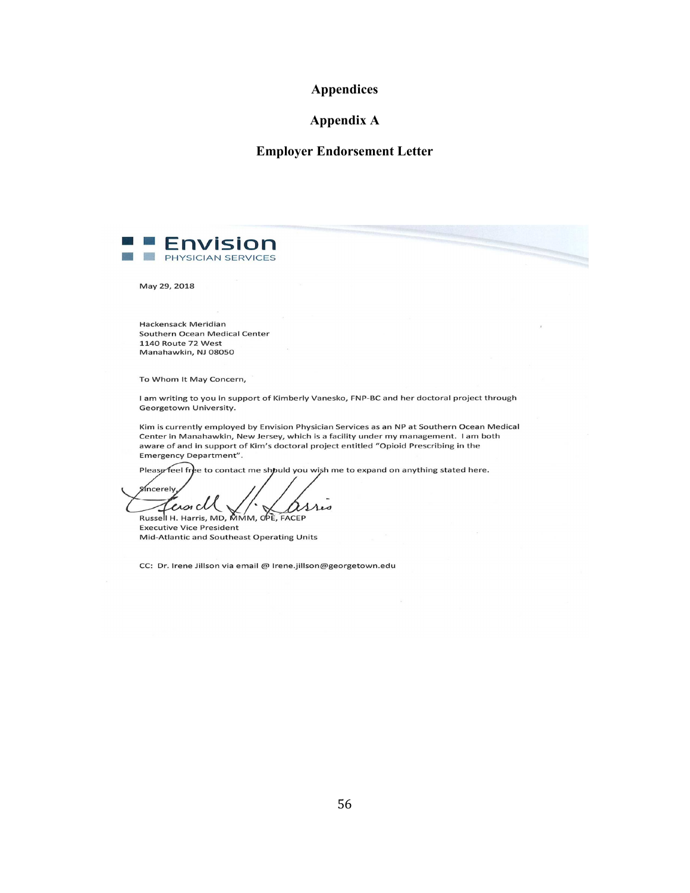# **Appendices**

# **Appendix A**

# **Employer Endorsement Letter**



May 29, 2018

Hackensack Meridian Southern Ocean Medical Center 1140 Route 72 West Manahawkin, NJ 08050

To Whom It May Concern,

I am writing to you in support of Kimberly Vanesko, FNP-BC and her doctoral project through Georgetown University.

Kim is currently employed by Envision Physician Services as an NP at Southern Ocean Medical Center in Manahawkin, New Jersey, which is a facility under my management. I am both aware of and in support of Kim's doctoral project entitled "Opioid Prescribing in the Emergency Department".

Please feel free to contact me should you wish me to expand on anything stated here.

**Sincerely** ersicl asses Russell H. Harris, MD, MMM, OPE, FACEP

**Executive Vice President** Mid-Atlantic and Southeast Operating Units

CC: Dr. Irene Jillson via email @ Irene.jillson@georgetown.edu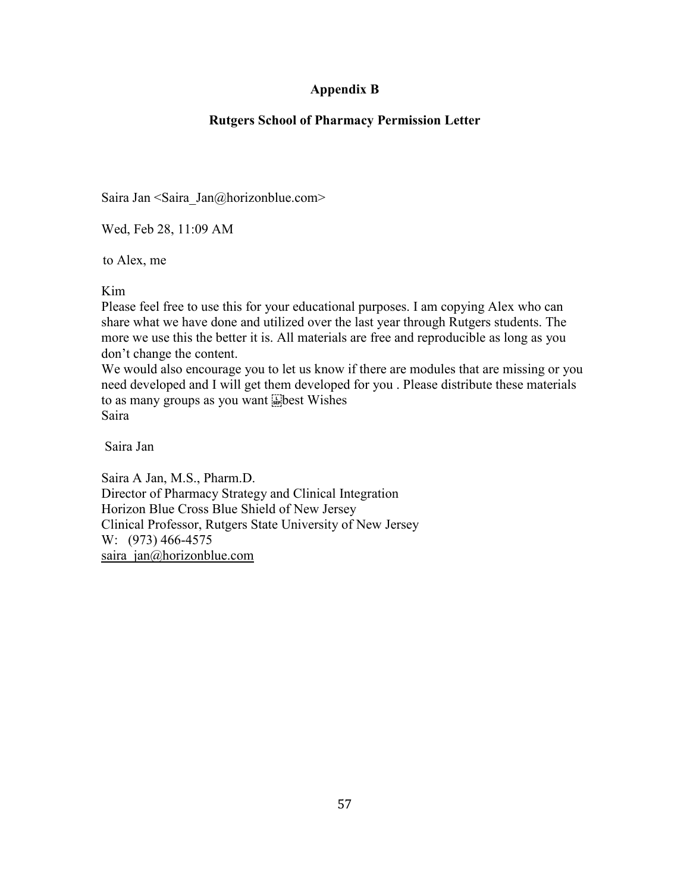# **Appendix B**

# **Rutgers School of Pharmacy Permission Letter**

Saira Jan <Saira\_Jan@horizonblue.com>

Wed, Feb 28, 11:09 AM

to Alex, me

Kim

Please feel free to use this for your educational purposes. I am copying Alex who can share what we have done and utilized over the last year through Rutgers students. The more we use this the better it is. All materials are free and reproducible as long as you don't change the content.

We would also encourage you to let us know if there are modules that are missing or you need developed and I will get them developed for you . Please distribute these materials to as many groups as you want  $\dddot{\ddot{\bm{b}}}$  best Wishes Saira

Saira Jan

Saira A Jan, M.S., Pharm.D. Director of Pharmacy Strategy and Clinical Integration Horizon Blue Cross Blue Shield of New Jersey Clinical Professor, Rutgers State University of New Jersey W: (973) 466-4575 saira jan@horizonblue.com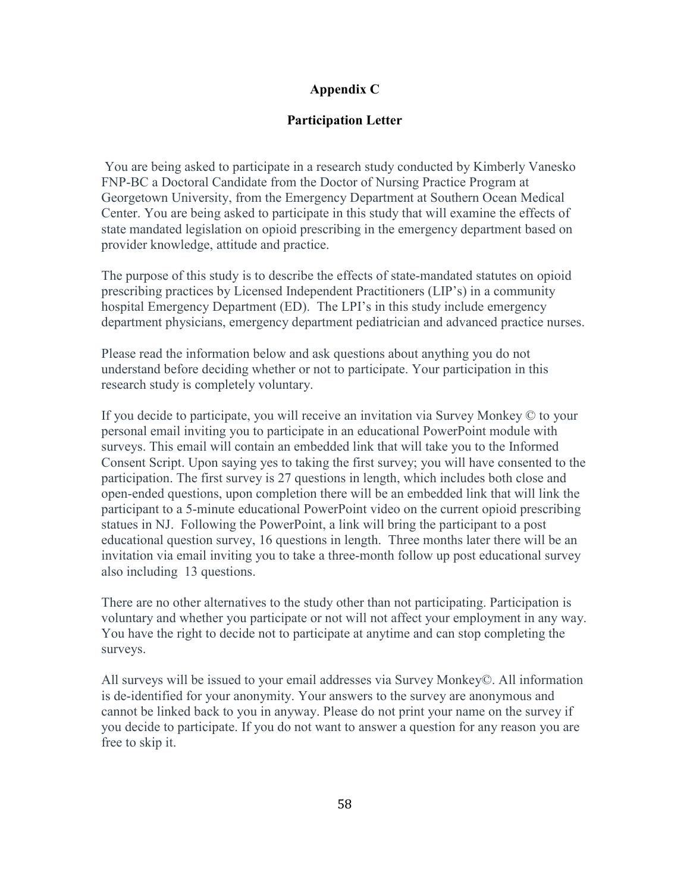# **Appendix C**

# **Participation Letter**

 You are being asked to participate in a research study conducted by Kimberly Vanesko FNP-BC a Doctoral Candidate from the Doctor of Nursing Practice Program at Georgetown University, from the Emergency Department at Southern Ocean Medical Center. You are being asked to participate in this study that will examine the effects of state mandated legislation on opioid prescribing in the emergency department based on provider knowledge, attitude and practice.

The purpose of this study is to describe the effects of state-mandated statutes on opioid prescribing practices by Licensed Independent Practitioners (LIP's) in a community hospital Emergency Department (ED). The LPI's in this study include emergency department physicians, emergency department pediatrician and advanced practice nurses.

Please read the information below and ask questions about anything you do not understand before deciding whether or not to participate. Your participation in this research study is completely voluntary.

If you decide to participate, you will receive an invitation via Survey Monkey © to your personal email inviting you to participate in an educational PowerPoint module with surveys. This email will contain an embedded link that will take you to the Informed Consent Script. Upon saying yes to taking the first survey; you will have consented to the participation. The first survey is 27 questions in length, which includes both close and open-ended questions, upon completion there will be an embedded link that will link the participant to a 5-minute educational PowerPoint video on the current opioid prescribing statues in NJ. Following the PowerPoint, a link will bring the participant to a post educational question survey, 16 questions in length. Three months later there will be an invitation via email inviting you to take a three-month follow up post educational survey also including 13 questions.

There are no other alternatives to the study other than not participating. Participation is voluntary and whether you participate or not will not affect your employment in any way. You have the right to decide not to participate at anytime and can stop completing the surveys.

All surveys will be issued to your email addresses via Survey Monkey©. All information is de-identified for your anonymity. Your answers to the survey are anonymous and cannot be linked back to you in anyway. Please do not print your name on the survey if you decide to participate. If you do not want to answer a question for any reason you are free to skip it.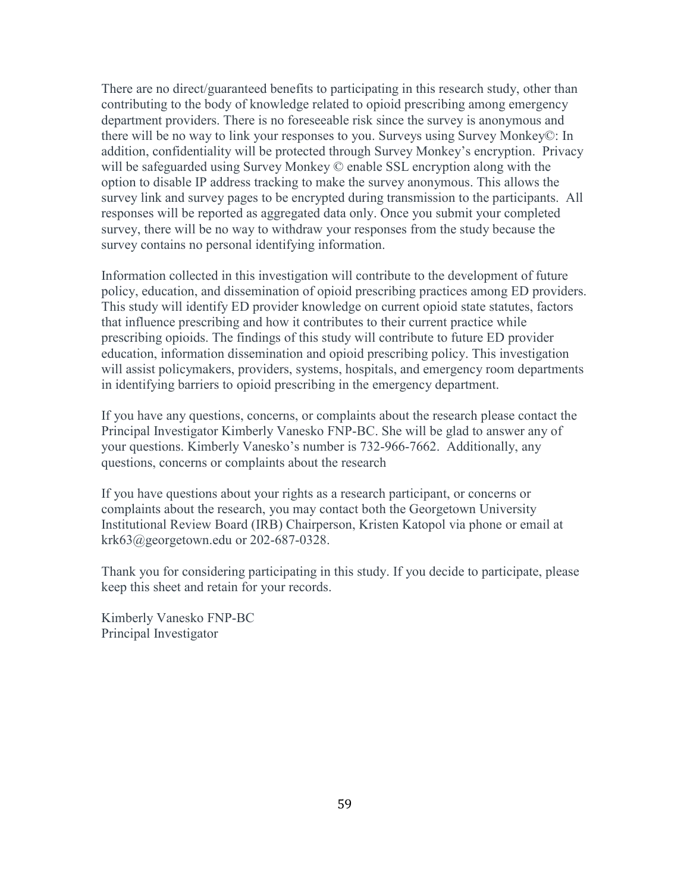There are no direct/guaranteed benefits to participating in this research study, other than contributing to the body of knowledge related to opioid prescribing among emergency department providers. There is no foreseeable risk since the survey is anonymous and there will be no way to link your responses to you. Surveys using Survey Monkey©: In addition, confidentiality will be protected through Survey Monkey's encryption. Privacy will be safeguarded using Survey Monkey © enable SSL encryption along with the option to disable IP address tracking to make the survey anonymous. This allows the survey link and survey pages to be encrypted during transmission to the participants. All responses will be reported as aggregated data only. Once you submit your completed survey, there will be no way to withdraw your responses from the study because the survey contains no personal identifying information.

Information collected in this investigation will contribute to the development of future policy, education, and dissemination of opioid prescribing practices among ED providers. This study will identify ED provider knowledge on current opioid state statutes, factors that influence prescribing and how it contributes to their current practice while prescribing opioids. The findings of this study will contribute to future ED provider education, information dissemination and opioid prescribing policy. This investigation will assist policymakers, providers, systems, hospitals, and emergency room departments in identifying barriers to opioid prescribing in the emergency department.

If you have any questions, concerns, or complaints about the research please contact the Principal Investigator Kimberly Vanesko FNP-BC. She will be glad to answer any of your questions. Kimberly Vanesko's number is 732-966-7662. Additionally, any questions, concerns or complaints about the research

If you have questions about your rights as a research participant, or concerns or complaints about the research, you may contact both the Georgetown University Institutional Review Board (IRB) Chairperson, Kristen Katopol via phone or email at krk63@georgetown.edu or 202-687-0328.

Thank you for considering participating in this study. If you decide to participate, please keep this sheet and retain for your records.

Kimberly Vanesko FNP-BC Principal Investigator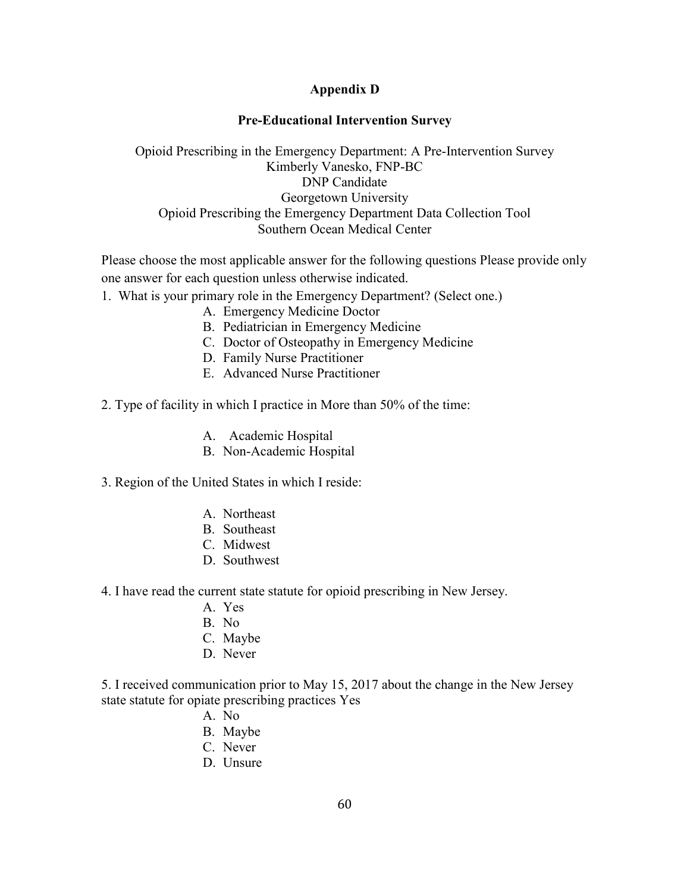# **Appendix D**

# **Pre-Educational Intervention Survey**

Opioid Prescribing in the Emergency Department: A Pre-Intervention Survey Kimberly Vanesko, FNP-BC DNP Candidate Georgetown University Opioid Prescribing the Emergency Department Data Collection Tool Southern Ocean Medical Center

Please choose the most applicable answer for the following questions Please provide only one answer for each question unless otherwise indicated.

- 1. What is your primary role in the Emergency Department? (Select one.)
	- A. Emergency Medicine Doctor
	- B. Pediatrician in Emergency Medicine
	- C. Doctor of Osteopathy in Emergency Medicine
	- D. Family Nurse Practitioner
	- E. Advanced Nurse Practitioner
- 2. Type of facility in which I practice in More than 50% of the time:
	- A. Academic Hospital
	- B. Non-Academic Hospital
- 3. Region of the United States in which I reside:
	- A. Northeast
	- B. Southeast
	- C. Midwest
	- D. Southwest
- 4. I have read the current state statute for opioid prescribing in New Jersey.
	- A. Yes
	- B. No
	- C. Maybe
	- D. Never

5. I received communication prior to May 15, 2017 about the change in the New Jersey state statute for opiate prescribing practices Yes

- A. No
- B. Maybe
- C. Never
- D. Unsure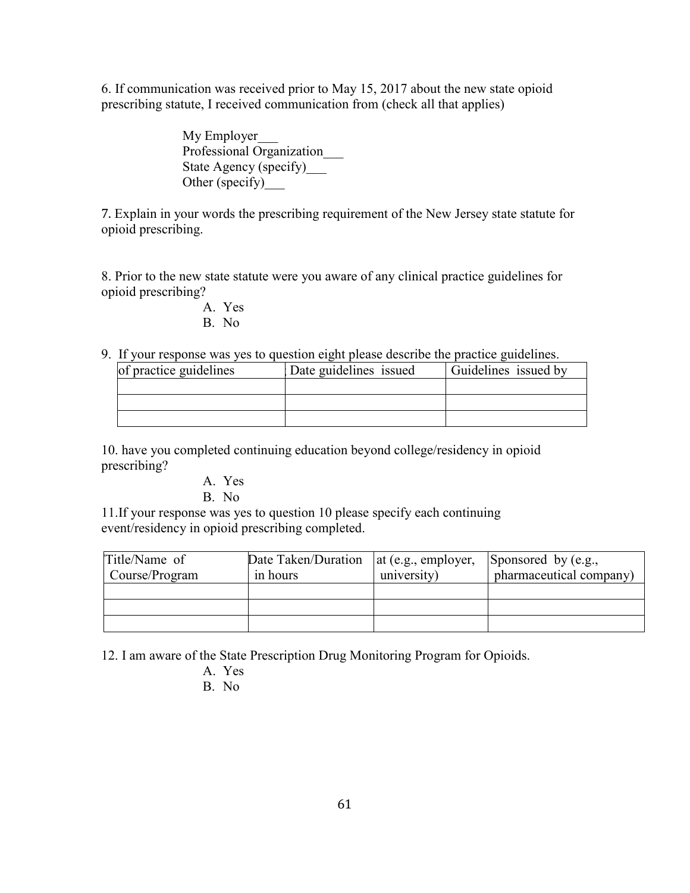6. If communication was received prior to May 15, 2017 about the new state opioid prescribing statute, I received communication from (check all that applies)

> My Employer\_\_\_ Professional Organization\_\_\_ State Agency (specify) Other (specify)\_\_\_

7. Explain in your words the prescribing requirement of the New Jersey state statute for opioid prescribing.

8. Prior to the new state statute were you aware of any clinical practice guidelines for opioid prescribing?

- A. Yes B. No
- 9. If your response was yes to question eight please describe the practice guidelines.

| of practice guidelines | Date guidelines issued | Guidelines issued by |
|------------------------|------------------------|----------------------|
|                        |                        |                      |
|                        |                        |                      |
|                        |                        |                      |

10. have you completed continuing education beyond college/residency in opioid prescribing?

A. Yes

B. No

11.If your response was yes to question 10 please specify each continuing event/residency in opioid prescribing completed.

| Title/Name of<br>Course/Program | Date Taken/Duration<br>in hours | at (e.g., employer,<br>university) | Sponsored by $(e.g.,$<br>pharmaceutical company) |
|---------------------------------|---------------------------------|------------------------------------|--------------------------------------------------|
|                                 |                                 |                                    |                                                  |
|                                 |                                 |                                    |                                                  |
|                                 |                                 |                                    |                                                  |

12. I am aware of the State Prescription Drug Monitoring Program for Opioids.

- A. Yes
- B. No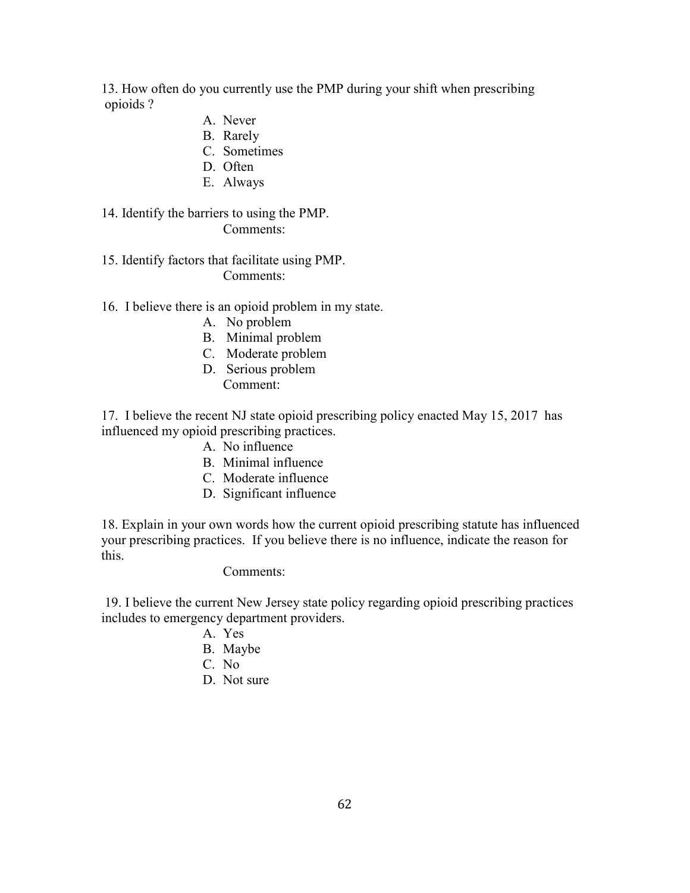13. How often do you currently use the PMP during your shift when prescribing opioids ?

- A. Never
- B. Rarely
- C. Sometimes
- D. Often
- E. Always

# 14. Identify the barriers to using the PMP. Comments:

# 15. Identify factors that facilitate using PMP. Comments:

## 16. I believe there is an opioid problem in my state.

- A. No problem
- B. Minimal problem
- C. Moderate problem
- D. Serious problem Comment:
- 17. I believe the recent NJ state opioid prescribing policy enacted May 15, 2017 has influenced my opioid prescribing practices.
	- A. No influence
	- B. Minimal influence
	- C. Moderate influence
	- D. Significant influence

18. Explain in your own words how the current opioid prescribing statute has influenced your prescribing practices. If you believe there is no influence, indicate the reason for this.

## Comments:

 19. I believe the current New Jersey state policy regarding opioid prescribing practices includes to emergency department providers.

- A. Yes
- B. Maybe
- C. No
- D. Not sure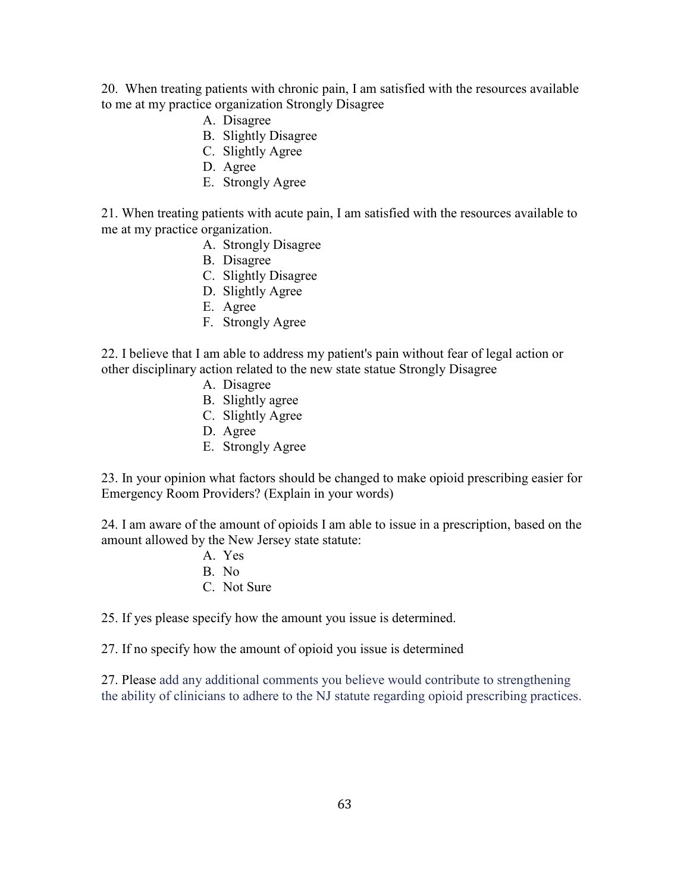20. When treating patients with chronic pain, I am satisfied with the resources available to me at my practice organization Strongly Disagree

- A. Disagree
- B. Slightly Disagree
- C. Slightly Agree
- D. Agree
- E. Strongly Agree

21. When treating patients with acute pain, I am satisfied with the resources available to me at my practice organization.

- A. Strongly Disagree
- B. Disagree
- C. Slightly Disagree
- D. Slightly Agree
- E. Agree
- F. Strongly Agree

22. I believe that I am able to address my patient's pain without fear of legal action or other disciplinary action related to the new state statue Strongly Disagree

- A. Disagree
- B. Slightly agree
- C. Slightly Agree
- D. Agree
- E. Strongly Agree

23. In your opinion what factors should be changed to make opioid prescribing easier for Emergency Room Providers? (Explain in your words)

24. I am aware of the amount of opioids I am able to issue in a prescription, based on the amount allowed by the New Jersey state statute:

> A. Yes B. No C. Not Sure

25. If yes please specify how the amount you issue is determined.

27. If no specify how the amount of opioid you issue is determined

27. Please add any additional comments you believe would contribute to strengthening the ability of clinicians to adhere to the NJ statute regarding opioid prescribing practices.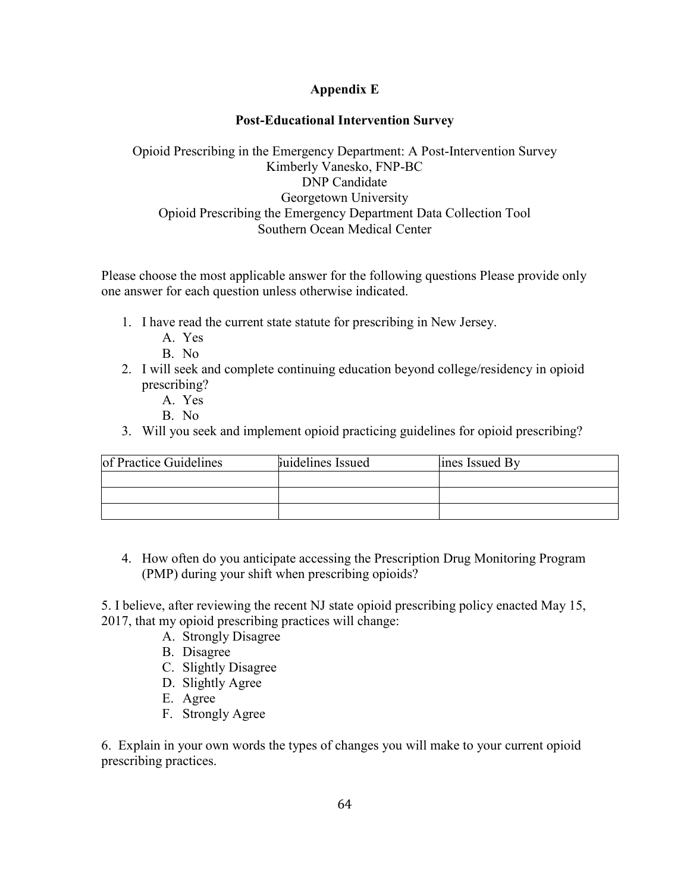# **Appendix E**

# **Post-Educational Intervention Survey**

# Opioid Prescribing in the Emergency Department: A Post-Intervention Survey Kimberly Vanesko, FNP-BC DNP Candidate Georgetown University Opioid Prescribing the Emergency Department Data Collection Tool Southern Ocean Medical Center

Please choose the most applicable answer for the following questions Please provide only one answer for each question unless otherwise indicated.

- 1. I have read the current state statute for prescribing in New Jersey.
	- A. Yes

B. No

- 2. I will seek and complete continuing education beyond college/residency in opioid prescribing?
	- A. Yes

B. No

3. Will you seek and implement opioid practicing guidelines for opioid prescribing?

| of Practice Guidelines | Fuidelines Issued | lines Issued By |
|------------------------|-------------------|-----------------|
|                        |                   |                 |
|                        |                   |                 |
|                        |                   |                 |

4. How often do you anticipate accessing the Prescription Drug Monitoring Program (PMP) during your shift when prescribing opioids?

5. I believe, after reviewing the recent NJ state opioid prescribing policy enacted May 15, 2017, that my opioid prescribing practices will change:

- A. Strongly Disagree
- B. Disagree
- C. Slightly Disagree
- D. Slightly Agree
- E. Agree
- F. Strongly Agree

6. Explain in your own words the types of changes you will make to your current opioid prescribing practices.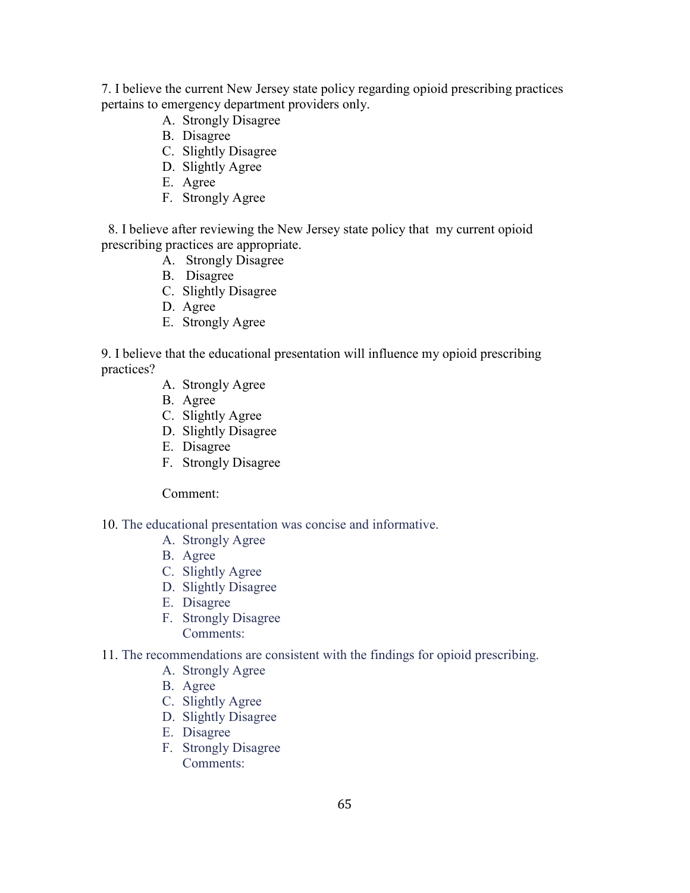7. I believe the current New Jersey state policy regarding opioid prescribing practices pertains to emergency department providers only.

- A. Strongly Disagree
- B. Disagree
- C. Slightly Disagree
- D. Slightly Agree
- E. Agree
- F. Strongly Agree

 8. I believe after reviewing the New Jersey state policy that my current opioid prescribing practices are appropriate.

- A. Strongly Disagree
- B. Disagree
- C. Slightly Disagree
- D. Agree
- E. Strongly Agree

9. I believe that the educational presentation will influence my opioid prescribing practices?

- A. Strongly Agree
- B. Agree
- C. Slightly Agree
- D. Slightly Disagree
- E. Disagree
- F. Strongly Disagree

Comment:

10. The educational presentation was concise and informative.

- A. Strongly Agree
- B. Agree
- C. Slightly Agree
- D. Slightly Disagree
- E. Disagree
- F. Strongly Disagree Comments:
- 11. The recommendations are consistent with the findings for opioid prescribing.
	- A. Strongly Agree
	- B. Agree
	- C. Slightly Agree
	- D. Slightly Disagree
	- E. Disagree
	- F. Strongly Disagree Comments: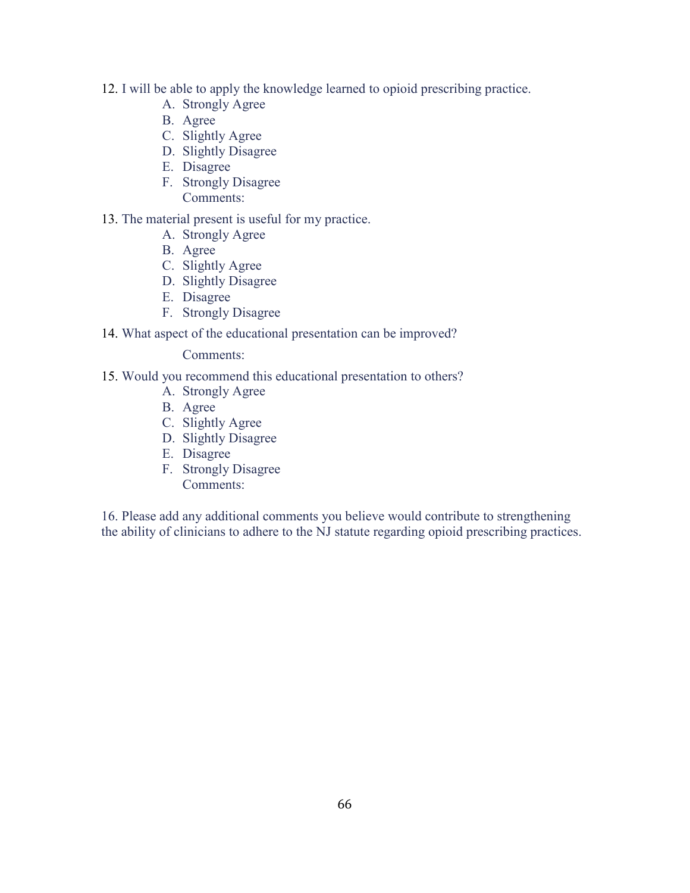- 12. I will be able to apply the knowledge learned to opioid prescribing practice.
	- A. Strongly Agree
	- B. Agree
	- C. Slightly Agree
	- D. Slightly Disagree
	- E. Disagree
	- F. Strongly Disagree
		- Comments:
- 13. The material present is useful for my practice.
	- A. Strongly Agree
	- B. Agree
	- C. Slightly Agree
	- D. Slightly Disagree
	- E. Disagree
	- F. Strongly Disagree
- 14. What aspect of the educational presentation can be improved?

Comments:

- 15. Would you recommend this educational presentation to others?
	- A. Strongly Agree
	- B. Agree
	- C. Slightly Agree
	- D. Slightly Disagree
	- E. Disagree
	- F. Strongly Disagree Comments:

16. Please add any additional comments you believe would contribute to strengthening the ability of clinicians to adhere to the NJ statute regarding opioid prescribing practices.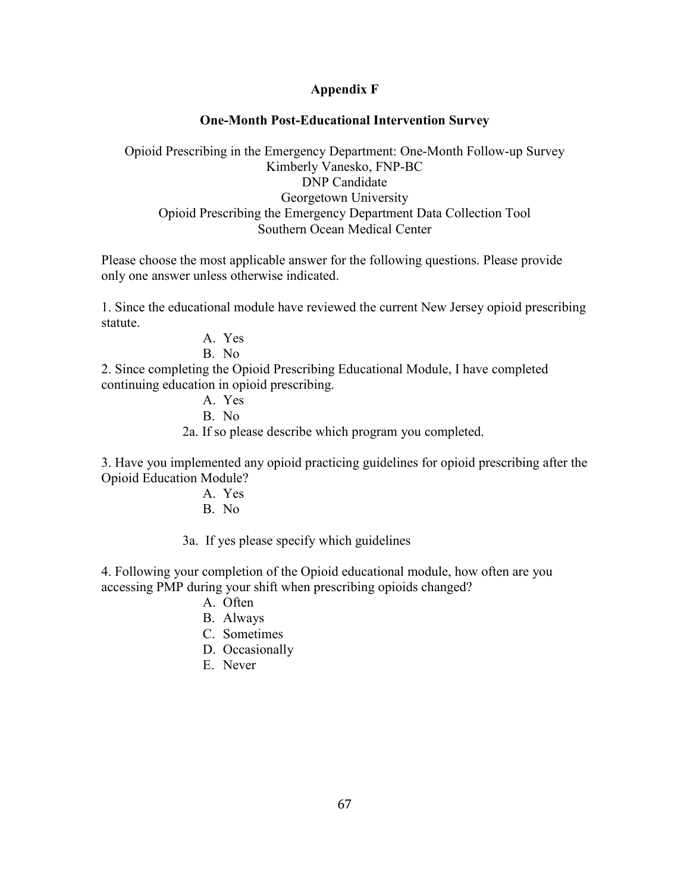### **Appendix F**

#### **One-Month Post-Educational Intervention Survey**

Opioid Prescribing in the Emergency Department: One-Month Follow-up Survey Kimberly Vanesko, FNP-BC DNP Candidate Georgetown University Opioid Prescribing the Emergency Department Data Collection Tool Southern Ocean Medical Center

Please choose the most applicable answer for the following questions. Please provide only one answer unless otherwise indicated.

1. Since the educational module have reviewed the current New Jersey opioid prescribing statute.

A. Yes

B. No

2. Since completing the Opioid Prescribing Educational Module, I have completed continuing education in opioid prescribing.

A. Yes

B. No

2a. If so please describe which program you completed.

3. Have you implemented any opioid practicing guidelines for opioid prescribing after the Opioid Education Module?

- A. Yes
- B. No

3a. If yes please specify which guidelines

4. Following your completion of the Opioid educational module, how often are you accessing PMP during your shift when prescribing opioids changed?

- A. Often
- B. Always
- C. Sometimes
- D. Occasionally
- E. Never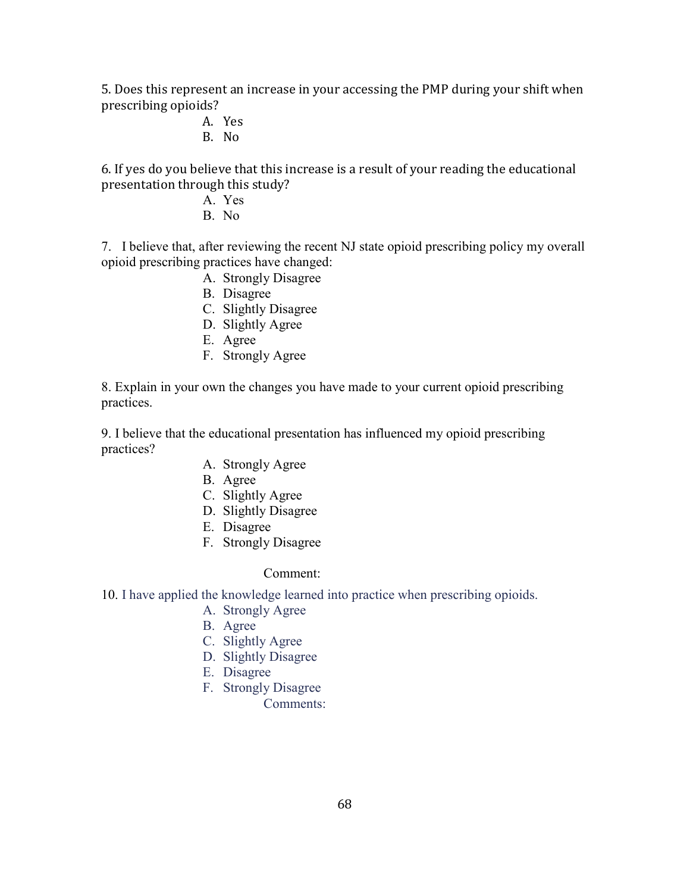5. Does this represent an increase in your accessing the PMP during your shift when prescribing opioids?

- A. Yes B. No
- 

6. If yes do you believe that this increase is a result of your reading the educational presentation through this study?

- A. Yes
- B. No

7. I believe that, after reviewing the recent NJ state opioid prescribing policy my overall opioid prescribing practices have changed:

- A. Strongly Disagree
- B. Disagree
- C. Slightly Disagree
- D. Slightly Agree
- E. Agree
- F. Strongly Agree

8. Explain in your own the changes you have made to your current opioid prescribing practices.

9. I believe that the educational presentation has influenced my opioid prescribing practices?

- A. Strongly Agree
- B. Agree
- C. Slightly Agree
- D. Slightly Disagree
- E. Disagree
- F. Strongly Disagree

# Comment:

# 10. I have applied the knowledge learned into practice when prescribing opioids.

- A. Strongly Agree
- B. Agree
- C. Slightly Agree
- D. Slightly Disagree
- E. Disagree
- F. Strongly Disagree
	- Comments: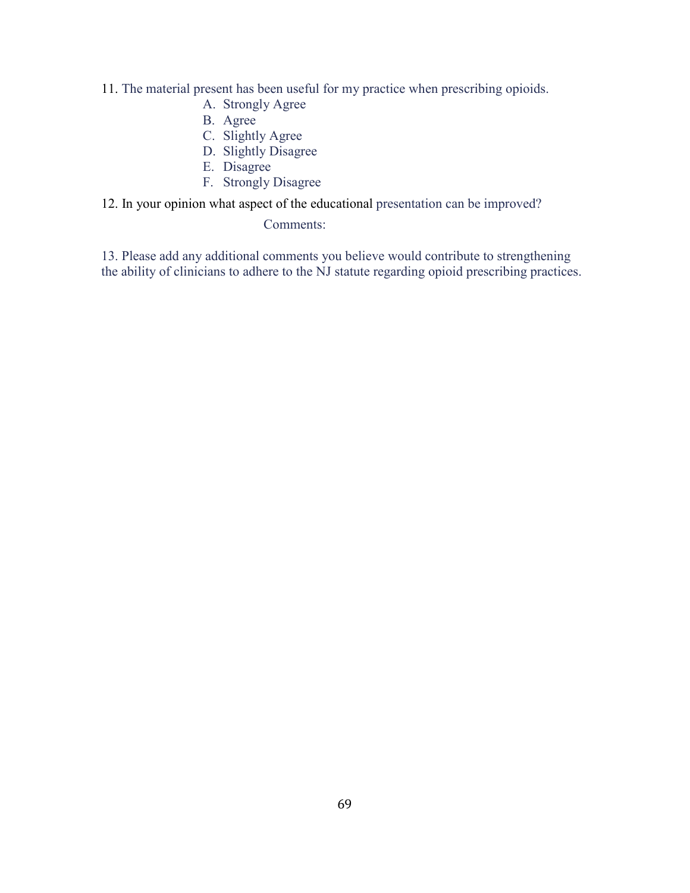- 11. The material present has been useful for my practice when prescribing opioids.
	- A. Strongly Agree
	- B. Agree
	- C. Slightly Agree
	- D. Slightly Disagree
	- E. Disagree
	- F. Strongly Disagree
- 12. In your opinion what aspect of the educational presentation can be improved?

Comments:

13. Please add any additional comments you believe would contribute to strengthening the ability of clinicians to adhere to the NJ statute regarding opioid prescribing practices.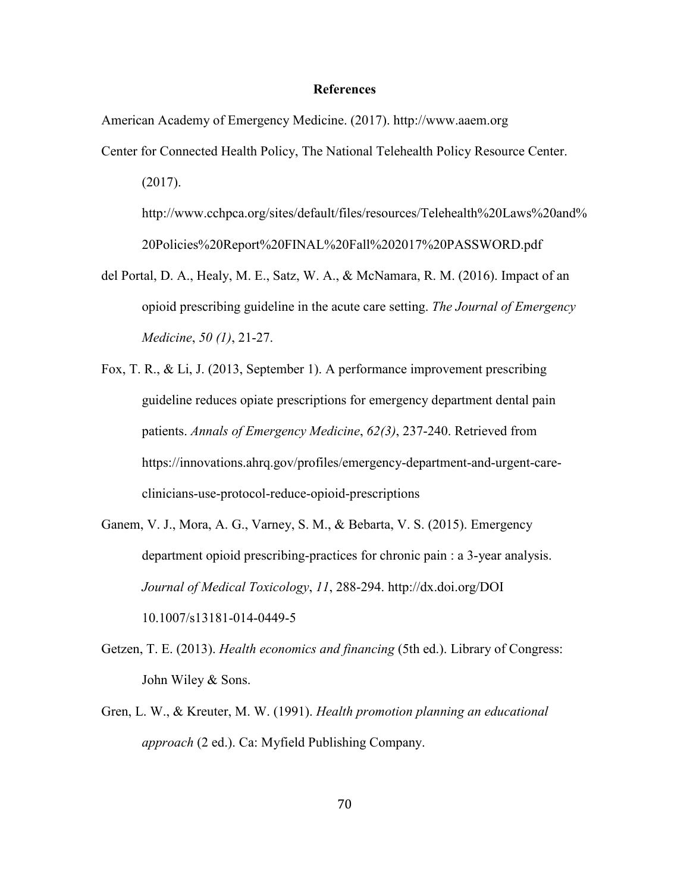#### **References**

American Academy of Emergency Medicine. (2017). http://www.aaem.org

Center for Connected Health Policy, The National Telehealth Policy Resource Center.

(2017).

http://www.cchpca.org/sites/default/files/resources/Telehealth%20Laws%20and% 20Policies%20Report%20FINAL%20Fall%202017%20PASSWORD.pdf

- del Portal, D. A., Healy, M. E., Satz, W. A., & McNamara, R. M. (2016). Impact of an opioid prescribing guideline in the acute care setting. *The Journal of Emergency Medicine*, *50 (1)*, 21-27.
- Fox, T. R., & Li, J. (2013, September 1). A performance improvement prescribing guideline reduces opiate prescriptions for emergency department dental pain patients. *Annals of Emergency Medicine*, *62(3)*, 237-240. Retrieved from https://innovations.ahrq.gov/profiles/emergency-department-and-urgent-careclinicians-use-protocol-reduce-opioid-prescriptions
- Ganem, V. J., Mora, A. G., Varney, S. M., & Bebarta, V. S. (2015). Emergency department opioid prescribing-practices for chronic pain : a 3-year analysis. *Journal of Medical Toxicology*, *11*, 288-294. http://dx.doi.org/DOI 10.1007/s13181-014-0449-5
- Getzen, T. E. (2013). *Health economics and financing* (5th ed.). Library of Congress: John Wiley & Sons.
- Gren, L. W., & Kreuter, M. W. (1991). *Health promotion planning an educational approach* (2 ed.). Ca: Myfield Publishing Company.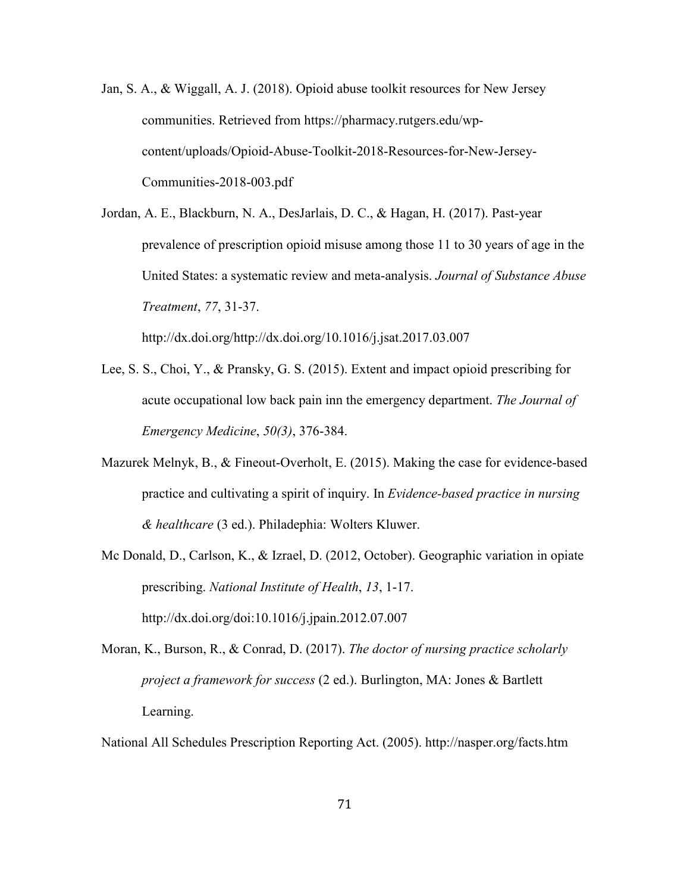- Jan, S. A., & Wiggall, A. J. (2018). Opioid abuse toolkit resources for New Jersey communities. Retrieved from https://pharmacy.rutgers.edu/wpcontent/uploads/Opioid-Abuse-Toolkit-2018-Resources-for-New-Jersey-Communities-2018-003.pdf
- Jordan, A. E., Blackburn, N. A., DesJarlais, D. C., & Hagan, H. (2017). Past-year prevalence of prescription opioid misuse among those 11 to 30 years of age in the United States: a systematic review and meta-analysis. *Journal of Substance Abuse Treatment*, *77*, 31-37.

http://dx.doi.org/http://dx.doi.org/10.1016/j.jsat.2017.03.007

- Lee, S. S., Choi, Y., & Pransky, G. S. (2015). Extent and impact opioid prescribing for acute occupational low back pain inn the emergency department. *The Journal of Emergency Medicine*, *50(3)*, 376-384.
- Mazurek Melnyk, B., & Fineout-Overholt, E. (2015). Making the case for evidence-based practice and cultivating a spirit of inquiry. In *Evidence-based practice in nursing & healthcare* (3 ed.). Philadephia: Wolters Kluwer.
- Mc Donald, D., Carlson, K., & Izrael, D. (2012, October). Geographic variation in opiate prescribing. *National Institute of Health*, *13*, 1-17. http://dx.doi.org/doi:10.1016/j.jpain.2012.07.007
- Moran, K., Burson, R., & Conrad, D. (2017). *The doctor of nursing practice scholarly project a framework for success* (2 ed.). Burlington, MA: Jones & Bartlett Learning.

National All Schedules Prescription Reporting Act. (2005). http://nasper.org/facts.htm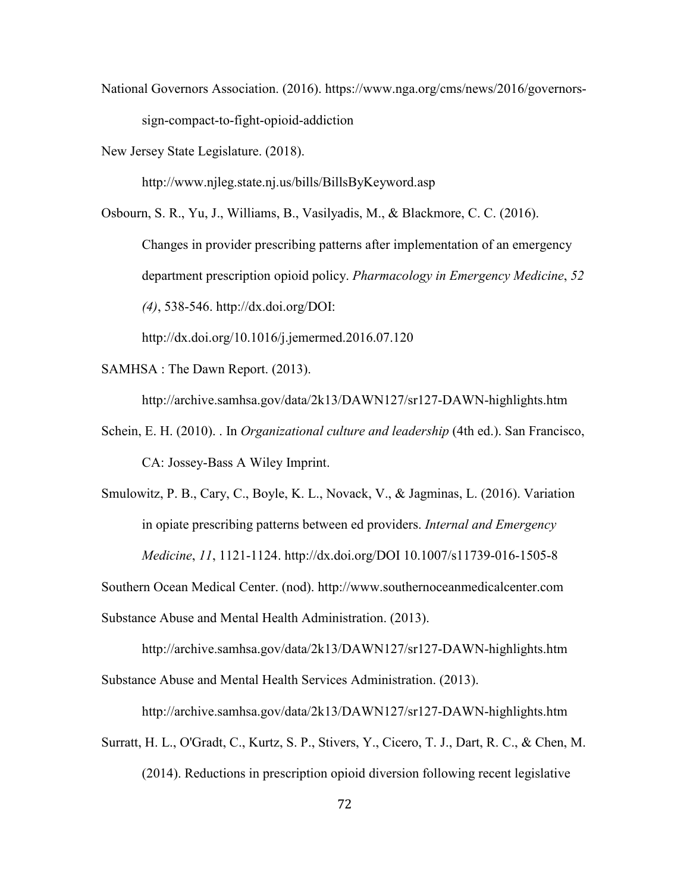National Governors Association. (2016). https://www.nga.org/cms/news/2016/governorssign-compact-to-fight-opioid-addiction

New Jersey State Legislature. (2018).

http://www.njleg.state.nj.us/bills/BillsByKeyword.asp

Osbourn, S. R., Yu, J., Williams, B., Vasilyadis, M., & Blackmore, C. C. (2016). Changes in provider prescribing patterns after implementation of an emergency department prescription opioid policy. *Pharmacology in Emergency Medicine*, *52 (4)*, 538-546. http://dx.doi.org/DOI:

http://dx.doi.org/10.1016/j.jemermed.2016.07.120

SAMHSA : The Dawn Report. (2013).

http://archive.samhsa.gov/data/2k13/DAWN127/sr127-DAWN-highlights.htm

- Schein, E. H. (2010). . In *Organizational culture and leadership* (4th ed.). San Francisco, CA: Jossey-Bass A Wiley Imprint.
- Smulowitz, P. B., Cary, C., Boyle, K. L., Novack, V., & Jagminas, L. (2016). Variation in opiate prescribing patterns between ed providers. *Internal and Emergency Medicine*, *11*, 1121-1124. http://dx.doi.org/DOI 10.1007/s11739-016-1505-8

Southern Ocean Medical Center. (nod). http://www.southernoceanmedicalcenter.com

Substance Abuse and Mental Health Administration. (2013).

http://archive.samhsa.gov/data/2k13/DAWN127/sr127-DAWN-highlights.htm Substance Abuse and Mental Health Services Administration. (2013).

http://archive.samhsa.gov/data/2k13/DAWN127/sr127-DAWN-highlights.htm

Surratt, H. L., O'Gradt, C., Kurtz, S. P., Stivers, Y., Cicero, T. J., Dart, R. C., & Chen, M.

(2014). Reductions in prescription opioid diversion following recent legislative